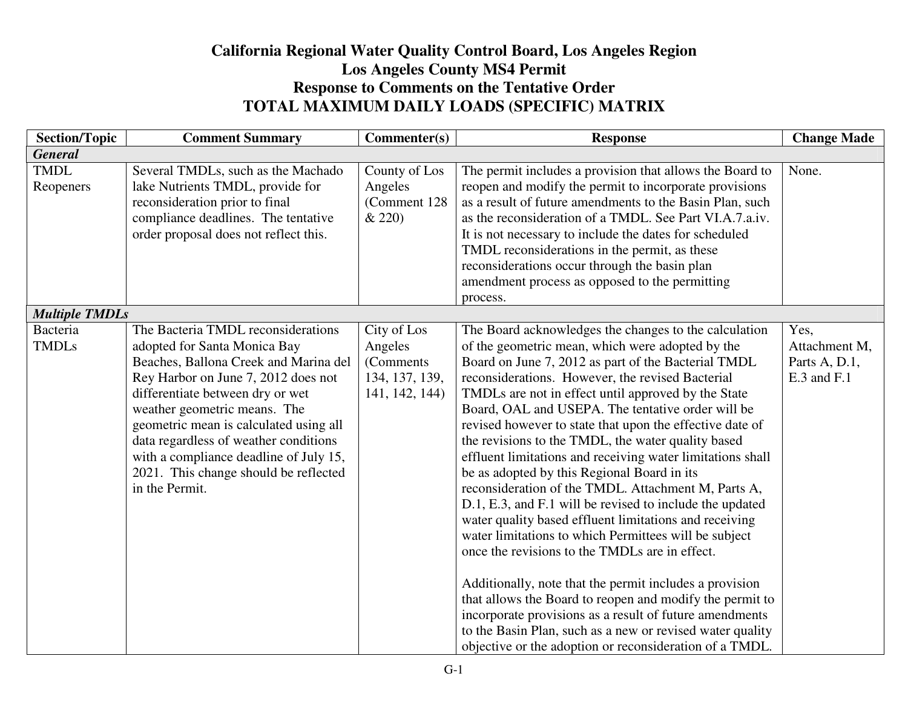## **California Regional Water Quality Control Board, Los Angeles RegionLos Angeles County MS4 Permit Response to Comments on the Tentative Order TOTAL MAXIMUM DAILY LOADS (SPECIFIC) MATRIX**

| <b>Section/Topic</b>     | <b>Comment Summary</b>                                                                                                                                                                                                                                                                                                                                                                                         | Commenter(s)                                                             | <b>Response</b>                                                                                                                                                                                                                                                                                                                                                                                                                                                                                                                                                                                                                                                                                                                                                                                                                                                                                                                                                                                                                                                                                                                                                   | <b>Change Made</b>                                    |
|--------------------------|----------------------------------------------------------------------------------------------------------------------------------------------------------------------------------------------------------------------------------------------------------------------------------------------------------------------------------------------------------------------------------------------------------------|--------------------------------------------------------------------------|-------------------------------------------------------------------------------------------------------------------------------------------------------------------------------------------------------------------------------------------------------------------------------------------------------------------------------------------------------------------------------------------------------------------------------------------------------------------------------------------------------------------------------------------------------------------------------------------------------------------------------------------------------------------------------------------------------------------------------------------------------------------------------------------------------------------------------------------------------------------------------------------------------------------------------------------------------------------------------------------------------------------------------------------------------------------------------------------------------------------------------------------------------------------|-------------------------------------------------------|
| <b>General</b>           |                                                                                                                                                                                                                                                                                                                                                                                                                |                                                                          |                                                                                                                                                                                                                                                                                                                                                                                                                                                                                                                                                                                                                                                                                                                                                                                                                                                                                                                                                                                                                                                                                                                                                                   |                                                       |
| <b>TMDL</b><br>Reopeners | Several TMDLs, such as the Machado<br>lake Nutrients TMDL, provide for<br>reconsideration prior to final<br>compliance deadlines. The tentative<br>order proposal does not reflect this.                                                                                                                                                                                                                       | County of Los<br>Angeles<br>(Comment 128)<br>& 220                       | The permit includes a provision that allows the Board to<br>reopen and modify the permit to incorporate provisions<br>as a result of future amendments to the Basin Plan, such<br>as the reconsideration of a TMDL. See Part VI.A.7.a.iv.<br>It is not necessary to include the dates for scheduled<br>TMDL reconsiderations in the permit, as these<br>reconsiderations occur through the basin plan<br>amendment process as opposed to the permitting<br>process.                                                                                                                                                                                                                                                                                                                                                                                                                                                                                                                                                                                                                                                                                               | None.                                                 |
| <b>Multiple TMDLs</b>    |                                                                                                                                                                                                                                                                                                                                                                                                                |                                                                          |                                                                                                                                                                                                                                                                                                                                                                                                                                                                                                                                                                                                                                                                                                                                                                                                                                                                                                                                                                                                                                                                                                                                                                   |                                                       |
| Bacteria<br><b>TMDLs</b> | The Bacteria TMDL reconsiderations<br>adopted for Santa Monica Bay<br>Beaches, Ballona Creek and Marina del<br>Rey Harbor on June 7, 2012 does not<br>differentiate between dry or wet<br>weather geometric means. The<br>geometric mean is calculated using all<br>data regardless of weather conditions<br>with a compliance deadline of July 15,<br>2021. This change should be reflected<br>in the Permit. | City of Los<br>Angeles<br>(Comments)<br>134, 137, 139,<br>141, 142, 144) | The Board acknowledges the changes to the calculation<br>of the geometric mean, which were adopted by the<br>Board on June 7, 2012 as part of the Bacterial TMDL<br>reconsiderations. However, the revised Bacterial<br>TMDLs are not in effect until approved by the State<br>Board, OAL and USEPA. The tentative order will be<br>revised however to state that upon the effective date of<br>the revisions to the TMDL, the water quality based<br>effluent limitations and receiving water limitations shall<br>be as adopted by this Regional Board in its<br>reconsideration of the TMDL. Attachment M, Parts A,<br>D.1, E.3, and F.1 will be revised to include the updated<br>water quality based effluent limitations and receiving<br>water limitations to which Permittees will be subject<br>once the revisions to the TMDLs are in effect.<br>Additionally, note that the permit includes a provision<br>that allows the Board to reopen and modify the permit to<br>incorporate provisions as a result of future amendments<br>to the Basin Plan, such as a new or revised water quality<br>objective or the adoption or reconsideration of a TMDL. | Yes.<br>Attachment M,<br>Parts A, D.1,<br>E.3 and F.1 |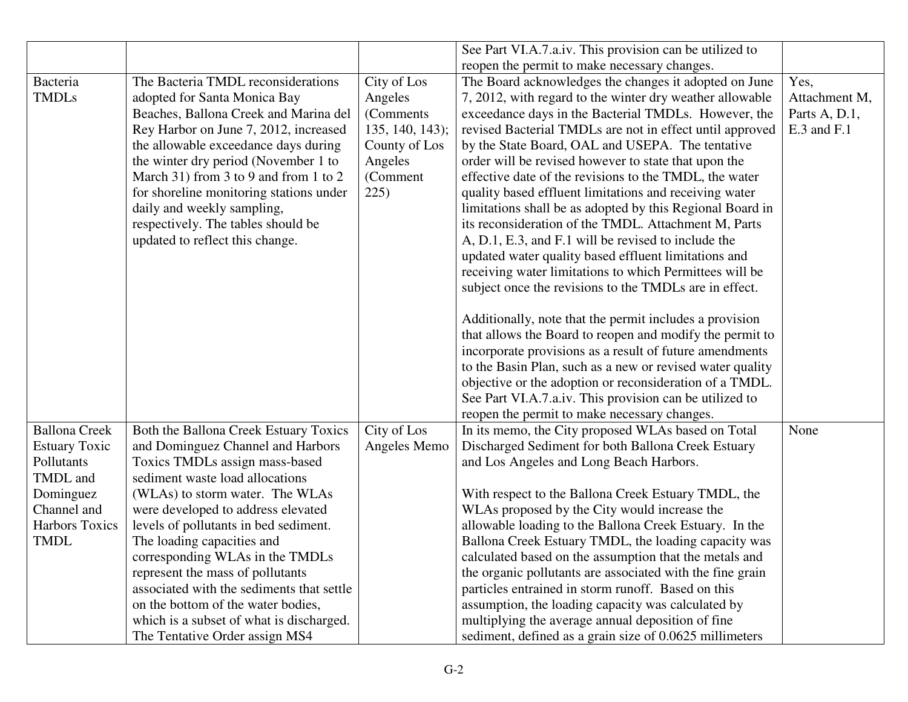|                       |                                           |                 | See Part VI.A.7.a.iv. This provision can be utilized to   |               |
|-----------------------|-------------------------------------------|-----------------|-----------------------------------------------------------|---------------|
|                       |                                           |                 | reopen the permit to make necessary changes.              |               |
| Bacteria              | The Bacteria TMDL reconsiderations        | City of Los     | The Board acknowledges the changes it adopted on June     | Yes,          |
| <b>TMDLs</b>          | adopted for Santa Monica Bay              | Angeles         | 7, 2012, with regard to the winter dry weather allowable  | Attachment M, |
|                       | Beaches, Ballona Creek and Marina del     | (Comments)      | exceedance days in the Bacterial TMDLs. However, the      | Parts A, D.1, |
|                       | Rey Harbor on June 7, 2012, increased     | 135, 140, 143); | revised Bacterial TMDLs are not in effect until approved  | E.3 and F.1   |
|                       | the allowable exceedance days during      | County of Los   | by the State Board, OAL and USEPA. The tentative          |               |
|                       | the winter dry period (November 1 to      | Angeles         | order will be revised however to state that upon the      |               |
|                       | March 31) from 3 to 9 and from 1 to 2     | (Comment        | effective date of the revisions to the TMDL, the water    |               |
|                       | for shoreline monitoring stations under   | 225)            | quality based effluent limitations and receiving water    |               |
|                       | daily and weekly sampling,                |                 | limitations shall be as adopted by this Regional Board in |               |
|                       | respectively. The tables should be        |                 | its reconsideration of the TMDL. Attachment M, Parts      |               |
|                       | updated to reflect this change.           |                 | A, D.1, E.3, and F.1 will be revised to include the       |               |
|                       |                                           |                 | updated water quality based effluent limitations and      |               |
|                       |                                           |                 | receiving water limitations to which Permittees will be   |               |
|                       |                                           |                 | subject once the revisions to the TMDLs are in effect.    |               |
|                       |                                           |                 |                                                           |               |
|                       |                                           |                 | Additionally, note that the permit includes a provision   |               |
|                       |                                           |                 | that allows the Board to reopen and modify the permit to  |               |
|                       |                                           |                 | incorporate provisions as a result of future amendments   |               |
|                       |                                           |                 | to the Basin Plan, such as a new or revised water quality |               |
|                       |                                           |                 | objective or the adoption or reconsideration of a TMDL.   |               |
|                       |                                           |                 | See Part VI.A.7.a.iv. This provision can be utilized to   |               |
|                       |                                           |                 | reopen the permit to make necessary changes.              |               |
| <b>Ballona Creek</b>  | Both the Ballona Creek Estuary Toxics     | City of Los     | In its memo, the City proposed WLAs based on Total        | None          |
| <b>Estuary Toxic</b>  | and Dominguez Channel and Harbors         | Angeles Memo    | Discharged Sediment for both Ballona Creek Estuary        |               |
| Pollutants            | Toxics TMDLs assign mass-based            |                 | and Los Angeles and Long Beach Harbors.                   |               |
| TMDL and              | sediment waste load allocations           |                 |                                                           |               |
| Dominguez             | (WLAs) to storm water. The WLAs           |                 | With respect to the Ballona Creek Estuary TMDL, the       |               |
| Channel and           | were developed to address elevated        |                 | WLAs proposed by the City would increase the              |               |
| <b>Harbors Toxics</b> | levels of pollutants in bed sediment.     |                 | allowable loading to the Ballona Creek Estuary. In the    |               |
| <b>TMDL</b>           | The loading capacities and                |                 | Ballona Creek Estuary TMDL, the loading capacity was      |               |
|                       | corresponding WLAs in the TMDLs           |                 | calculated based on the assumption that the metals and    |               |
|                       | represent the mass of pollutants          |                 | the organic pollutants are associated with the fine grain |               |
|                       | associated with the sediments that settle |                 | particles entrained in storm runoff. Based on this        |               |
|                       | on the bottom of the water bodies,        |                 | assumption, the loading capacity was calculated by        |               |
|                       | which is a subset of what is discharged.  |                 | multiplying the average annual deposition of fine         |               |
|                       | The Tentative Order assign MS4            |                 | sediment, defined as a grain size of 0.0625 millimeters   |               |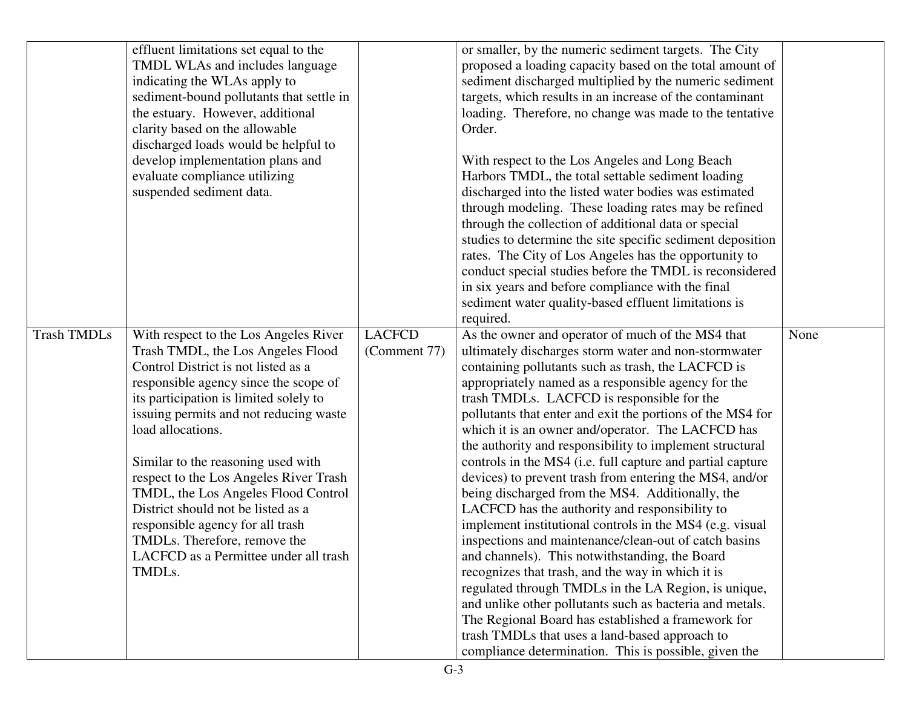|                    | effluent limitations set equal to the    |               | or smaller, by the numeric sediment targets. The City      |      |
|--------------------|------------------------------------------|---------------|------------------------------------------------------------|------|
|                    | TMDL WLAs and includes language          |               | proposed a loading capacity based on the total amount of   |      |
|                    | indicating the WLAs apply to             |               | sediment discharged multiplied by the numeric sediment     |      |
|                    | sediment-bound pollutants that settle in |               | targets, which results in an increase of the contaminant   |      |
|                    | the estuary. However, additional         |               | loading. Therefore, no change was made to the tentative    |      |
|                    | clarity based on the allowable           |               | Order.                                                     |      |
|                    | discharged loads would be helpful to     |               |                                                            |      |
|                    | develop implementation plans and         |               | With respect to the Los Angeles and Long Beach             |      |
|                    | evaluate compliance utilizing            |               | Harbors TMDL, the total settable sediment loading          |      |
|                    | suspended sediment data.                 |               | discharged into the listed water bodies was estimated      |      |
|                    |                                          |               | through modeling. These loading rates may be refined       |      |
|                    |                                          |               | through the collection of additional data or special       |      |
|                    |                                          |               | studies to determine the site specific sediment deposition |      |
|                    |                                          |               | rates. The City of Los Angeles has the opportunity to      |      |
|                    |                                          |               | conduct special studies before the TMDL is reconsidered    |      |
|                    |                                          |               | in six years and before compliance with the final          |      |
|                    |                                          |               | sediment water quality-based effluent limitations is       |      |
|                    |                                          |               | required.                                                  |      |
| <b>Trash TMDLs</b> | With respect to the Los Angeles River    | <b>LACFCD</b> | As the owner and operator of much of the MS4 that          | None |
|                    | Trash TMDL, the Los Angeles Flood        | (Comment 77)  | ultimately discharges storm water and non-stormwater       |      |
|                    | Control District is not listed as a      |               | containing pollutants such as trash, the LACFCD is         |      |
|                    | responsible agency since the scope of    |               | appropriately named as a responsible agency for the        |      |
|                    | its participation is limited solely to   |               | trash TMDLs. LACFCD is responsible for the                 |      |
|                    | issuing permits and not reducing waste   |               | pollutants that enter and exit the portions of the MS4 for |      |
|                    | load allocations.                        |               | which it is an owner and/operator. The LACFCD has          |      |
|                    |                                          |               | the authority and responsibility to implement structural   |      |
|                    | Similar to the reasoning used with       |               | controls in the MS4 (i.e. full capture and partial capture |      |
|                    | respect to the Los Angeles River Trash   |               | devices) to prevent trash from entering the MS4, and/or    |      |
|                    | TMDL, the Los Angeles Flood Control      |               | being discharged from the MS4. Additionally, the           |      |
|                    | District should not be listed as a       |               | LACFCD has the authority and responsibility to             |      |
|                    | responsible agency for all trash         |               | implement institutional controls in the MS4 (e.g. visual   |      |
|                    | TMDLs. Therefore, remove the             |               | inspections and maintenance/clean-out of catch basins      |      |
|                    | LACFCD as a Permittee under all trash    |               | and channels). This notwithstanding, the Board             |      |
|                    | TMDLs.                                   |               | recognizes that trash, and the way in which it is          |      |
|                    |                                          |               | regulated through TMDLs in the LA Region, is unique,       |      |
|                    |                                          |               | and unlike other pollutants such as bacteria and metals.   |      |
|                    |                                          |               | The Regional Board has established a framework for         |      |
|                    |                                          |               | trash TMDLs that uses a land-based approach to             |      |
|                    |                                          |               | compliance determination. This is possible, given the      |      |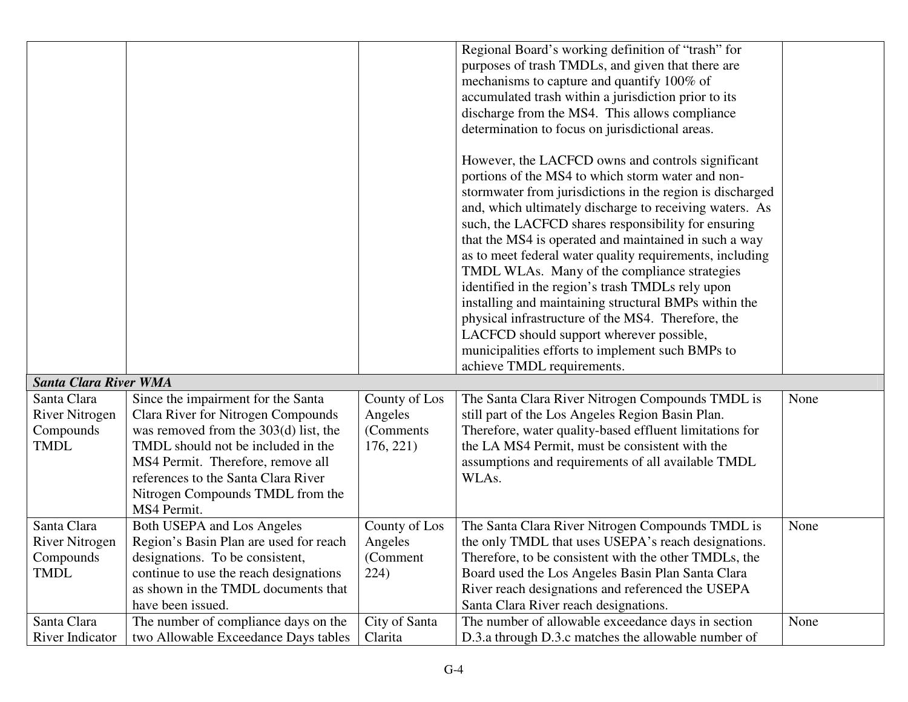|                              |                                           |               | Regional Board's working definition of "trash" for        |      |
|------------------------------|-------------------------------------------|---------------|-----------------------------------------------------------|------|
|                              |                                           |               | purposes of trash TMDLs, and given that there are         |      |
|                              |                                           |               | mechanisms to capture and quantify 100% of                |      |
|                              |                                           |               | accumulated trash within a jurisdiction prior to its      |      |
|                              |                                           |               | discharge from the MS4. This allows compliance            |      |
|                              |                                           |               | determination to focus on jurisdictional areas.           |      |
|                              |                                           |               |                                                           |      |
|                              |                                           |               | However, the LACFCD owns and controls significant         |      |
|                              |                                           |               | portions of the MS4 to which storm water and non-         |      |
|                              |                                           |               | stormwater from jurisdictions in the region is discharged |      |
|                              |                                           |               | and, which ultimately discharge to receiving waters. As   |      |
|                              |                                           |               | such, the LACFCD shares responsibility for ensuring       |      |
|                              |                                           |               | that the MS4 is operated and maintained in such a way     |      |
|                              |                                           |               | as to meet federal water quality requirements, including  |      |
|                              |                                           |               | TMDL WLAs. Many of the compliance strategies              |      |
|                              |                                           |               | identified in the region's trash TMDLs rely upon          |      |
|                              |                                           |               | installing and maintaining structural BMPs within the     |      |
|                              |                                           |               | physical infrastructure of the MS4. Therefore, the        |      |
|                              |                                           |               | LACFCD should support wherever possible,                  |      |
|                              |                                           |               | municipalities efforts to implement such BMPs to          |      |
|                              |                                           |               | achieve TMDL requirements.                                |      |
| <b>Santa Clara River WMA</b> |                                           |               |                                                           |      |
| Santa Clara                  | Since the impairment for the Santa        | County of Los | The Santa Clara River Nitrogen Compounds TMDL is          | None |
| <b>River Nitrogen</b>        | <b>Clara River for Nitrogen Compounds</b> | Angeles       | still part of the Los Angeles Region Basin Plan.          |      |
| Compounds                    | was removed from the $303(d)$ list, the   | (Comments)    | Therefore, water quality-based effluent limitations for   |      |
| <b>TMDL</b>                  | TMDL should not be included in the        | 176, 221      | the LA MS4 Permit, must be consistent with the            |      |
|                              | MS4 Permit. Therefore, remove all         |               | assumptions and requirements of all available TMDL        |      |
|                              | references to the Santa Clara River       |               | WLAs.                                                     |      |
|                              |                                           |               |                                                           |      |
|                              | Nitrogen Compounds TMDL from the          |               |                                                           |      |
|                              | MS4 Permit.                               |               |                                                           |      |
| Santa Clara                  | Both USEPA and Los Angeles                | County of Los | The Santa Clara River Nitrogen Compounds TMDL is          | None |
| <b>River Nitrogen</b>        | Region's Basin Plan are used for reach    | Angeles       | the only TMDL that uses USEPA's reach designations.       |      |
| Compounds                    | designations. To be consistent,           | (Comment)     | Therefore, to be consistent with the other TMDLs, the     |      |
| <b>TMDL</b>                  | continue to use the reach designations    | 224)          | Board used the Los Angeles Basin Plan Santa Clara         |      |
|                              | as shown in the TMDL documents that       |               | River reach designations and referenced the USEPA         |      |
|                              | have been issued.                         |               | Santa Clara River reach designations.                     |      |
| Santa Clara                  | The number of compliance days on the      | City of Santa | The number of allowable exceedance days in section        | None |
| River Indicator              | two Allowable Exceedance Days tables      | Clarita       | D.3.a through D.3.c matches the allowable number of       |      |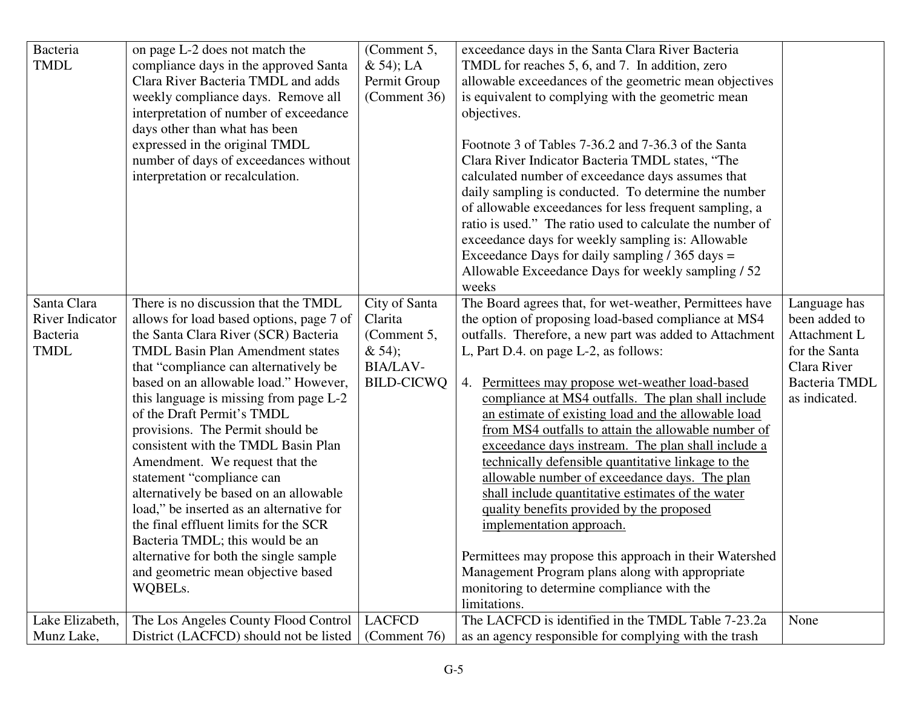| Bacteria               | on page L-2 does not match the           | (Comment 5,       | exceedance days in the Santa Clara River Bacteria         |               |
|------------------------|------------------------------------------|-------------------|-----------------------------------------------------------|---------------|
| <b>TMDL</b>            | compliance days in the approved Santa    | $& 54$ ; LA       | TMDL for reaches 5, 6, and 7. In addition, zero           |               |
|                        | Clara River Bacteria TMDL and adds       | Permit Group      | allowable exceedances of the geometric mean objectives    |               |
|                        | weekly compliance days. Remove all       | (Comment 36)      | is equivalent to complying with the geometric mean        |               |
|                        | interpretation of number of exceedance   |                   | objectives.                                               |               |
|                        | days other than what has been            |                   |                                                           |               |
|                        | expressed in the original TMDL           |                   | Footnote 3 of Tables 7-36.2 and 7-36.3 of the Santa       |               |
|                        | number of days of exceedances without    |                   | Clara River Indicator Bacteria TMDL states, "The          |               |
|                        | interpretation or recalculation.         |                   | calculated number of exceedance days assumes that         |               |
|                        |                                          |                   | daily sampling is conducted. To determine the number      |               |
|                        |                                          |                   | of allowable exceedances for less frequent sampling, a    |               |
|                        |                                          |                   | ratio is used." The ratio used to calculate the number of |               |
|                        |                                          |                   | exceedance days for weekly sampling is: Allowable         |               |
|                        |                                          |                   | Exceedance Days for daily sampling $/$ 365 days =         |               |
|                        |                                          |                   | Allowable Exceedance Days for weekly sampling / 52        |               |
|                        |                                          |                   | weeks                                                     |               |
| Santa Clara            | There is no discussion that the TMDL     | City of Santa     | The Board agrees that, for wet-weather, Permittees have   | Language has  |
| <b>River Indicator</b> | allows for load based options, page 7 of | Clarita           | the option of proposing load-based compliance at MS4      | been added to |
| Bacteria               | the Santa Clara River (SCR) Bacteria     | (Comment 5,       | outfalls. Therefore, a new part was added to Attachment   | Attachment L  |
| <b>TMDL</b>            | <b>TMDL Basin Plan Amendment states</b>  | & 54);            | L, Part D.4. on page L-2, as follows:                     | for the Santa |
|                        | that "compliance can alternatively be    | <b>BIA/LAV-</b>   |                                                           | Clara River   |
|                        | based on an allowable load." However,    | <b>BILD-CICWQ</b> | 4. Permittees may propose wet-weather load-based          | Bacteria TMDL |
|                        | this language is missing from page L-2   |                   | compliance at MS4 outfalls. The plan shall include        | as indicated. |
|                        | of the Draft Permit's TMDL               |                   | an estimate of existing load and the allowable load       |               |
|                        | provisions. The Permit should be         |                   | from MS4 outfalls to attain the allowable number of       |               |
|                        | consistent with the TMDL Basin Plan      |                   | exceedance days instream. The plan shall include a        |               |
|                        | Amendment. We request that the           |                   | technically defensible quantitative linkage to the        |               |
|                        | statement "compliance can                |                   | allowable number of exceedance days. The plan             |               |
|                        | alternatively be based on an allowable   |                   | shall include quantitative estimates of the water         |               |
|                        | load," be inserted as an alternative for |                   | quality benefits provided by the proposed                 |               |
|                        | the final effluent limits for the SCR    |                   | implementation approach.                                  |               |
|                        | Bacteria TMDL; this would be an          |                   |                                                           |               |
|                        | alternative for both the single sample   |                   | Permittees may propose this approach in their Watershed   |               |
|                        | and geometric mean objective based       |                   | Management Program plans along with appropriate           |               |
|                        | WQBELs.                                  |                   | monitoring to determine compliance with the               |               |
|                        |                                          |                   | limitations.                                              |               |
| Lake Elizabeth,        | The Los Angeles County Flood Control     | <b>LACFCD</b>     | The LACFCD is identified in the TMDL Table 7-23.2a        | None          |
| Munz Lake,             | District (LACFCD) should not be listed   | (Comment 76)      | as an agency responsible for complying with the trash     |               |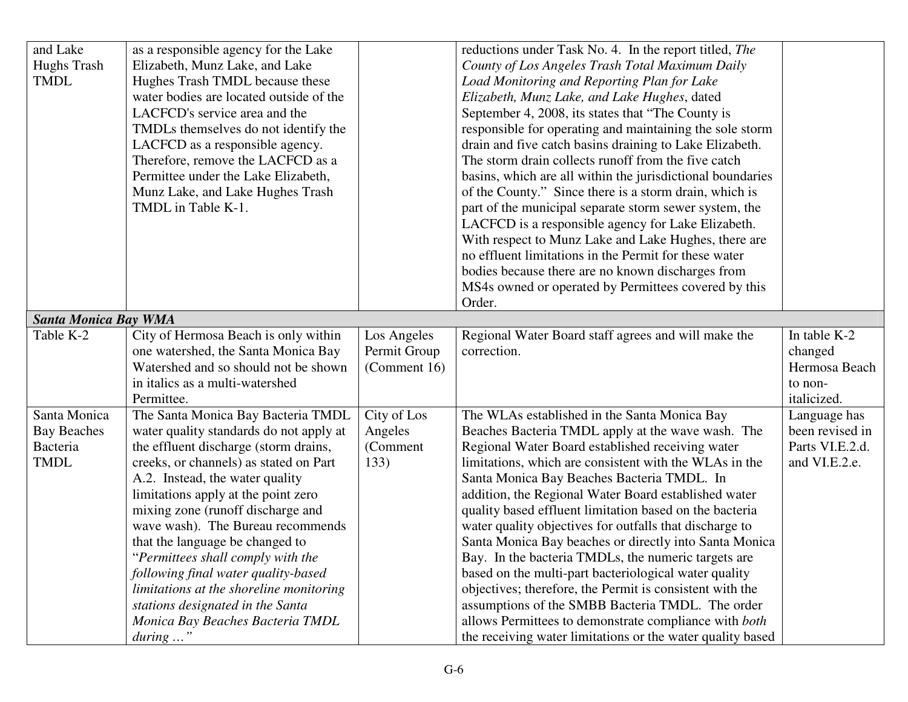| and Lake                    | as a responsible agency for the Lake    |              | reductions under Task No. 4. In the report titled, The     |                 |
|-----------------------------|-----------------------------------------|--------------|------------------------------------------------------------|-----------------|
| <b>Hughs Trash</b>          | Elizabeth, Munz Lake, and Lake          |              | County of Los Angeles Trash Total Maximum Daily            |                 |
| <b>TMDL</b>                 | Hughes Trash TMDL because these         |              | Load Monitoring and Reporting Plan for Lake                |                 |
|                             | water bodies are located outside of the |              | Elizabeth, Munz Lake, and Lake Hughes, dated               |                 |
|                             | LACFCD's service area and the           |              | September 4, 2008, its states that "The County is          |                 |
|                             | TMDLs themselves do not identify the    |              | responsible for operating and maintaining the sole storm   |                 |
|                             | LACFCD as a responsible agency.         |              | drain and five catch basins draining to Lake Elizabeth.    |                 |
|                             | Therefore, remove the LACFCD as a       |              | The storm drain collects runoff from the five catch        |                 |
|                             | Permittee under the Lake Elizabeth,     |              | basins, which are all within the jurisdictional boundaries |                 |
|                             | Munz Lake, and Lake Hughes Trash        |              | of the County." Since there is a storm drain, which is     |                 |
|                             | TMDL in Table K-1.                      |              | part of the municipal separate storm sewer system, the     |                 |
|                             |                                         |              | LACFCD is a responsible agency for Lake Elizabeth.         |                 |
|                             |                                         |              | With respect to Munz Lake and Lake Hughes, there are       |                 |
|                             |                                         |              | no effluent limitations in the Permit for these water      |                 |
|                             |                                         |              | bodies because there are no known discharges from          |                 |
|                             |                                         |              | MS4s owned or operated by Permittees covered by this       |                 |
|                             |                                         |              | Order.                                                     |                 |
| <b>Santa Monica Bay WMA</b> |                                         |              |                                                            |                 |
| Table K-2                   | City of Hermosa Beach is only within    | Los Angeles  | Regional Water Board staff agrees and will make the        | In table K-2    |
|                             | one watershed, the Santa Monica Bay     | Permit Group | correction.                                                | changed         |
|                             | Watershed and so should not be shown    | (Comment 16) |                                                            | Hermosa Beach   |
|                             | in italics as a multi-watershed         |              |                                                            | to non-         |
|                             | Permittee.                              |              |                                                            | italicized.     |
| Santa Monica                | The Santa Monica Bay Bacteria TMDL      | City of Los  | The WLAs established in the Santa Monica Bay               | Language has    |
| <b>Bay Beaches</b>          | water quality standards do not apply at | Angeles      | Beaches Bacteria TMDL apply at the wave wash. The          | been revised in |
| Bacteria                    | the effluent discharge (storm drains,   | (Comment     | Regional Water Board established receiving water           | Parts VI.E.2.d. |
| <b>TMDL</b>                 | creeks, or channels) as stated on Part  | 133)         | limitations, which are consistent with the WLAs in the     | and VI.E.2.e.   |
|                             | A.2. Instead, the water quality         |              | Santa Monica Bay Beaches Bacteria TMDL. In                 |                 |
|                             | limitations apply at the point zero     |              | addition, the Regional Water Board established water       |                 |
|                             | mixing zone (runoff discharge and       |              | quality based effluent limitation based on the bacteria    |                 |
|                             | wave wash). The Bureau recommends       |              | water quality objectives for outfalls that discharge to    |                 |
|                             | that the language be changed to         |              | Santa Monica Bay beaches or directly into Santa Monica     |                 |
|                             | Permittees shall comply with the        |              | Bay. In the bacteria TMDLs, the numeric targets are        |                 |
|                             | following final water quality-based     |              | based on the multi-part bacteriological water quality      |                 |
|                             | limitations at the shoreline monitoring |              | objectives; therefore, the Permit is consistent with the   |                 |
|                             | stations designated in the Santa        |              | assumptions of the SMBB Bacteria TMDL. The order           |                 |
|                             | Monica Bay Beaches Bacteria TMDL        |              | allows Permittees to demonstrate compliance with both      |                 |
|                             | $during \dots$ "                        |              | the receiving water limitations or the water quality based |                 |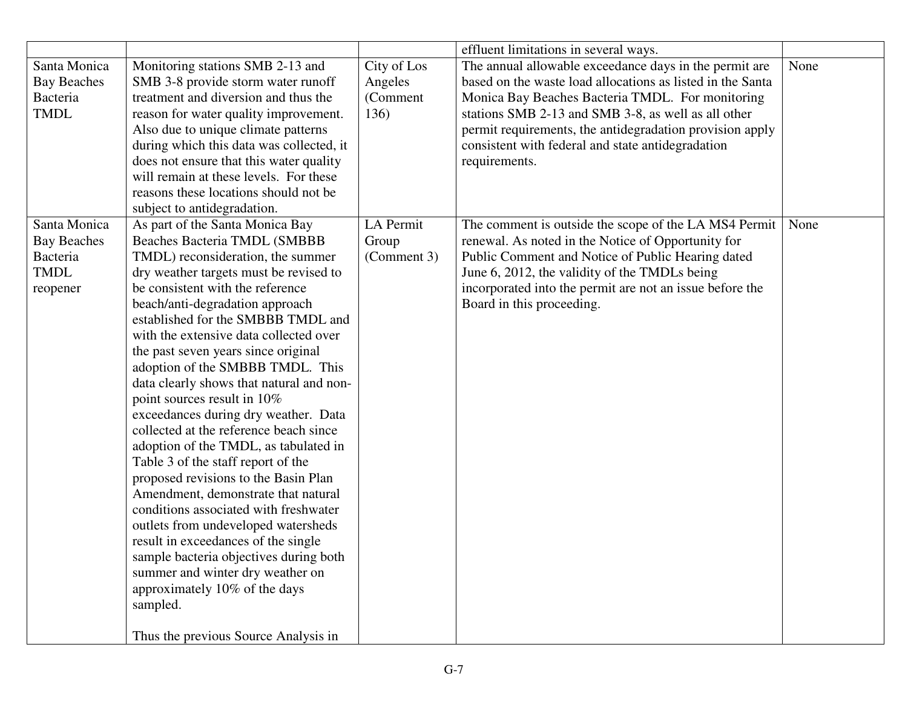|                                                               |                                                                                                                                                                                                                                                                                                                                                                                                         |                                            | effluent limitations in several ways.                                                                                                                                                                                                                                                                                                                             |      |
|---------------------------------------------------------------|---------------------------------------------------------------------------------------------------------------------------------------------------------------------------------------------------------------------------------------------------------------------------------------------------------------------------------------------------------------------------------------------------------|--------------------------------------------|-------------------------------------------------------------------------------------------------------------------------------------------------------------------------------------------------------------------------------------------------------------------------------------------------------------------------------------------------------------------|------|
| Santa Monica<br><b>Bay Beaches</b><br>Bacteria<br><b>TMDL</b> | Monitoring stations SMB 2-13 and<br>SMB 3-8 provide storm water runoff<br>treatment and diversion and thus the<br>reason for water quality improvement.<br>Also due to unique climate patterns<br>during which this data was collected, it<br>does not ensure that this water quality<br>will remain at these levels. For these<br>reasons these locations should not be<br>subject to antidegradation. | City of Los<br>Angeles<br>(Comment<br>136) | The annual allowable exceedance days in the permit are<br>based on the waste load allocations as listed in the Santa<br>Monica Bay Beaches Bacteria TMDL. For monitoring<br>stations SMB 2-13 and SMB 3-8, as well as all other<br>permit requirements, the antidegradation provision apply<br>consistent with federal and state antidegradation<br>requirements. | None |
| Santa Monica                                                  | As part of the Santa Monica Bay                                                                                                                                                                                                                                                                                                                                                                         | LA Permit                                  | The comment is outside the scope of the LA MS4 Permit                                                                                                                                                                                                                                                                                                             | None |
| <b>Bay Beaches</b><br>Bacteria                                | Beaches Bacteria TMDL (SMBBB<br>TMDL) reconsideration, the summer                                                                                                                                                                                                                                                                                                                                       | Group<br>(Comment 3)                       | renewal. As noted in the Notice of Opportunity for<br>Public Comment and Notice of Public Hearing dated                                                                                                                                                                                                                                                           |      |
| <b>TMDL</b>                                                   | dry weather targets must be revised to                                                                                                                                                                                                                                                                                                                                                                  |                                            | June 6, 2012, the validity of the TMDLs being                                                                                                                                                                                                                                                                                                                     |      |
| reopener                                                      | be consistent with the reference                                                                                                                                                                                                                                                                                                                                                                        |                                            | incorporated into the permit are not an issue before the                                                                                                                                                                                                                                                                                                          |      |
|                                                               | beach/anti-degradation approach                                                                                                                                                                                                                                                                                                                                                                         |                                            | Board in this proceeding.                                                                                                                                                                                                                                                                                                                                         |      |
|                                                               | established for the SMBBB TMDL and                                                                                                                                                                                                                                                                                                                                                                      |                                            |                                                                                                                                                                                                                                                                                                                                                                   |      |
|                                                               | with the extensive data collected over                                                                                                                                                                                                                                                                                                                                                                  |                                            |                                                                                                                                                                                                                                                                                                                                                                   |      |
|                                                               | the past seven years since original                                                                                                                                                                                                                                                                                                                                                                     |                                            |                                                                                                                                                                                                                                                                                                                                                                   |      |
|                                                               | adoption of the SMBBB TMDL. This                                                                                                                                                                                                                                                                                                                                                                        |                                            |                                                                                                                                                                                                                                                                                                                                                                   |      |
|                                                               | data clearly shows that natural and non-                                                                                                                                                                                                                                                                                                                                                                |                                            |                                                                                                                                                                                                                                                                                                                                                                   |      |
|                                                               | point sources result in 10%                                                                                                                                                                                                                                                                                                                                                                             |                                            |                                                                                                                                                                                                                                                                                                                                                                   |      |
|                                                               | exceedances during dry weather. Data                                                                                                                                                                                                                                                                                                                                                                    |                                            |                                                                                                                                                                                                                                                                                                                                                                   |      |
|                                                               | collected at the reference beach since                                                                                                                                                                                                                                                                                                                                                                  |                                            |                                                                                                                                                                                                                                                                                                                                                                   |      |
|                                                               | adoption of the TMDL, as tabulated in                                                                                                                                                                                                                                                                                                                                                                   |                                            |                                                                                                                                                                                                                                                                                                                                                                   |      |
|                                                               | Table 3 of the staff report of the                                                                                                                                                                                                                                                                                                                                                                      |                                            |                                                                                                                                                                                                                                                                                                                                                                   |      |
|                                                               | proposed revisions to the Basin Plan<br>Amendment, demonstrate that natural                                                                                                                                                                                                                                                                                                                             |                                            |                                                                                                                                                                                                                                                                                                                                                                   |      |
|                                                               | conditions associated with freshwater                                                                                                                                                                                                                                                                                                                                                                   |                                            |                                                                                                                                                                                                                                                                                                                                                                   |      |
|                                                               | outlets from undeveloped watersheds                                                                                                                                                                                                                                                                                                                                                                     |                                            |                                                                                                                                                                                                                                                                                                                                                                   |      |
|                                                               | result in exceedances of the single                                                                                                                                                                                                                                                                                                                                                                     |                                            |                                                                                                                                                                                                                                                                                                                                                                   |      |
|                                                               | sample bacteria objectives during both                                                                                                                                                                                                                                                                                                                                                                  |                                            |                                                                                                                                                                                                                                                                                                                                                                   |      |
|                                                               | summer and winter dry weather on                                                                                                                                                                                                                                                                                                                                                                        |                                            |                                                                                                                                                                                                                                                                                                                                                                   |      |
|                                                               | approximately 10% of the days                                                                                                                                                                                                                                                                                                                                                                           |                                            |                                                                                                                                                                                                                                                                                                                                                                   |      |
|                                                               | sampled.                                                                                                                                                                                                                                                                                                                                                                                                |                                            |                                                                                                                                                                                                                                                                                                                                                                   |      |
|                                                               |                                                                                                                                                                                                                                                                                                                                                                                                         |                                            |                                                                                                                                                                                                                                                                                                                                                                   |      |
|                                                               | Thus the previous Source Analysis in                                                                                                                                                                                                                                                                                                                                                                    |                                            |                                                                                                                                                                                                                                                                                                                                                                   |      |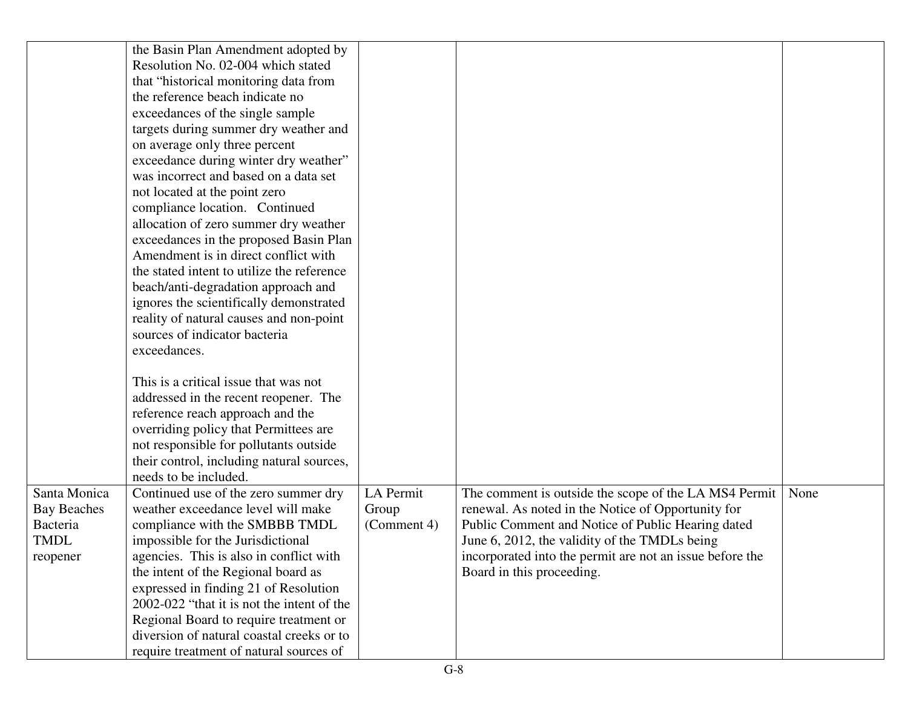|                    | the Basin Plan Amendment adopted by        |             |                                                          |      |
|--------------------|--------------------------------------------|-------------|----------------------------------------------------------|------|
|                    | Resolution No. 02-004 which stated         |             |                                                          |      |
|                    | that "historical monitoring data from      |             |                                                          |      |
|                    | the reference beach indicate no            |             |                                                          |      |
|                    | exceedances of the single sample           |             |                                                          |      |
|                    | targets during summer dry weather and      |             |                                                          |      |
|                    | on average only three percent              |             |                                                          |      |
|                    | exceedance during winter dry weather"      |             |                                                          |      |
|                    | was incorrect and based on a data set      |             |                                                          |      |
|                    | not located at the point zero              |             |                                                          |      |
|                    | compliance location. Continued             |             |                                                          |      |
|                    | allocation of zero summer dry weather      |             |                                                          |      |
|                    | exceedances in the proposed Basin Plan     |             |                                                          |      |
|                    | Amendment is in direct conflict with       |             |                                                          |      |
|                    | the stated intent to utilize the reference |             |                                                          |      |
|                    | beach/anti-degradation approach and        |             |                                                          |      |
|                    | ignores the scientifically demonstrated    |             |                                                          |      |
|                    | reality of natural causes and non-point    |             |                                                          |      |
|                    | sources of indicator bacteria              |             |                                                          |      |
|                    | exceedances.                               |             |                                                          |      |
|                    |                                            |             |                                                          |      |
|                    | This is a critical issue that was not      |             |                                                          |      |
|                    | addressed in the recent reopener. The      |             |                                                          |      |
|                    | reference reach approach and the           |             |                                                          |      |
|                    | overriding policy that Permittees are      |             |                                                          |      |
|                    | not responsible for pollutants outside     |             |                                                          |      |
|                    | their control, including natural sources,  |             |                                                          |      |
|                    | needs to be included.                      |             |                                                          |      |
| Santa Monica       | Continued use of the zero summer dry       | LA Permit   | The comment is outside the scope of the LA MS4 Permit    | None |
| <b>Bay Beaches</b> | weather exceedance level will make         | Group       | renewal. As noted in the Notice of Opportunity for       |      |
| Bacteria           | compliance with the SMBBB TMDL             | (Comment 4) | Public Comment and Notice of Public Hearing dated        |      |
| <b>TMDL</b>        | impossible for the Jurisdictional          |             | June 6, 2012, the validity of the TMDLs being            |      |
| reopener           | agencies. This is also in conflict with    |             | incorporated into the permit are not an issue before the |      |
|                    | the intent of the Regional board as        |             | Board in this proceeding.                                |      |
|                    | expressed in finding 21 of Resolution      |             |                                                          |      |
|                    | 2002-022 "that it is not the intent of the |             |                                                          |      |
|                    | Regional Board to require treatment or     |             |                                                          |      |
|                    | diversion of natural coastal creeks or to  |             |                                                          |      |
|                    | require treatment of natural sources of    |             |                                                          |      |
|                    |                                            |             |                                                          |      |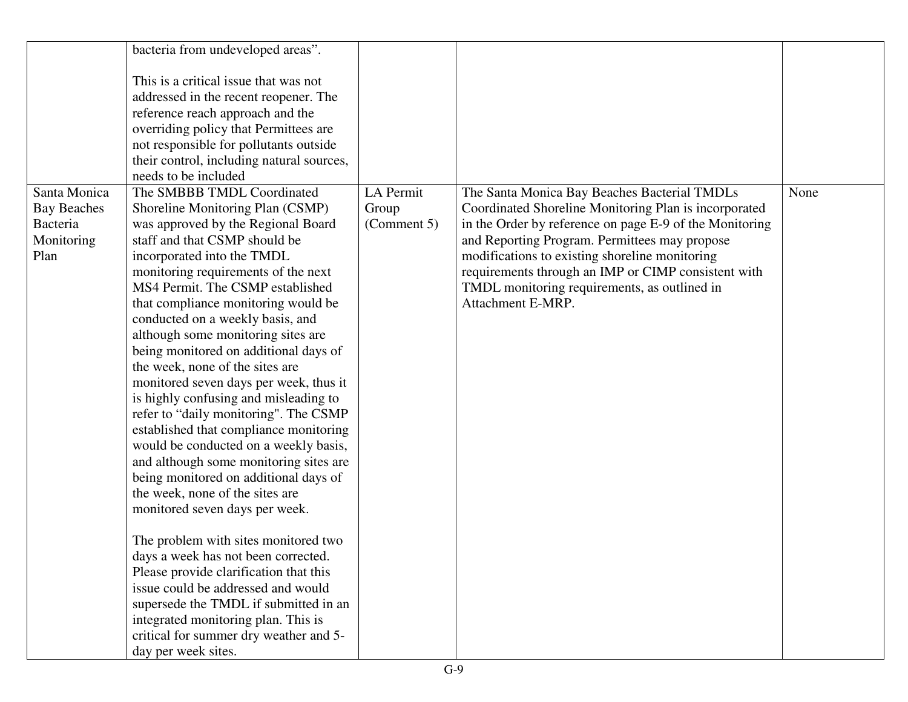|                    | bacteria from undeveloped areas".         |             |                                                         |      |
|--------------------|-------------------------------------------|-------------|---------------------------------------------------------|------|
|                    |                                           |             |                                                         |      |
|                    | This is a critical issue that was not     |             |                                                         |      |
|                    | addressed in the recent reopener. The     |             |                                                         |      |
|                    | reference reach approach and the          |             |                                                         |      |
|                    | overriding policy that Permittees are     |             |                                                         |      |
|                    | not responsible for pollutants outside    |             |                                                         |      |
|                    | their control, including natural sources, |             |                                                         |      |
|                    | needs to be included                      |             |                                                         |      |
| Santa Monica       | The SMBBB TMDL Coordinated                | LA Permit   | The Santa Monica Bay Beaches Bacterial TMDLs            | None |
| <b>Bay Beaches</b> | Shoreline Monitoring Plan (CSMP)          | Group       | Coordinated Shoreline Monitoring Plan is incorporated   |      |
| Bacteria           | was approved by the Regional Board        | (Comment 5) | in the Order by reference on page E-9 of the Monitoring |      |
| Monitoring         | staff and that CSMP should be             |             | and Reporting Program. Permittees may propose           |      |
| Plan               | incorporated into the TMDL                |             | modifications to existing shoreline monitoring          |      |
|                    | monitoring requirements of the next       |             | requirements through an IMP or CIMP consistent with     |      |
|                    | MS4 Permit. The CSMP established          |             | TMDL monitoring requirements, as outlined in            |      |
|                    | that compliance monitoring would be       |             | Attachment E-MRP.                                       |      |
|                    | conducted on a weekly basis, and          |             |                                                         |      |
|                    | although some monitoring sites are        |             |                                                         |      |
|                    | being monitored on additional days of     |             |                                                         |      |
|                    | the week, none of the sites are           |             |                                                         |      |
|                    | monitored seven days per week, thus it    |             |                                                         |      |
|                    | is highly confusing and misleading to     |             |                                                         |      |
|                    | refer to "daily monitoring". The CSMP     |             |                                                         |      |
|                    | established that compliance monitoring    |             |                                                         |      |
|                    | would be conducted on a weekly basis,     |             |                                                         |      |
|                    | and although some monitoring sites are    |             |                                                         |      |
|                    | being monitored on additional days of     |             |                                                         |      |
|                    | the week, none of the sites are           |             |                                                         |      |
|                    | monitored seven days per week.            |             |                                                         |      |
|                    |                                           |             |                                                         |      |
|                    | The problem with sites monitored two      |             |                                                         |      |
|                    | days a week has not been corrected.       |             |                                                         |      |
|                    | Please provide clarification that this    |             |                                                         |      |
|                    | issue could be addressed and would        |             |                                                         |      |
|                    | supersede the TMDL if submitted in an     |             |                                                         |      |
|                    | integrated monitoring plan. This is       |             |                                                         |      |
|                    | critical for summer dry weather and 5-    |             |                                                         |      |
|                    | day per week sites.                       |             |                                                         |      |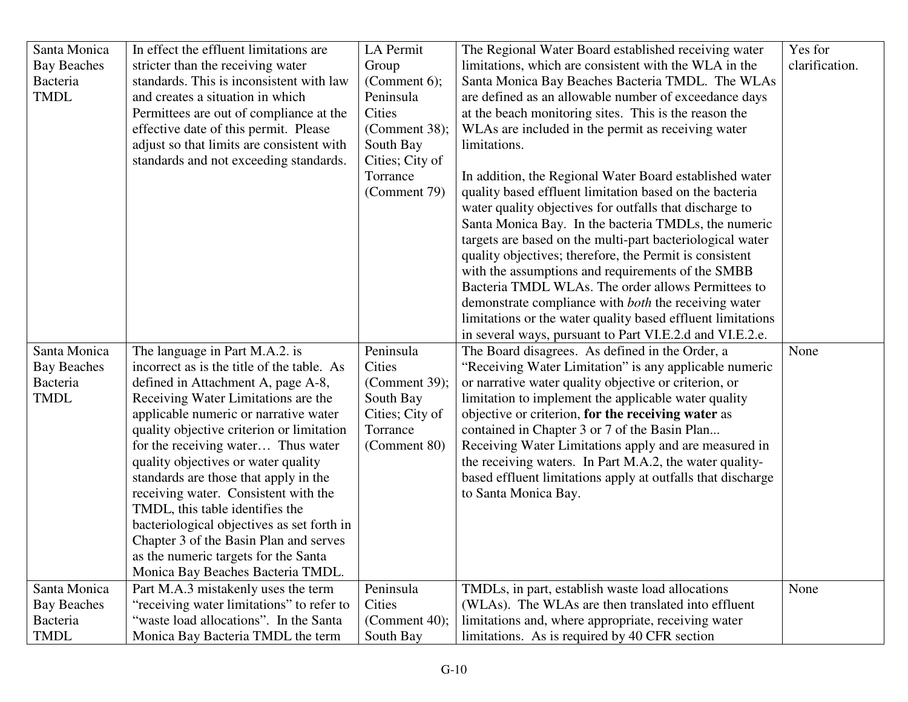| Santa Monica       | In effect the effluent limitations are     | LA Permit        | The Regional Water Board established receiving water        | Yes for        |
|--------------------|--------------------------------------------|------------------|-------------------------------------------------------------|----------------|
| <b>Bay Beaches</b> | stricter than the receiving water          | Group            | limitations, which are consistent with the WLA in the       | clarification. |
| <b>Bacteria</b>    | standards. This is inconsistent with law   | (Comment $6$ );  | Santa Monica Bay Beaches Bacteria TMDL. The WLAs            |                |
| <b>TMDL</b>        | and creates a situation in which           | Peninsula        | are defined as an allowable number of exceedance days       |                |
|                    | Permittees are out of compliance at the    | Cities           | at the beach monitoring sites. This is the reason the       |                |
|                    | effective date of this permit. Please      | (Comment $38$ ); | WLAs are included in the permit as receiving water          |                |
|                    | adjust so that limits are consistent with  | South Bay        | limitations.                                                |                |
|                    | standards and not exceeding standards.     | Cities; City of  |                                                             |                |
|                    |                                            | Torrance         | In addition, the Regional Water Board established water     |                |
|                    |                                            | (Comment 79)     | quality based effluent limitation based on the bacteria     |                |
|                    |                                            |                  | water quality objectives for outfalls that discharge to     |                |
|                    |                                            |                  | Santa Monica Bay. In the bacteria TMDLs, the numeric        |                |
|                    |                                            |                  | targets are based on the multi-part bacteriological water   |                |
|                    |                                            |                  | quality objectives; therefore, the Permit is consistent     |                |
|                    |                                            |                  | with the assumptions and requirements of the SMBB           |                |
|                    |                                            |                  | Bacteria TMDL WLAs. The order allows Permittees to          |                |
|                    |                                            |                  | demonstrate compliance with <i>both</i> the receiving water |                |
|                    |                                            |                  | limitations or the water quality based effluent limitations |                |
|                    |                                            |                  | in several ways, pursuant to Part VI.E.2.d and VI.E.2.e.    |                |
| Santa Monica       | The language in Part M.A.2. is             | Peninsula        | The Board disagrees. As defined in the Order, a             | None           |
| <b>Bay Beaches</b> | incorrect as is the title of the table. As | Cities           | "Receiving Water Limitation" is any applicable numeric      |                |
| <b>Bacteria</b>    | defined in Attachment A, page A-8,         | (Comment 39);    | or narrative water quality objective or criterion, or       |                |
| <b>TMDL</b>        | Receiving Water Limitations are the        | South Bay        | limitation to implement the applicable water quality        |                |
|                    | applicable numeric or narrative water      | Cities; City of  | objective or criterion, for the receiving water as          |                |
|                    | quality objective criterion or limitation  | Torrance         | contained in Chapter 3 or 7 of the Basin Plan               |                |
|                    | for the receiving water Thus water         | (Comment 80)     | Receiving Water Limitations apply and are measured in       |                |
|                    | quality objectives or water quality        |                  | the receiving waters. In Part M.A.2, the water quality-     |                |
|                    | standards are those that apply in the      |                  | based effluent limitations apply at outfalls that discharge |                |
|                    | receiving water. Consistent with the       |                  | to Santa Monica Bay.                                        |                |
|                    | TMDL, this table identifies the            |                  |                                                             |                |
|                    | bacteriological objectives as set forth in |                  |                                                             |                |
|                    | Chapter 3 of the Basin Plan and serves     |                  |                                                             |                |
|                    | as the numeric targets for the Santa       |                  |                                                             |                |
|                    | Monica Bay Beaches Bacteria TMDL.          |                  |                                                             |                |
| Santa Monica       | Part M.A.3 mistakenly uses the term        | Peninsula        | TMDLs, in part, establish waste load allocations            | None           |
| <b>Bay Beaches</b> | "receiving water limitations" to refer to  | Cities           | (WLAs). The WLAs are then translated into effluent          |                |
| Bacteria           | "waste load allocations". In the Santa     | (Comment 40);    | limitations and, where appropriate, receiving water         |                |
| <b>TMDL</b>        | Monica Bay Bacteria TMDL the term          | South Bay        | limitations. As is required by 40 CFR section               |                |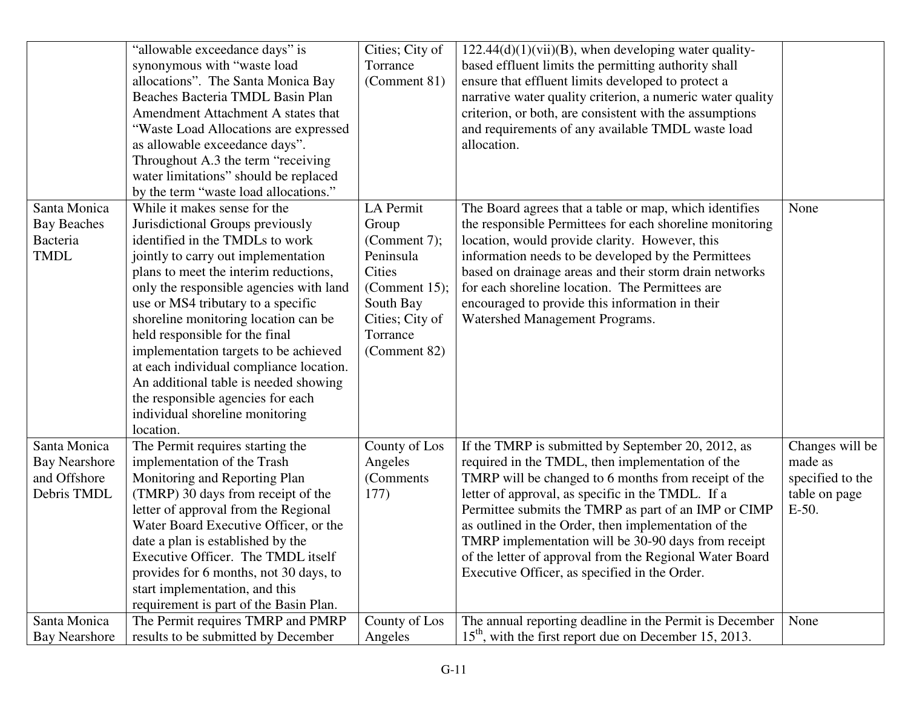|                      | "allowable exceedance days" is          | Cities; City of  | $122.44(d)(1)(vii)(B)$ , when developing water quality-    |                  |
|----------------------|-----------------------------------------|------------------|------------------------------------------------------------|------------------|
|                      | synonymous with "waste load             | Torrance         | based effluent limits the permitting authority shall       |                  |
|                      | allocations". The Santa Monica Bay      | (Comment 81)     | ensure that effluent limits developed to protect a         |                  |
|                      | Beaches Bacteria TMDL Basin Plan        |                  | narrative water quality criterion, a numeric water quality |                  |
|                      | Amendment Attachment A states that      |                  | criterion, or both, are consistent with the assumptions    |                  |
|                      | "Waste Load Allocations are expressed   |                  | and requirements of any available TMDL waste load          |                  |
|                      | as allowable exceedance days".          |                  | allocation.                                                |                  |
|                      | Throughout A.3 the term "receiving"     |                  |                                                            |                  |
|                      | water limitations" should be replaced   |                  |                                                            |                  |
|                      | by the term "waste load allocations."   |                  |                                                            |                  |
| Santa Monica         | While it makes sense for the            | LA Permit        | The Board agrees that a table or map, which identifies     | None             |
| <b>Bay Beaches</b>   | Jurisdictional Groups previously        | Group            | the responsible Permittees for each shoreline monitoring   |                  |
| Bacteria             | identified in the TMDLs to work         | (Comment 7);     | location, would provide clarity. However, this             |                  |
| <b>TMDL</b>          | jointly to carry out implementation     | Peninsula        | information needs to be developed by the Permittees        |                  |
|                      | plans to meet the interim reductions,   | <b>Cities</b>    | based on drainage areas and their storm drain networks     |                  |
|                      | only the responsible agencies with land | (Comment $15$ ); | for each shoreline location. The Permittees are            |                  |
|                      | use or MS4 tributary to a specific      | South Bay        | encouraged to provide this information in their            |                  |
|                      | shoreline monitoring location can be    | Cities; City of  | Watershed Management Programs.                             |                  |
|                      | held responsible for the final          | Torrance         |                                                            |                  |
|                      | implementation targets to be achieved   | (Comment 82)     |                                                            |                  |
|                      | at each individual compliance location. |                  |                                                            |                  |
|                      | An additional table is needed showing   |                  |                                                            |                  |
|                      | the responsible agencies for each       |                  |                                                            |                  |
|                      | individual shoreline monitoring         |                  |                                                            |                  |
|                      | location.                               |                  |                                                            |                  |
| Santa Monica         | The Permit requires starting the        | County of Los    | If the TMRP is submitted by September 20, 2012, as         | Changes will be  |
| <b>Bay Nearshore</b> | implementation of the Trash             | Angeles          | required in the TMDL, then implementation of the           | made as          |
| and Offshore         | Monitoring and Reporting Plan           | (Comments)       | TMRP will be changed to 6 months from receipt of the       | specified to the |
| Debris TMDL          | (TMRP) 30 days from receipt of the      | 177)             | letter of approval, as specific in the TMDL. If a          | table on page    |
|                      | letter of approval from the Regional    |                  | Permittee submits the TMRP as part of an IMP or CIMP       | $E-50$ .         |
|                      | Water Board Executive Officer, or the   |                  | as outlined in the Order, then implementation of the       |                  |
|                      | date a plan is established by the       |                  | TMRP implementation will be 30-90 days from receipt        |                  |
|                      | Executive Officer. The TMDL itself      |                  | of the letter of approval from the Regional Water Board    |                  |
|                      | provides for 6 months, not 30 days, to  |                  | Executive Officer, as specified in the Order.              |                  |
|                      | start implementation, and this          |                  |                                                            |                  |
|                      | requirement is part of the Basin Plan.  |                  |                                                            |                  |
| Santa Monica         | The Permit requires TMRP and PMRP       | County of Los    | The annual reporting deadline in the Permit is December    | None             |
| <b>Bay Nearshore</b> | results to be submitted by December     | Angeles          | $15th$ , with the first report due on December 15, 2013.   |                  |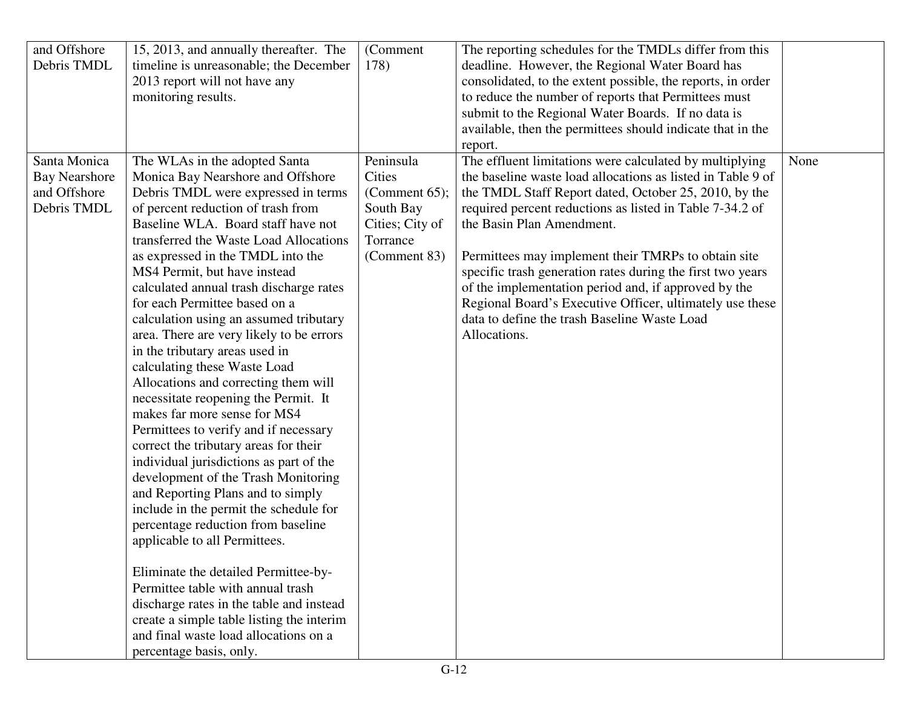| Debris TMDL<br>timeline is unreasonable; the December<br>178)<br>deadline. However, the Regional Water Board has<br>consolidated, to the extent possible, the reports, in order<br>2013 report will not have any<br>to reduce the number of reports that Permittees must<br>monitoring results.<br>submit to the Regional Water Boards. If no data is<br>available, then the permittees should indicate that in the<br>report.<br>The effluent limitations were calculated by multiplying<br>Santa Monica<br>Peninsula<br>The WLAs in the adopted Santa<br>None<br>the baseline waste load allocations as listed in Table 9 of<br><b>Bay Nearshore</b><br>Monica Bay Nearshore and Offshore<br>Cities<br>and Offshore<br>Debris TMDL were expressed in terms<br>the TMDL Staff Report dated, October 25, 2010, by the<br>(Comment $65$ );<br>Debris TMDL<br>of percent reduction of trash from<br>South Bay<br>required percent reductions as listed in Table 7-34.2 of<br>Baseline WLA. Board staff have not<br>Cities; City of<br>the Basin Plan Amendment.<br>transferred the Waste Load Allocations<br>Torrance<br>(Comment 83)<br>as expressed in the TMDL into the<br>Permittees may implement their TMRPs to obtain site<br>MS4 Permit, but have instead<br>specific trash generation rates during the first two years<br>calculated annual trash discharge rates<br>of the implementation period and, if approved by the<br>Regional Board's Executive Officer, ultimately use these<br>for each Permittee based on a<br>data to define the trash Baseline Waste Load<br>calculation using an assumed tributary<br>Allocations.<br>area. There are very likely to be errors<br>in the tributary areas used in<br>calculating these Waste Load<br>Allocations and correcting them will<br>necessitate reopening the Permit. It<br>makes far more sense for MS4<br>Permittees to verify and if necessary<br>correct the tributary areas for their<br>individual jurisdictions as part of the<br>development of the Trash Monitoring<br>and Reporting Plans and to simply<br>include in the permit the schedule for<br>percentage reduction from baseline<br>applicable to all Permittees.<br>Eliminate the detailed Permittee-by-<br>Permittee table with annual trash<br>discharge rates in the table and instead<br>create a simple table listing the interim<br>and final waste load allocations on a | and Offshore | 15, 2013, and annually thereafter. The | (Comment | The reporting schedules for the TMDLs differ from this |  |
|----------------------------------------------------------------------------------------------------------------------------------------------------------------------------------------------------------------------------------------------------------------------------------------------------------------------------------------------------------------------------------------------------------------------------------------------------------------------------------------------------------------------------------------------------------------------------------------------------------------------------------------------------------------------------------------------------------------------------------------------------------------------------------------------------------------------------------------------------------------------------------------------------------------------------------------------------------------------------------------------------------------------------------------------------------------------------------------------------------------------------------------------------------------------------------------------------------------------------------------------------------------------------------------------------------------------------------------------------------------------------------------------------------------------------------------------------------------------------------------------------------------------------------------------------------------------------------------------------------------------------------------------------------------------------------------------------------------------------------------------------------------------------------------------------------------------------------------------------------------------------------------------------------------------------------------------------------------------------------------------------------------------------------------------------------------------------------------------------------------------------------------------------------------------------------------------------------------------------------------------------------------------------------------------------------------------------------------------------------------------------------------------------------------|--------------|----------------------------------------|----------|--------------------------------------------------------|--|
|                                                                                                                                                                                                                                                                                                                                                                                                                                                                                                                                                                                                                                                                                                                                                                                                                                                                                                                                                                                                                                                                                                                                                                                                                                                                                                                                                                                                                                                                                                                                                                                                                                                                                                                                                                                                                                                                                                                                                                                                                                                                                                                                                                                                                                                                                                                                                                                                                |              |                                        |          |                                                        |  |
|                                                                                                                                                                                                                                                                                                                                                                                                                                                                                                                                                                                                                                                                                                                                                                                                                                                                                                                                                                                                                                                                                                                                                                                                                                                                                                                                                                                                                                                                                                                                                                                                                                                                                                                                                                                                                                                                                                                                                                                                                                                                                                                                                                                                                                                                                                                                                                                                                |              |                                        |          |                                                        |  |
|                                                                                                                                                                                                                                                                                                                                                                                                                                                                                                                                                                                                                                                                                                                                                                                                                                                                                                                                                                                                                                                                                                                                                                                                                                                                                                                                                                                                                                                                                                                                                                                                                                                                                                                                                                                                                                                                                                                                                                                                                                                                                                                                                                                                                                                                                                                                                                                                                |              |                                        |          |                                                        |  |
|                                                                                                                                                                                                                                                                                                                                                                                                                                                                                                                                                                                                                                                                                                                                                                                                                                                                                                                                                                                                                                                                                                                                                                                                                                                                                                                                                                                                                                                                                                                                                                                                                                                                                                                                                                                                                                                                                                                                                                                                                                                                                                                                                                                                                                                                                                                                                                                                                |              |                                        |          |                                                        |  |
|                                                                                                                                                                                                                                                                                                                                                                                                                                                                                                                                                                                                                                                                                                                                                                                                                                                                                                                                                                                                                                                                                                                                                                                                                                                                                                                                                                                                                                                                                                                                                                                                                                                                                                                                                                                                                                                                                                                                                                                                                                                                                                                                                                                                                                                                                                                                                                                                                |              |                                        |          |                                                        |  |
|                                                                                                                                                                                                                                                                                                                                                                                                                                                                                                                                                                                                                                                                                                                                                                                                                                                                                                                                                                                                                                                                                                                                                                                                                                                                                                                                                                                                                                                                                                                                                                                                                                                                                                                                                                                                                                                                                                                                                                                                                                                                                                                                                                                                                                                                                                                                                                                                                |              |                                        |          |                                                        |  |
|                                                                                                                                                                                                                                                                                                                                                                                                                                                                                                                                                                                                                                                                                                                                                                                                                                                                                                                                                                                                                                                                                                                                                                                                                                                                                                                                                                                                                                                                                                                                                                                                                                                                                                                                                                                                                                                                                                                                                                                                                                                                                                                                                                                                                                                                                                                                                                                                                |              |                                        |          |                                                        |  |
|                                                                                                                                                                                                                                                                                                                                                                                                                                                                                                                                                                                                                                                                                                                                                                                                                                                                                                                                                                                                                                                                                                                                                                                                                                                                                                                                                                                                                                                                                                                                                                                                                                                                                                                                                                                                                                                                                                                                                                                                                                                                                                                                                                                                                                                                                                                                                                                                                |              |                                        |          |                                                        |  |
|                                                                                                                                                                                                                                                                                                                                                                                                                                                                                                                                                                                                                                                                                                                                                                                                                                                                                                                                                                                                                                                                                                                                                                                                                                                                                                                                                                                                                                                                                                                                                                                                                                                                                                                                                                                                                                                                                                                                                                                                                                                                                                                                                                                                                                                                                                                                                                                                                |              |                                        |          |                                                        |  |
|                                                                                                                                                                                                                                                                                                                                                                                                                                                                                                                                                                                                                                                                                                                                                                                                                                                                                                                                                                                                                                                                                                                                                                                                                                                                                                                                                                                                                                                                                                                                                                                                                                                                                                                                                                                                                                                                                                                                                                                                                                                                                                                                                                                                                                                                                                                                                                                                                |              |                                        |          |                                                        |  |
|                                                                                                                                                                                                                                                                                                                                                                                                                                                                                                                                                                                                                                                                                                                                                                                                                                                                                                                                                                                                                                                                                                                                                                                                                                                                                                                                                                                                                                                                                                                                                                                                                                                                                                                                                                                                                                                                                                                                                                                                                                                                                                                                                                                                                                                                                                                                                                                                                |              |                                        |          |                                                        |  |
|                                                                                                                                                                                                                                                                                                                                                                                                                                                                                                                                                                                                                                                                                                                                                                                                                                                                                                                                                                                                                                                                                                                                                                                                                                                                                                                                                                                                                                                                                                                                                                                                                                                                                                                                                                                                                                                                                                                                                                                                                                                                                                                                                                                                                                                                                                                                                                                                                |              |                                        |          |                                                        |  |
|                                                                                                                                                                                                                                                                                                                                                                                                                                                                                                                                                                                                                                                                                                                                                                                                                                                                                                                                                                                                                                                                                                                                                                                                                                                                                                                                                                                                                                                                                                                                                                                                                                                                                                                                                                                                                                                                                                                                                                                                                                                                                                                                                                                                                                                                                                                                                                                                                |              |                                        |          |                                                        |  |
|                                                                                                                                                                                                                                                                                                                                                                                                                                                                                                                                                                                                                                                                                                                                                                                                                                                                                                                                                                                                                                                                                                                                                                                                                                                                                                                                                                                                                                                                                                                                                                                                                                                                                                                                                                                                                                                                                                                                                                                                                                                                                                                                                                                                                                                                                                                                                                                                                |              |                                        |          |                                                        |  |
|                                                                                                                                                                                                                                                                                                                                                                                                                                                                                                                                                                                                                                                                                                                                                                                                                                                                                                                                                                                                                                                                                                                                                                                                                                                                                                                                                                                                                                                                                                                                                                                                                                                                                                                                                                                                                                                                                                                                                                                                                                                                                                                                                                                                                                                                                                                                                                                                                |              |                                        |          |                                                        |  |
|                                                                                                                                                                                                                                                                                                                                                                                                                                                                                                                                                                                                                                                                                                                                                                                                                                                                                                                                                                                                                                                                                                                                                                                                                                                                                                                                                                                                                                                                                                                                                                                                                                                                                                                                                                                                                                                                                                                                                                                                                                                                                                                                                                                                                                                                                                                                                                                                                |              |                                        |          |                                                        |  |
|                                                                                                                                                                                                                                                                                                                                                                                                                                                                                                                                                                                                                                                                                                                                                                                                                                                                                                                                                                                                                                                                                                                                                                                                                                                                                                                                                                                                                                                                                                                                                                                                                                                                                                                                                                                                                                                                                                                                                                                                                                                                                                                                                                                                                                                                                                                                                                                                                |              |                                        |          |                                                        |  |
|                                                                                                                                                                                                                                                                                                                                                                                                                                                                                                                                                                                                                                                                                                                                                                                                                                                                                                                                                                                                                                                                                                                                                                                                                                                                                                                                                                                                                                                                                                                                                                                                                                                                                                                                                                                                                                                                                                                                                                                                                                                                                                                                                                                                                                                                                                                                                                                                                |              |                                        |          |                                                        |  |
|                                                                                                                                                                                                                                                                                                                                                                                                                                                                                                                                                                                                                                                                                                                                                                                                                                                                                                                                                                                                                                                                                                                                                                                                                                                                                                                                                                                                                                                                                                                                                                                                                                                                                                                                                                                                                                                                                                                                                                                                                                                                                                                                                                                                                                                                                                                                                                                                                |              |                                        |          |                                                        |  |
|                                                                                                                                                                                                                                                                                                                                                                                                                                                                                                                                                                                                                                                                                                                                                                                                                                                                                                                                                                                                                                                                                                                                                                                                                                                                                                                                                                                                                                                                                                                                                                                                                                                                                                                                                                                                                                                                                                                                                                                                                                                                                                                                                                                                                                                                                                                                                                                                                |              |                                        |          |                                                        |  |
|                                                                                                                                                                                                                                                                                                                                                                                                                                                                                                                                                                                                                                                                                                                                                                                                                                                                                                                                                                                                                                                                                                                                                                                                                                                                                                                                                                                                                                                                                                                                                                                                                                                                                                                                                                                                                                                                                                                                                                                                                                                                                                                                                                                                                                                                                                                                                                                                                |              |                                        |          |                                                        |  |
|                                                                                                                                                                                                                                                                                                                                                                                                                                                                                                                                                                                                                                                                                                                                                                                                                                                                                                                                                                                                                                                                                                                                                                                                                                                                                                                                                                                                                                                                                                                                                                                                                                                                                                                                                                                                                                                                                                                                                                                                                                                                                                                                                                                                                                                                                                                                                                                                                |              |                                        |          |                                                        |  |
|                                                                                                                                                                                                                                                                                                                                                                                                                                                                                                                                                                                                                                                                                                                                                                                                                                                                                                                                                                                                                                                                                                                                                                                                                                                                                                                                                                                                                                                                                                                                                                                                                                                                                                                                                                                                                                                                                                                                                                                                                                                                                                                                                                                                                                                                                                                                                                                                                |              |                                        |          |                                                        |  |
|                                                                                                                                                                                                                                                                                                                                                                                                                                                                                                                                                                                                                                                                                                                                                                                                                                                                                                                                                                                                                                                                                                                                                                                                                                                                                                                                                                                                                                                                                                                                                                                                                                                                                                                                                                                                                                                                                                                                                                                                                                                                                                                                                                                                                                                                                                                                                                                                                |              |                                        |          |                                                        |  |
|                                                                                                                                                                                                                                                                                                                                                                                                                                                                                                                                                                                                                                                                                                                                                                                                                                                                                                                                                                                                                                                                                                                                                                                                                                                                                                                                                                                                                                                                                                                                                                                                                                                                                                                                                                                                                                                                                                                                                                                                                                                                                                                                                                                                                                                                                                                                                                                                                |              |                                        |          |                                                        |  |
|                                                                                                                                                                                                                                                                                                                                                                                                                                                                                                                                                                                                                                                                                                                                                                                                                                                                                                                                                                                                                                                                                                                                                                                                                                                                                                                                                                                                                                                                                                                                                                                                                                                                                                                                                                                                                                                                                                                                                                                                                                                                                                                                                                                                                                                                                                                                                                                                                |              |                                        |          |                                                        |  |
|                                                                                                                                                                                                                                                                                                                                                                                                                                                                                                                                                                                                                                                                                                                                                                                                                                                                                                                                                                                                                                                                                                                                                                                                                                                                                                                                                                                                                                                                                                                                                                                                                                                                                                                                                                                                                                                                                                                                                                                                                                                                                                                                                                                                                                                                                                                                                                                                                |              |                                        |          |                                                        |  |
|                                                                                                                                                                                                                                                                                                                                                                                                                                                                                                                                                                                                                                                                                                                                                                                                                                                                                                                                                                                                                                                                                                                                                                                                                                                                                                                                                                                                                                                                                                                                                                                                                                                                                                                                                                                                                                                                                                                                                                                                                                                                                                                                                                                                                                                                                                                                                                                                                |              |                                        |          |                                                        |  |
|                                                                                                                                                                                                                                                                                                                                                                                                                                                                                                                                                                                                                                                                                                                                                                                                                                                                                                                                                                                                                                                                                                                                                                                                                                                                                                                                                                                                                                                                                                                                                                                                                                                                                                                                                                                                                                                                                                                                                                                                                                                                                                                                                                                                                                                                                                                                                                                                                |              |                                        |          |                                                        |  |
|                                                                                                                                                                                                                                                                                                                                                                                                                                                                                                                                                                                                                                                                                                                                                                                                                                                                                                                                                                                                                                                                                                                                                                                                                                                                                                                                                                                                                                                                                                                                                                                                                                                                                                                                                                                                                                                                                                                                                                                                                                                                                                                                                                                                                                                                                                                                                                                                                |              |                                        |          |                                                        |  |
|                                                                                                                                                                                                                                                                                                                                                                                                                                                                                                                                                                                                                                                                                                                                                                                                                                                                                                                                                                                                                                                                                                                                                                                                                                                                                                                                                                                                                                                                                                                                                                                                                                                                                                                                                                                                                                                                                                                                                                                                                                                                                                                                                                                                                                                                                                                                                                                                                |              |                                        |          |                                                        |  |
|                                                                                                                                                                                                                                                                                                                                                                                                                                                                                                                                                                                                                                                                                                                                                                                                                                                                                                                                                                                                                                                                                                                                                                                                                                                                                                                                                                                                                                                                                                                                                                                                                                                                                                                                                                                                                                                                                                                                                                                                                                                                                                                                                                                                                                                                                                                                                                                                                |              |                                        |          |                                                        |  |
|                                                                                                                                                                                                                                                                                                                                                                                                                                                                                                                                                                                                                                                                                                                                                                                                                                                                                                                                                                                                                                                                                                                                                                                                                                                                                                                                                                                                                                                                                                                                                                                                                                                                                                                                                                                                                                                                                                                                                                                                                                                                                                                                                                                                                                                                                                                                                                                                                |              |                                        |          |                                                        |  |
|                                                                                                                                                                                                                                                                                                                                                                                                                                                                                                                                                                                                                                                                                                                                                                                                                                                                                                                                                                                                                                                                                                                                                                                                                                                                                                                                                                                                                                                                                                                                                                                                                                                                                                                                                                                                                                                                                                                                                                                                                                                                                                                                                                                                                                                                                                                                                                                                                |              |                                        |          |                                                        |  |
|                                                                                                                                                                                                                                                                                                                                                                                                                                                                                                                                                                                                                                                                                                                                                                                                                                                                                                                                                                                                                                                                                                                                                                                                                                                                                                                                                                                                                                                                                                                                                                                                                                                                                                                                                                                                                                                                                                                                                                                                                                                                                                                                                                                                                                                                                                                                                                                                                |              |                                        |          |                                                        |  |
|                                                                                                                                                                                                                                                                                                                                                                                                                                                                                                                                                                                                                                                                                                                                                                                                                                                                                                                                                                                                                                                                                                                                                                                                                                                                                                                                                                                                                                                                                                                                                                                                                                                                                                                                                                                                                                                                                                                                                                                                                                                                                                                                                                                                                                                                                                                                                                                                                |              |                                        |          |                                                        |  |
|                                                                                                                                                                                                                                                                                                                                                                                                                                                                                                                                                                                                                                                                                                                                                                                                                                                                                                                                                                                                                                                                                                                                                                                                                                                                                                                                                                                                                                                                                                                                                                                                                                                                                                                                                                                                                                                                                                                                                                                                                                                                                                                                                                                                                                                                                                                                                                                                                |              |                                        |          |                                                        |  |
|                                                                                                                                                                                                                                                                                                                                                                                                                                                                                                                                                                                                                                                                                                                                                                                                                                                                                                                                                                                                                                                                                                                                                                                                                                                                                                                                                                                                                                                                                                                                                                                                                                                                                                                                                                                                                                                                                                                                                                                                                                                                                                                                                                                                                                                                                                                                                                                                                |              | percentage basis, only.                |          |                                                        |  |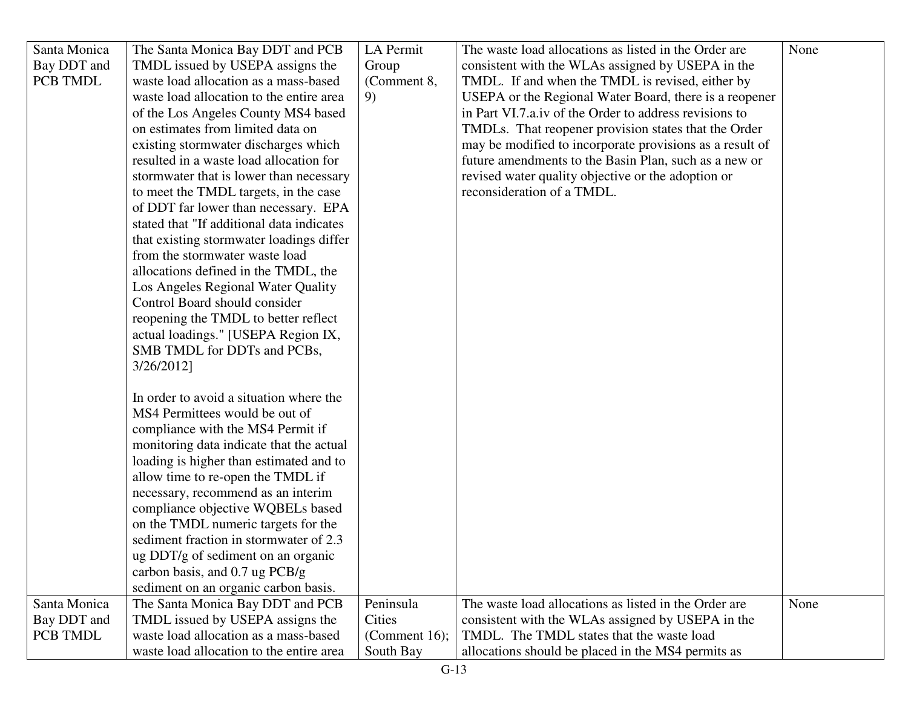| Santa Monica | The Santa Monica Bay DDT and PCB          | LA Permit        | The waste load allocations as listed in the Order are    | None |
|--------------|-------------------------------------------|------------------|----------------------------------------------------------|------|
| Bay DDT and  | TMDL issued by USEPA assigns the          | Group            | consistent with the WLAs assigned by USEPA in the        |      |
| PCB TMDL     | waste load allocation as a mass-based     | (Comment 8,      | TMDL. If and when the TMDL is revised, either by         |      |
|              | waste load allocation to the entire area  | 9)               | USEPA or the Regional Water Board, there is a reopener   |      |
|              | of the Los Angeles County MS4 based       |                  | in Part VI.7.a.iv of the Order to address revisions to   |      |
|              | on estimates from limited data on         |                  | TMDLs. That reopener provision states that the Order     |      |
|              | existing stormwater discharges which      |                  | may be modified to incorporate provisions as a result of |      |
|              | resulted in a waste load allocation for   |                  | future amendments to the Basin Plan, such as a new or    |      |
|              | stormwater that is lower than necessary   |                  | revised water quality objective or the adoption or       |      |
|              | to meet the TMDL targets, in the case     |                  | reconsideration of a TMDL.                               |      |
|              | of DDT far lower than necessary. EPA      |                  |                                                          |      |
|              | stated that "If additional data indicates |                  |                                                          |      |
|              | that existing stormwater loadings differ  |                  |                                                          |      |
|              | from the stormwater waste load            |                  |                                                          |      |
|              | allocations defined in the TMDL, the      |                  |                                                          |      |
|              | Los Angeles Regional Water Quality        |                  |                                                          |      |
|              | Control Board should consider             |                  |                                                          |      |
|              | reopening the TMDL to better reflect      |                  |                                                          |      |
|              | actual loadings." [USEPA Region IX,       |                  |                                                          |      |
|              | SMB TMDL for DDTs and PCBs,               |                  |                                                          |      |
|              | 3/26/2012]                                |                  |                                                          |      |
|              |                                           |                  |                                                          |      |
|              | In order to avoid a situation where the   |                  |                                                          |      |
|              | MS4 Permittees would be out of            |                  |                                                          |      |
|              | compliance with the MS4 Permit if         |                  |                                                          |      |
|              | monitoring data indicate that the actual  |                  |                                                          |      |
|              | loading is higher than estimated and to   |                  |                                                          |      |
|              | allow time to re-open the TMDL if         |                  |                                                          |      |
|              | necessary, recommend as an interim        |                  |                                                          |      |
|              | compliance objective WQBELs based         |                  |                                                          |      |
|              | on the TMDL numeric targets for the       |                  |                                                          |      |
|              | sediment fraction in stormwater of 2.3    |                  |                                                          |      |
|              | ug DDT/g of sediment on an organic        |                  |                                                          |      |
|              | carbon basis, and 0.7 ug PCB/g            |                  |                                                          |      |
|              | sediment on an organic carbon basis.      |                  |                                                          |      |
| Santa Monica | The Santa Monica Bay DDT and PCB          | Peninsula        | The waste load allocations as listed in the Order are    | None |
| Bay DDT and  | TMDL issued by USEPA assigns the          | Cities           | consistent with the WLAs assigned by USEPA in the        |      |
| PCB TMDL     | waste load allocation as a mass-based     | (Comment $16$ ); | TMDL. The TMDL states that the waste load                |      |
|              | waste load allocation to the entire area  | South Bay        | allocations should be placed in the MS4 permits as       |      |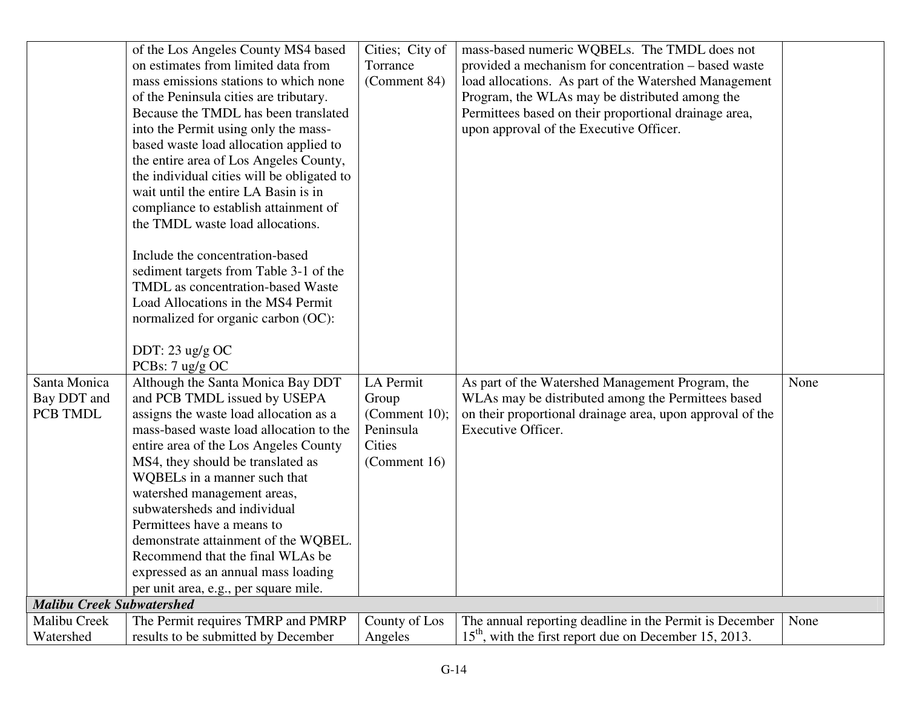|                                  | of the Los Angeles County MS4 based        | Cities; City of  | mass-based numeric WQBELs. The TMDL does not              |      |
|----------------------------------|--------------------------------------------|------------------|-----------------------------------------------------------|------|
|                                  | on estimates from limited data from        | Torrance         | provided a mechanism for concentration – based waste      |      |
|                                  | mass emissions stations to which none      | (Comment 84)     | load allocations. As part of the Watershed Management     |      |
|                                  | of the Peninsula cities are tributary.     |                  | Program, the WLAs may be distributed among the            |      |
|                                  | Because the TMDL has been translated       |                  | Permittees based on their proportional drainage area,     |      |
|                                  | into the Permit using only the mass-       |                  | upon approval of the Executive Officer.                   |      |
|                                  | based waste load allocation applied to     |                  |                                                           |      |
|                                  | the entire area of Los Angeles County,     |                  |                                                           |      |
|                                  | the individual cities will be obligated to |                  |                                                           |      |
|                                  | wait until the entire LA Basin is in       |                  |                                                           |      |
|                                  | compliance to establish attainment of      |                  |                                                           |      |
|                                  | the TMDL waste load allocations.           |                  |                                                           |      |
|                                  |                                            |                  |                                                           |      |
|                                  | Include the concentration-based            |                  |                                                           |      |
|                                  | sediment targets from Table 3-1 of the     |                  |                                                           |      |
|                                  | TMDL as concentration-based Waste          |                  |                                                           |      |
|                                  | Load Allocations in the MS4 Permit         |                  |                                                           |      |
|                                  | normalized for organic carbon (OC):        |                  |                                                           |      |
|                                  |                                            |                  |                                                           |      |
|                                  | DDT: $23$ ug/g OC                          |                  |                                                           |      |
|                                  | PCBs: 7 ug/g OC                            |                  |                                                           |      |
| Santa Monica                     | Although the Santa Monica Bay DDT          | LA Permit        | As part of the Watershed Management Program, the          | None |
| Bay DDT and                      | and PCB TMDL issued by USEPA               | Group            | WLAs may be distributed among the Permittees based        |      |
| PCB TMDL                         | assigns the waste load allocation as a     | (Comment $10$ ); | on their proportional drainage area, upon approval of the |      |
|                                  | mass-based waste load allocation to the    | Peninsula        | Executive Officer.                                        |      |
|                                  | entire area of the Los Angeles County      | Cities           |                                                           |      |
|                                  | MS4, they should be translated as          | (Comment 16)     |                                                           |      |
|                                  | WQBELs in a manner such that               |                  |                                                           |      |
|                                  | watershed management areas,                |                  |                                                           |      |
|                                  | subwatersheds and individual               |                  |                                                           |      |
|                                  | Permittees have a means to                 |                  |                                                           |      |
|                                  | demonstrate attainment of the WQBEL.       |                  |                                                           |      |
|                                  | Recommend that the final WLAs be           |                  |                                                           |      |
|                                  | expressed as an annual mass loading        |                  |                                                           |      |
|                                  | per unit area, e.g., per square mile.      |                  |                                                           |      |
| <b>Malibu Creek Subwatershed</b> |                                            |                  |                                                           |      |
| Malibu Creek                     | The Permit requires TMRP and PMRP          | County of Los    | The annual reporting deadline in the Permit is December   | None |
| Watershed                        | results to be submitted by December        | Angeles          | $15th$ , with the first report due on December 15, 2013.  |      |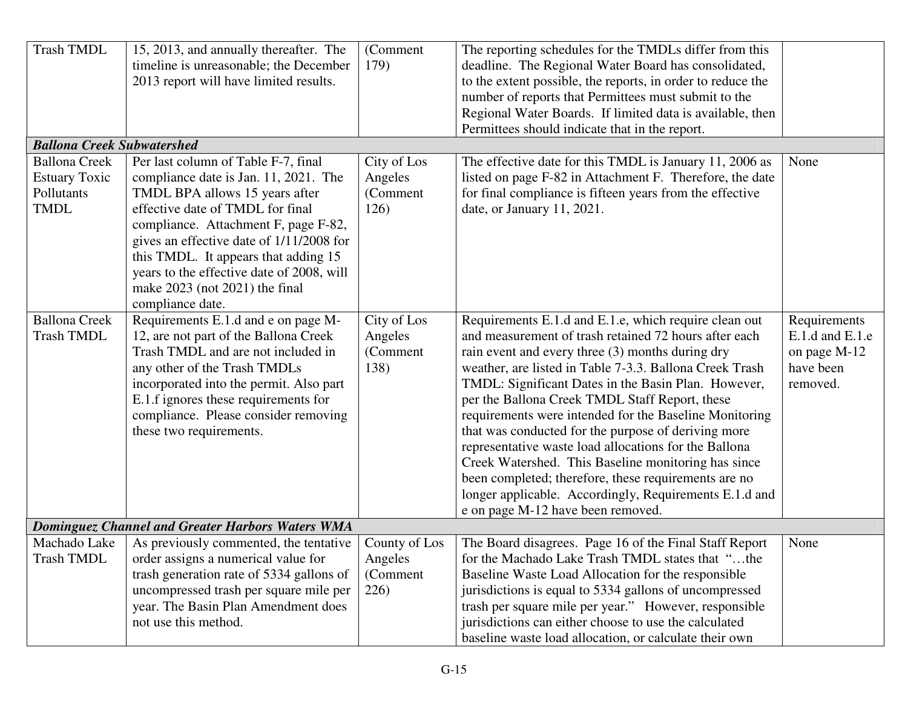| <b>Trash TMDL</b>                 | 15, 2013, and annually thereafter. The<br>timeline is unreasonable; the December<br>2013 report will have limited results. | (Comment<br>179) | The reporting schedules for the TMDLs differ from this<br>deadline. The Regional Water Board has consolidated,<br>to the extent possible, the reports, in order to reduce the<br>number of reports that Permittees must submit to the<br>Regional Water Boards. If limited data is available, then<br>Permittees should indicate that in the report. |                     |
|-----------------------------------|----------------------------------------------------------------------------------------------------------------------------|------------------|------------------------------------------------------------------------------------------------------------------------------------------------------------------------------------------------------------------------------------------------------------------------------------------------------------------------------------------------------|---------------------|
| <b>Ballona Creek Subwatershed</b> |                                                                                                                            |                  |                                                                                                                                                                                                                                                                                                                                                      |                     |
| <b>Ballona Creek</b>              | Per last column of Table F-7, final                                                                                        | City of Los      | The effective date for this TMDL is January 11, 2006 as                                                                                                                                                                                                                                                                                              | None                |
| <b>Estuary Toxic</b>              | compliance date is Jan. 11, 2021. The                                                                                      | Angeles          | listed on page F-82 in Attachment F. Therefore, the date                                                                                                                                                                                                                                                                                             |                     |
| Pollutants                        | TMDL BPA allows 15 years after                                                                                             | (Comment         | for final compliance is fifteen years from the effective                                                                                                                                                                                                                                                                                             |                     |
| <b>TMDL</b>                       | effective date of TMDL for final                                                                                           | 126)             | date, or January 11, 2021.                                                                                                                                                                                                                                                                                                                           |                     |
|                                   | compliance. Attachment F, page F-82,                                                                                       |                  |                                                                                                                                                                                                                                                                                                                                                      |                     |
|                                   | gives an effective date of 1/11/2008 for                                                                                   |                  |                                                                                                                                                                                                                                                                                                                                                      |                     |
|                                   | this TMDL. It appears that adding 15<br>years to the effective date of 2008, will                                          |                  |                                                                                                                                                                                                                                                                                                                                                      |                     |
|                                   | make $2023$ (not $2021$ ) the final                                                                                        |                  |                                                                                                                                                                                                                                                                                                                                                      |                     |
|                                   | compliance date.                                                                                                           |                  |                                                                                                                                                                                                                                                                                                                                                      |                     |
| <b>Ballona Creek</b>              | Requirements E.1.d and e on page M-                                                                                        | City of Los      | Requirements E.1.d and E.1.e, which require clean out                                                                                                                                                                                                                                                                                                | Requirements        |
| <b>Trash TMDL</b>                 | 12, are not part of the Ballona Creek                                                                                      | Angeles          | and measurement of trash retained 72 hours after each                                                                                                                                                                                                                                                                                                | $E.1.d$ and $E.1.e$ |
|                                   | Trash TMDL and are not included in                                                                                         | (Comment         | rain event and every three (3) months during dry                                                                                                                                                                                                                                                                                                     | on page M-12        |
|                                   | any other of the Trash TMDLs                                                                                               | 138)             | weather, are listed in Table 7-3.3. Ballona Creek Trash                                                                                                                                                                                                                                                                                              | have been           |
|                                   | incorporated into the permit. Also part                                                                                    |                  | TMDL: Significant Dates in the Basin Plan. However,                                                                                                                                                                                                                                                                                                  | removed.            |
|                                   | E.1.f ignores these requirements for                                                                                       |                  | per the Ballona Creek TMDL Staff Report, these                                                                                                                                                                                                                                                                                                       |                     |
|                                   | compliance. Please consider removing                                                                                       |                  | requirements were intended for the Baseline Monitoring                                                                                                                                                                                                                                                                                               |                     |
|                                   | these two requirements.                                                                                                    |                  | that was conducted for the purpose of deriving more                                                                                                                                                                                                                                                                                                  |                     |
|                                   |                                                                                                                            |                  | representative waste load allocations for the Ballona                                                                                                                                                                                                                                                                                                |                     |
|                                   |                                                                                                                            |                  | Creek Watershed. This Baseline monitoring has since                                                                                                                                                                                                                                                                                                  |                     |
|                                   |                                                                                                                            |                  | been completed; therefore, these requirements are no                                                                                                                                                                                                                                                                                                 |                     |
|                                   |                                                                                                                            |                  | longer applicable. Accordingly, Requirements E.1.d and                                                                                                                                                                                                                                                                                               |                     |
|                                   |                                                                                                                            |                  | e on page M-12 have been removed.                                                                                                                                                                                                                                                                                                                    |                     |
|                                   | <b>Dominguez Channel and Greater Harbors Waters WMA</b>                                                                    |                  |                                                                                                                                                                                                                                                                                                                                                      |                     |
| Machado Lake                      | As previously commented, the tentative                                                                                     | County of Los    | The Board disagrees. Page 16 of the Final Staff Report                                                                                                                                                                                                                                                                                               | None                |
| <b>Trash TMDL</b>                 | order assigns a numerical value for                                                                                        | Angeles          | for the Machado Lake Trash TMDL states that "the                                                                                                                                                                                                                                                                                                     |                     |
|                                   | trash generation rate of 5334 gallons of                                                                                   | (Comment         | Baseline Waste Load Allocation for the responsible                                                                                                                                                                                                                                                                                                   |                     |
|                                   | uncompressed trash per square mile per                                                                                     | 226)             | jurisdictions is equal to 5334 gallons of uncompressed                                                                                                                                                                                                                                                                                               |                     |
|                                   | year. The Basin Plan Amendment does                                                                                        |                  | trash per square mile per year." However, responsible                                                                                                                                                                                                                                                                                                |                     |
|                                   | not use this method.                                                                                                       |                  | jurisdictions can either choose to use the calculated                                                                                                                                                                                                                                                                                                |                     |
|                                   |                                                                                                                            |                  | baseline waste load allocation, or calculate their own                                                                                                                                                                                                                                                                                               |                     |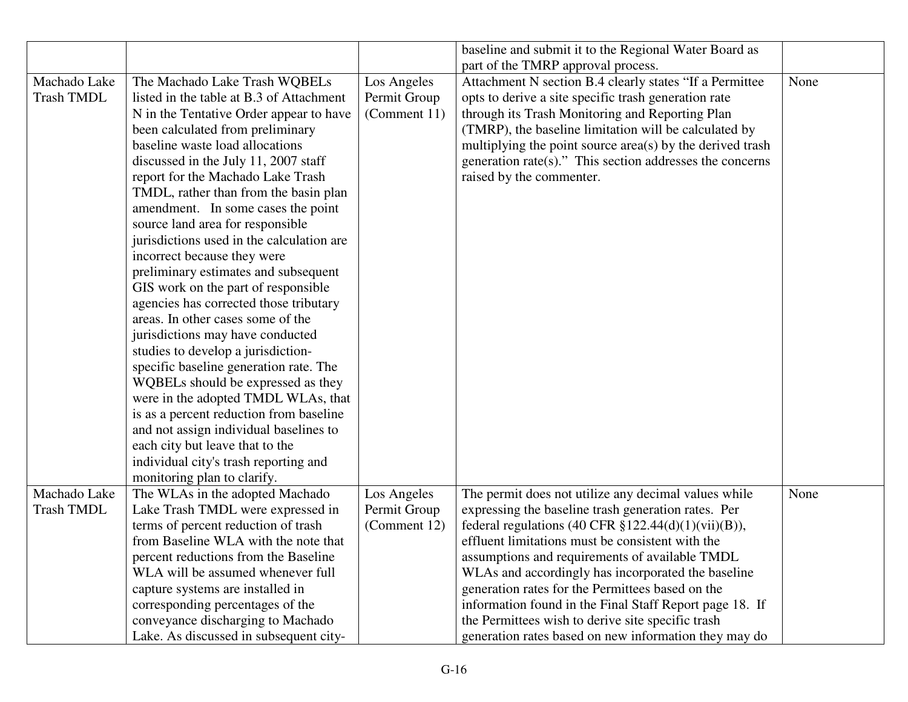|                   |                                           |              | baseline and submit it to the Regional Water Board as     |      |
|-------------------|-------------------------------------------|--------------|-----------------------------------------------------------|------|
|                   |                                           |              | part of the TMRP approval process.                        |      |
| Machado Lake      | The Machado Lake Trash WQBELs             | Los Angeles  | Attachment N section B.4 clearly states "If a Permittee   | None |
| <b>Trash TMDL</b> | listed in the table at B.3 of Attachment  | Permit Group | opts to derive a site specific trash generation rate      |      |
|                   | N in the Tentative Order appear to have   | (Comment 11) | through its Trash Monitoring and Reporting Plan           |      |
|                   | been calculated from preliminary          |              | (TMRP), the baseline limitation will be calculated by     |      |
|                   | baseline waste load allocations           |              | multiplying the point source area(s) by the derived trash |      |
|                   | discussed in the July 11, 2007 staff      |              | generation rate(s)." This section addresses the concerns  |      |
|                   | report for the Machado Lake Trash         |              | raised by the commenter.                                  |      |
|                   | TMDL, rather than from the basin plan     |              |                                                           |      |
|                   | amendment. In some cases the point        |              |                                                           |      |
|                   | source land area for responsible          |              |                                                           |      |
|                   | jurisdictions used in the calculation are |              |                                                           |      |
|                   | incorrect because they were               |              |                                                           |      |
|                   | preliminary estimates and subsequent      |              |                                                           |      |
|                   | GIS work on the part of responsible       |              |                                                           |      |
|                   | agencies has corrected those tributary    |              |                                                           |      |
|                   | areas. In other cases some of the         |              |                                                           |      |
|                   | jurisdictions may have conducted          |              |                                                           |      |
|                   | studies to develop a jurisdiction-        |              |                                                           |      |
|                   | specific baseline generation rate. The    |              |                                                           |      |
|                   | WQBELs should be expressed as they        |              |                                                           |      |
|                   | were in the adopted TMDL WLAs, that       |              |                                                           |      |
|                   | is as a percent reduction from baseline   |              |                                                           |      |
|                   | and not assign individual baselines to    |              |                                                           |      |
|                   | each city but leave that to the           |              |                                                           |      |
|                   | individual city's trash reporting and     |              |                                                           |      |
|                   | monitoring plan to clarify.               |              |                                                           |      |
| Machado Lake      | The WLAs in the adopted Machado           | Los Angeles  | The permit does not utilize any decimal values while      | None |
| <b>Trash TMDL</b> | Lake Trash TMDL were expressed in         | Permit Group | expressing the baseline trash generation rates. Per       |      |
|                   | terms of percent reduction of trash       | (Comment 12) | federal regulations (40 CFR $$122.44(d)(1)(vii)(B)$ ),    |      |
|                   | from Baseline WLA with the note that      |              | effluent limitations must be consistent with the          |      |
|                   | percent reductions from the Baseline      |              | assumptions and requirements of available TMDL            |      |
|                   | WLA will be assumed whenever full         |              | WLAs and accordingly has incorporated the baseline        |      |
|                   | capture systems are installed in          |              | generation rates for the Permittees based on the          |      |
|                   | corresponding percentages of the          |              | information found in the Final Staff Report page 18. If   |      |
|                   | conveyance discharging to Machado         |              | the Permittees wish to derive site specific trash         |      |
|                   | Lake. As discussed in subsequent city-    |              | generation rates based on new information they may do     |      |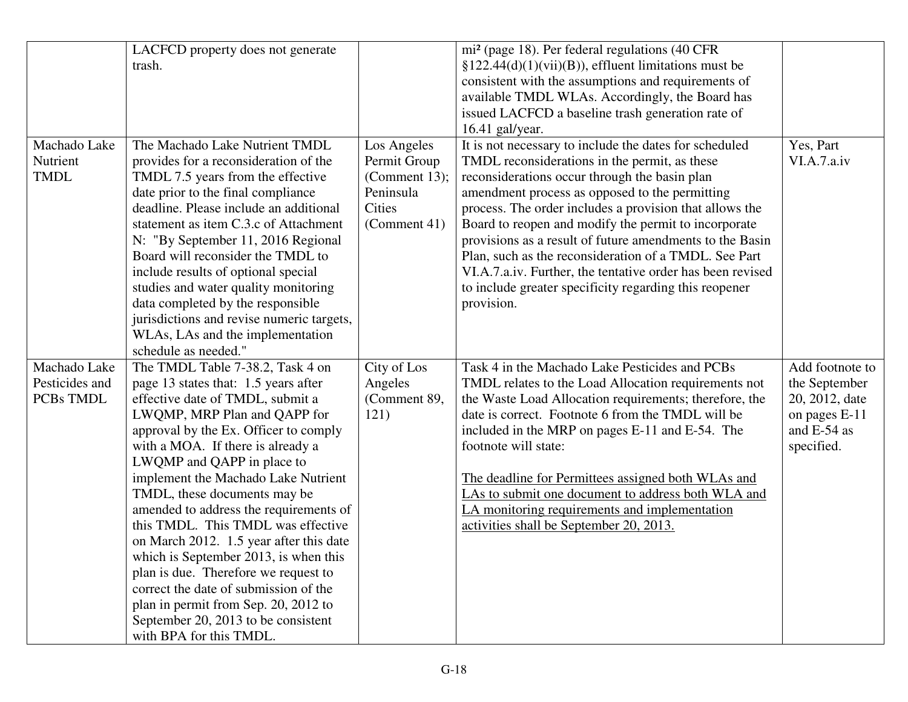|                | LACFCD property does not generate         |               | mi <sup>2</sup> (page 18). Per federal regulations (40 CFR |                 |
|----------------|-------------------------------------------|---------------|------------------------------------------------------------|-----------------|
|                | trash.                                    |               | $\S 122.44(d)(1)(vii)(B)$ , effluent limitations must be   |                 |
|                |                                           |               | consistent with the assumptions and requirements of        |                 |
|                |                                           |               | available TMDL WLAs. Accordingly, the Board has            |                 |
|                |                                           |               | issued LACFCD a baseline trash generation rate of          |                 |
|                |                                           |               | 16.41 gal/year.                                            |                 |
| Machado Lake   | The Machado Lake Nutrient TMDL            | Los Angeles   | It is not necessary to include the dates for scheduled     | Yes, Part       |
| Nutrient       | provides for a reconsideration of the     | Permit Group  | TMDL reconsiderations in the permit, as these              | VI.A.7.a.iv     |
| <b>TMDL</b>    | TMDL 7.5 years from the effective         | (Comment 13); | reconsiderations occur through the basin plan              |                 |
|                | date prior to the final compliance        | Peninsula     | amendment process as opposed to the permitting             |                 |
|                | deadline. Please include an additional    | <b>Cities</b> | process. The order includes a provision that allows the    |                 |
|                | statement as item C.3.c of Attachment     | (Comment 41)  | Board to reopen and modify the permit to incorporate       |                 |
|                | N: "By September 11, 2016 Regional        |               | provisions as a result of future amendments to the Basin   |                 |
|                | Board will reconsider the TMDL to         |               | Plan, such as the reconsideration of a TMDL. See Part      |                 |
|                | include results of optional special       |               | VI.A.7.a.iv. Further, the tentative order has been revised |                 |
|                | studies and water quality monitoring      |               | to include greater specificity regarding this reopener     |                 |
|                | data completed by the responsible         |               | provision.                                                 |                 |
|                | jurisdictions and revise numeric targets, |               |                                                            |                 |
|                | WLAs, LAs and the implementation          |               |                                                            |                 |
|                | schedule as needed."                      |               |                                                            |                 |
| Machado Lake   | The TMDL Table 7-38.2, Task 4 on          | City of Los   | Task 4 in the Machado Lake Pesticides and PCBs             | Add footnote to |
| Pesticides and | page 13 states that: 1.5 years after      | Angeles       | TMDL relates to the Load Allocation requirements not       | the September   |
| PCBs TMDL      | effective date of TMDL, submit a          | (Comment 89,  | the Waste Load Allocation requirements; therefore, the     | 20, 2012, date  |
|                | LWQMP, MRP Plan and QAPP for              | 121)          | date is correct. Footnote 6 from the TMDL will be          | on pages E-11   |
|                | approval by the Ex. Officer to comply     |               | included in the MRP on pages E-11 and E-54. The            | and E-54 as     |
|                | with a MOA. If there is already a         |               | footnote will state:                                       | specified.      |
|                | LWQMP and QAPP in place to                |               |                                                            |                 |
|                | implement the Machado Lake Nutrient       |               | The deadline for Permittees assigned both WLAs and         |                 |
|                | TMDL, these documents may be              |               | LAs to submit one document to address both WLA and         |                 |
|                | amended to address the requirements of    |               | LA monitoring requirements and implementation              |                 |
|                | this TMDL. This TMDL was effective        |               | activities shall be September 20, 2013.                    |                 |
|                | on March 2012. 1.5 year after this date   |               |                                                            |                 |
|                | which is September 2013, is when this     |               |                                                            |                 |
|                | plan is due. Therefore we request to      |               |                                                            |                 |
|                | correct the date of submission of the     |               |                                                            |                 |
|                | plan in permit from Sep. 20, 2012 to      |               |                                                            |                 |
|                | September 20, 2013 to be consistent       |               |                                                            |                 |
|                | with BPA for this TMDL.                   |               |                                                            |                 |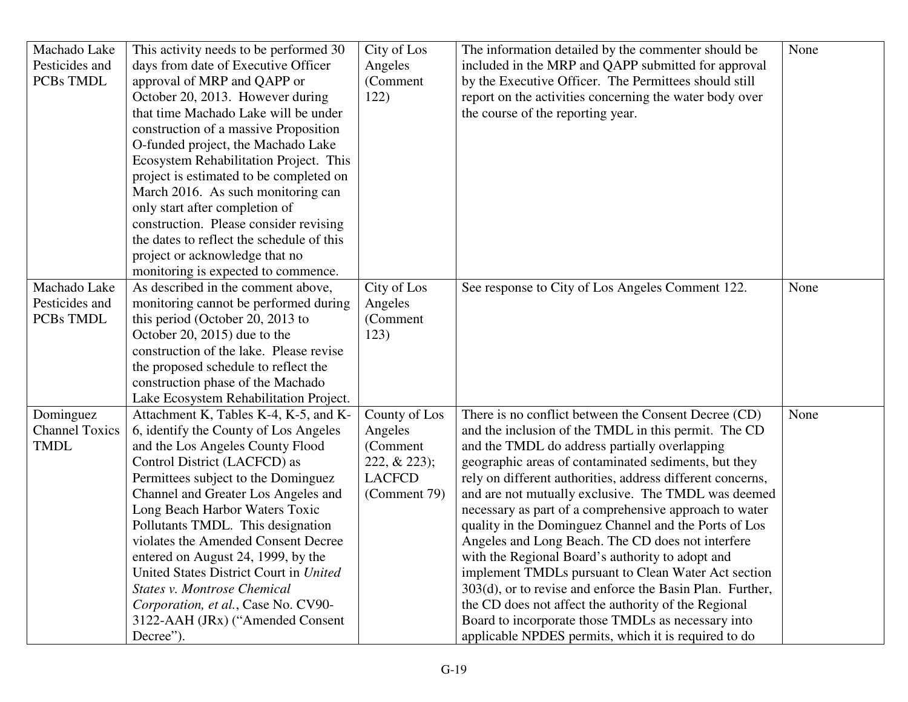| Machado Lake          | This activity needs to be performed 30    | City of Los    | The information detailed by the commenter should be        | None |
|-----------------------|-------------------------------------------|----------------|------------------------------------------------------------|------|
| Pesticides and        | days from date of Executive Officer       | Angeles        | included in the MRP and QAPP submitted for approval        |      |
| PCBs TMDL             | approval of MRP and QAPP or               | (Comment       | by the Executive Officer. The Permittees should still      |      |
|                       | October 20, 2013. However during          | 122)           | report on the activities concerning the water body over    |      |
|                       | that time Machado Lake will be under      |                | the course of the reporting year.                          |      |
|                       | construction of a massive Proposition     |                |                                                            |      |
|                       | O-funded project, the Machado Lake        |                |                                                            |      |
|                       | Ecosystem Rehabilitation Project. This    |                |                                                            |      |
|                       | project is estimated to be completed on   |                |                                                            |      |
|                       | March 2016. As such monitoring can        |                |                                                            |      |
|                       | only start after completion of            |                |                                                            |      |
|                       | construction. Please consider revising    |                |                                                            |      |
|                       | the dates to reflect the schedule of this |                |                                                            |      |
|                       | project or acknowledge that no            |                |                                                            |      |
|                       | monitoring is expected to commence.       |                |                                                            |      |
| Machado Lake          | As described in the comment above,        | City of Los    | See response to City of Los Angeles Comment 122.           | None |
| Pesticides and        | monitoring cannot be performed during     | Angeles        |                                                            |      |
| PCBs TMDL             | this period (October 20, 2013 to          | (Comment       |                                                            |      |
|                       | October 20, 2015) due to the              | 123)           |                                                            |      |
|                       | construction of the lake. Please revise   |                |                                                            |      |
|                       | the proposed schedule to reflect the      |                |                                                            |      |
|                       | construction phase of the Machado         |                |                                                            |      |
|                       | Lake Ecosystem Rehabilitation Project.    |                |                                                            |      |
| Dominguez             | Attachment K, Tables K-4, K-5, and K-     | County of Los  | There is no conflict between the Consent Decree (CD)       | None |
| <b>Channel Toxics</b> | 6, identify the County of Los Angeles     | Angeles        | and the inclusion of the TMDL in this permit. The CD       |      |
| <b>TMDL</b>           | and the Los Angeles County Flood          | (Comment       | and the TMDL do address partially overlapping              |      |
|                       | Control District (LACFCD) as              | $222, & 223$ ; | geographic areas of contaminated sediments, but they       |      |
|                       | Permittees subject to the Dominguez       | <b>LACFCD</b>  | rely on different authorities, address different concerns, |      |
|                       | Channel and Greater Los Angeles and       | (Comment 79)   | and are not mutually exclusive. The TMDL was deemed        |      |
|                       | Long Beach Harbor Waters Toxic            |                | necessary as part of a comprehensive approach to water     |      |
|                       | Pollutants TMDL. This designation         |                | quality in the Dominguez Channel and the Ports of Los      |      |
|                       | violates the Amended Consent Decree       |                | Angeles and Long Beach. The CD does not interfere          |      |
|                       | entered on August 24, 1999, by the        |                | with the Regional Board's authority to adopt and           |      |
|                       | United States District Court in United    |                | implement TMDLs pursuant to Clean Water Act section        |      |
|                       | <b>States v. Montrose Chemical</b>        |                | 303(d), or to revise and enforce the Basin Plan. Further,  |      |
|                       | Corporation, et al., Case No. CV90-       |                | the CD does not affect the authority of the Regional       |      |
|                       | 3122-AAH (JRx) ("Amended Consent          |                | Board to incorporate those TMDLs as necessary into         |      |
|                       | Decree").                                 |                | applicable NPDES permits, which it is required to do       |      |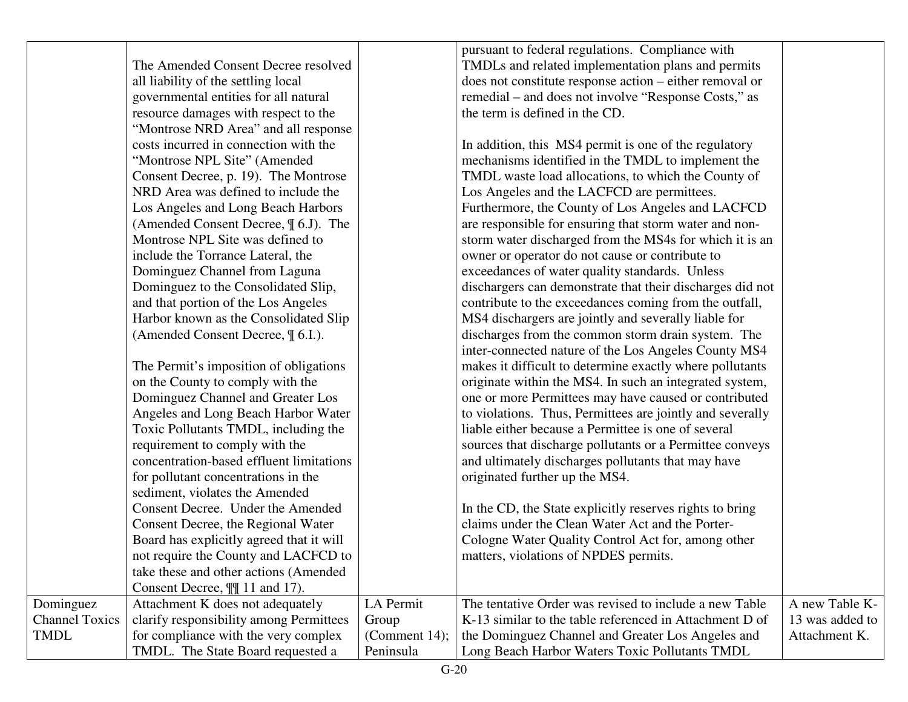|                       |                                          |                  | pursuant to federal regulations. Compliance with          |                 |
|-----------------------|------------------------------------------|------------------|-----------------------------------------------------------|-----------------|
|                       | The Amended Consent Decree resolved      |                  | TMDLs and related implementation plans and permits        |                 |
|                       | all liability of the settling local      |                  | does not constitute response action - either removal or   |                 |
|                       | governmental entities for all natural    |                  | remedial – and does not involve "Response Costs," as      |                 |
|                       | resource damages with respect to the     |                  | the term is defined in the CD.                            |                 |
|                       | "Montrose NRD Area" and all response     |                  |                                                           |                 |
|                       | costs incurred in connection with the    |                  | In addition, this MS4 permit is one of the regulatory     |                 |
|                       | "Montrose NPL Site" (Amended             |                  | mechanisms identified in the TMDL to implement the        |                 |
|                       | Consent Decree, p. 19). The Montrose     |                  | TMDL waste load allocations, to which the County of       |                 |
|                       | NRD Area was defined to include the      |                  | Los Angeles and the LACFCD are permittees.                |                 |
|                       | Los Angeles and Long Beach Harbors       |                  | Furthermore, the County of Los Angeles and LACFCD         |                 |
|                       | (Amended Consent Decree, $\P$ 6.J). The  |                  | are responsible for ensuring that storm water and non-    |                 |
|                       | Montrose NPL Site was defined to         |                  | storm water discharged from the MS4s for which it is an   |                 |
|                       | include the Torrance Lateral, the        |                  | owner or operator do not cause or contribute to           |                 |
|                       | Dominguez Channel from Laguna            |                  | exceedances of water quality standards. Unless            |                 |
|                       | Dominguez to the Consolidated Slip,      |                  | dischargers can demonstrate that their discharges did not |                 |
|                       | and that portion of the Los Angeles      |                  | contribute to the exceedances coming from the outfall,    |                 |
|                       | Harbor known as the Consolidated Slip    |                  | MS4 dischargers are jointly and severally liable for      |                 |
|                       | (Amended Consent Decree, $\P$ 6.I.).     |                  | discharges from the common storm drain system. The        |                 |
|                       |                                          |                  | inter-connected nature of the Los Angeles County MS4      |                 |
|                       | The Permit's imposition of obligations   |                  | makes it difficult to determine exactly where pollutants  |                 |
|                       | on the County to comply with the         |                  | originate within the MS4. In such an integrated system,   |                 |
|                       | Dominguez Channel and Greater Los        |                  | one or more Permittees may have caused or contributed     |                 |
|                       | Angeles and Long Beach Harbor Water      |                  | to violations. Thus, Permittees are jointly and severally |                 |
|                       | Toxic Pollutants TMDL, including the     |                  | liable either because a Permittee is one of several       |                 |
|                       | requirement to comply with the           |                  | sources that discharge pollutants or a Permittee conveys  |                 |
|                       | concentration-based effluent limitations |                  | and ultimately discharges pollutants that may have        |                 |
|                       | for pollutant concentrations in the      |                  | originated further up the MS4.                            |                 |
|                       | sediment, violates the Amended           |                  |                                                           |                 |
|                       | Consent Decree. Under the Amended        |                  | In the CD, the State explicitly reserves rights to bring  |                 |
|                       | Consent Decree, the Regional Water       |                  | claims under the Clean Water Act and the Porter-          |                 |
|                       | Board has explicitly agreed that it will |                  | Cologne Water Quality Control Act for, among other        |                 |
|                       | not require the County and LACFCD to     |                  | matters, violations of NPDES permits.                     |                 |
|                       | take these and other actions (Amended    |                  |                                                           |                 |
|                       | Consent Decree, $\P\P$ 11 and 17).       |                  |                                                           |                 |
| Dominguez             | Attachment K does not adequately         | LA Permit        | The tentative Order was revised to include a new Table    | A new Table K-  |
| <b>Channel Toxics</b> | clarify responsibility among Permittees  | Group            | K-13 similar to the table referenced in Attachment D of   | 13 was added to |
| <b>TMDL</b>           | for compliance with the very complex     | (Comment $14$ ); | the Dominguez Channel and Greater Los Angeles and         | Attachment K.   |
|                       | TMDL. The State Board requested a        | Peninsula        | Long Beach Harbor Waters Toxic Pollutants TMDL            |                 |
|                       |                                          |                  |                                                           |                 |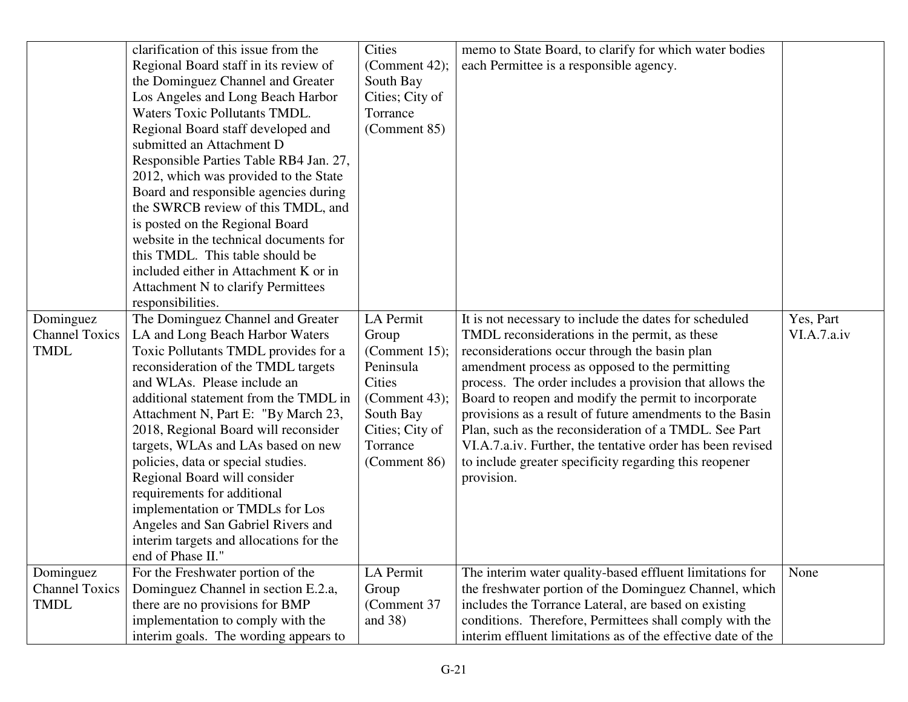|                       | clarification of this issue from the    | <b>Cities</b>    | memo to State Board, to clarify for which water bodies       |             |
|-----------------------|-----------------------------------------|------------------|--------------------------------------------------------------|-------------|
|                       | Regional Board staff in its review of   | (Comment 42);    | each Permittee is a responsible agency.                      |             |
|                       | the Dominguez Channel and Greater       | South Bay        |                                                              |             |
|                       | Los Angeles and Long Beach Harbor       | Cities; City of  |                                                              |             |
|                       | <b>Waters Toxic Pollutants TMDL.</b>    | Torrance         |                                                              |             |
|                       | Regional Board staff developed and      | (Comment 85)     |                                                              |             |
|                       | submitted an Attachment D               |                  |                                                              |             |
|                       | Responsible Parties Table RB4 Jan. 27,  |                  |                                                              |             |
|                       | 2012, which was provided to the State   |                  |                                                              |             |
|                       | Board and responsible agencies during   |                  |                                                              |             |
|                       | the SWRCB review of this TMDL, and      |                  |                                                              |             |
|                       | is posted on the Regional Board         |                  |                                                              |             |
|                       | website in the technical documents for  |                  |                                                              |             |
|                       | this TMDL. This table should be         |                  |                                                              |             |
|                       | included either in Attachment K or in   |                  |                                                              |             |
|                       | Attachment N to clarify Permittees      |                  |                                                              |             |
|                       | responsibilities.                       |                  |                                                              |             |
| Dominguez             | The Dominguez Channel and Greater       | LA Permit        | It is not necessary to include the dates for scheduled       | Yes, Part   |
| <b>Channel Toxics</b> | LA and Long Beach Harbor Waters         | Group            | TMDL reconsiderations in the permit, as these                | VI.A.7.a.iv |
| <b>TMDL</b>           | Toxic Pollutants TMDL provides for a    | (Comment $15$ ); | reconsiderations occur through the basin plan                |             |
|                       | reconsideration of the TMDL targets     | Peninsula        | amendment process as opposed to the permitting               |             |
|                       | and WLAs. Please include an             | Cities           | process. The order includes a provision that allows the      |             |
|                       | additional statement from the TMDL in   | (Comment 43);    | Board to reopen and modify the permit to incorporate         |             |
|                       | Attachment N, Part E: "By March 23,     | South Bay        | provisions as a result of future amendments to the Basin     |             |
|                       | 2018, Regional Board will reconsider    | Cities; City of  | Plan, such as the reconsideration of a TMDL. See Part        |             |
|                       | targets, WLAs and LAs based on new      | Torrance         | VI.A.7.a.iv. Further, the tentative order has been revised   |             |
|                       | policies, data or special studies.      | (Comment 86)     | to include greater specificity regarding this reopener       |             |
|                       | Regional Board will consider            |                  | provision.                                                   |             |
|                       | requirements for additional             |                  |                                                              |             |
|                       | implementation or TMDLs for Los         |                  |                                                              |             |
|                       | Angeles and San Gabriel Rivers and      |                  |                                                              |             |
|                       | interim targets and allocations for the |                  |                                                              |             |
|                       | end of Phase II."                       |                  |                                                              |             |
| Dominguez             | For the Freshwater portion of the       | LA Permit        | The interim water quality-based effluent limitations for     | None        |
| <b>Channel Toxics</b> | Dominguez Channel in section E.2.a,     | Group            | the freshwater portion of the Dominguez Channel, which       |             |
| <b>TMDL</b>           | there are no provisions for BMP         | (Comment 37      | includes the Torrance Lateral, are based on existing         |             |
|                       | implementation to comply with the       | and $38)$        | conditions. Therefore, Permittees shall comply with the      |             |
|                       | interim goals. The wording appears to   |                  | interim effluent limitations as of the effective date of the |             |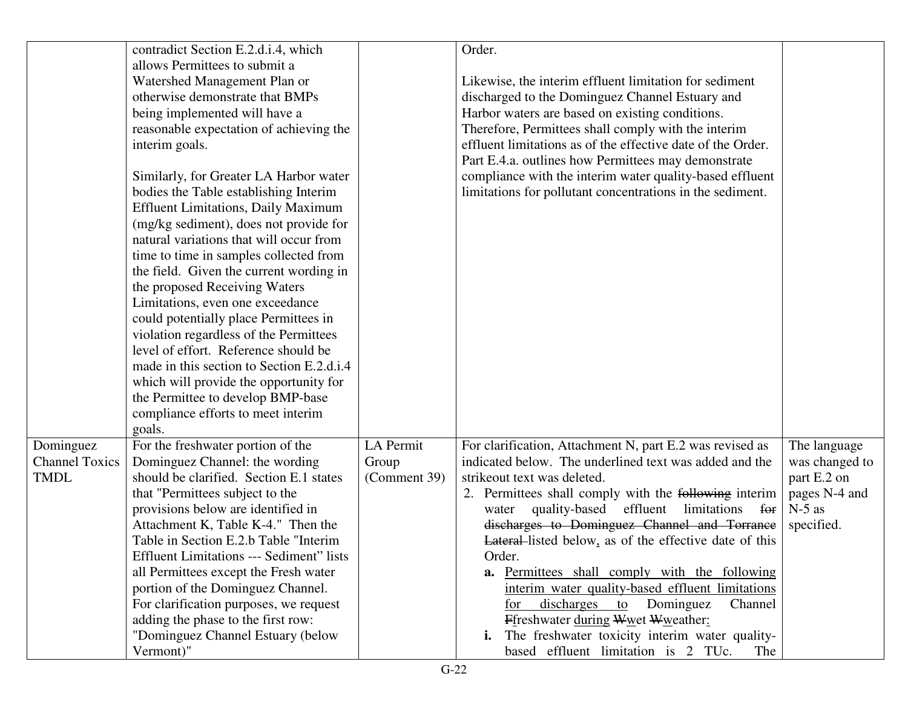|                       | contradict Section E.2.d.i.4, which             |              | Order.                                                        |                |
|-----------------------|-------------------------------------------------|--------------|---------------------------------------------------------------|----------------|
|                       | allows Permittees to submit a                   |              |                                                               |                |
|                       | Watershed Management Plan or                    |              | Likewise, the interim effluent limitation for sediment        |                |
|                       | otherwise demonstrate that BMPs                 |              | discharged to the Dominguez Channel Estuary and               |                |
|                       | being implemented will have a                   |              | Harbor waters are based on existing conditions.               |                |
|                       | reasonable expectation of achieving the         |              | Therefore, Permittees shall comply with the interim           |                |
|                       | interim goals.                                  |              | effluent limitations as of the effective date of the Order.   |                |
|                       |                                                 |              | Part E.4.a. outlines how Permittees may demonstrate           |                |
|                       | Similarly, for Greater LA Harbor water          |              | compliance with the interim water quality-based effluent      |                |
|                       | bodies the Table establishing Interim           |              | limitations for pollutant concentrations in the sediment.     |                |
|                       | <b>Effluent Limitations, Daily Maximum</b>      |              |                                                               |                |
|                       | (mg/kg sediment), does not provide for          |              |                                                               |                |
|                       | natural variations that will occur from         |              |                                                               |                |
|                       | time to time in samples collected from          |              |                                                               |                |
|                       | the field. Given the current wording in         |              |                                                               |                |
|                       | the proposed Receiving Waters                   |              |                                                               |                |
|                       | Limitations, even one exceedance                |              |                                                               |                |
|                       | could potentially place Permittees in           |              |                                                               |                |
|                       | violation regardless of the Permittees          |              |                                                               |                |
|                       | level of effort. Reference should be            |              |                                                               |                |
|                       | made in this section to Section E.2.d.i.4       |              |                                                               |                |
|                       | which will provide the opportunity for          |              |                                                               |                |
|                       | the Permittee to develop BMP-base               |              |                                                               |                |
|                       | compliance efforts to meet interim              |              |                                                               |                |
|                       | goals.                                          |              |                                                               |                |
| Dominguez             | For the freshwater portion of the               | LA Permit    | For clarification, Attachment N, part E.2 was revised as      | The language   |
| <b>Channel Toxics</b> | Dominguez Channel: the wording                  | Group        | indicated below. The underlined text was added and the        | was changed to |
| <b>TMDL</b>           | should be clarified. Section E.1 states         | (Comment 39) | strike out text was deleted.                                  | part E.2 on    |
|                       | that "Permittees subject to the                 |              | 2. Permittees shall comply with the following interim         | pages N-4 and  |
|                       | provisions below are identified in              |              | quality-based<br>effluent<br>limitations for<br>water         | $N-5$ as       |
|                       | Attachment K, Table K-4." Then the              |              | discharges to Dominguez Channel and Torrance                  | specified.     |
|                       | Table in Section E.2.b Table "Interim           |              | <b>Lateral-listed below, as of the effective date of this</b> |                |
|                       | <b>Effluent Limitations --- Sediment" lists</b> |              | Order.                                                        |                |
|                       | all Permittees except the Fresh water           |              | a. Permittees shall comply with the following                 |                |
|                       | portion of the Dominguez Channel.               |              | interim water quality-based effluent limitations              |                |
|                       | For clarification purposes, we request          |              | discharges<br>Dominguez<br>Channel<br>to<br>for               |                |
|                       | adding the phase to the first row:              |              | Ffreshwater during Wwet Wweather:                             |                |
|                       | "Dominguez Channel Estuary (below               |              | The freshwater toxicity interim water quality-<br>i.          |                |
|                       | Vermont)"                                       |              | based effluent limitation is 2 TUc.<br>The                    |                |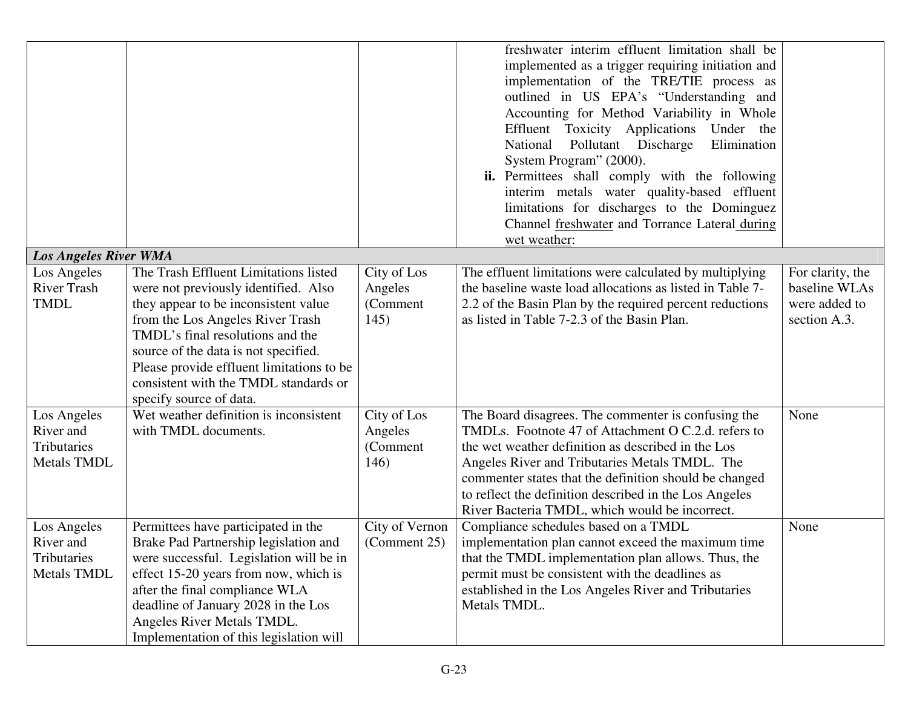|                                                               |                                                                                                                                                                                                                                                                                                                                                        |                                            | freshwater interim effluent limitation shall be<br>implemented as a trigger requiring initiation and<br>implementation of the TRE/TIE process as<br>outlined in US EPA's "Understanding and<br>Accounting for Method Variability in Whole<br>Effluent Toxicity Applications Under the<br>National<br>Pollutant Discharge<br>Elimination<br>System Program" (2000).<br>ii. Permittees shall comply with the following<br>interim metals water quality-based effluent<br>limitations for discharges to the Dominguez<br>Channel freshwater and Torrance Lateral during<br>wet weather: |                                                                    |
|---------------------------------------------------------------|--------------------------------------------------------------------------------------------------------------------------------------------------------------------------------------------------------------------------------------------------------------------------------------------------------------------------------------------------------|--------------------------------------------|--------------------------------------------------------------------------------------------------------------------------------------------------------------------------------------------------------------------------------------------------------------------------------------------------------------------------------------------------------------------------------------------------------------------------------------------------------------------------------------------------------------------------------------------------------------------------------------|--------------------------------------------------------------------|
| <b>Los Angeles River WMA</b>                                  |                                                                                                                                                                                                                                                                                                                                                        |                                            |                                                                                                                                                                                                                                                                                                                                                                                                                                                                                                                                                                                      |                                                                    |
| Los Angeles<br><b>River Trash</b><br><b>TMDL</b>              | The Trash Effluent Limitations listed<br>were not previously identified. Also<br>they appear to be inconsistent value<br>from the Los Angeles River Trash<br>TMDL's final resolutions and the<br>source of the data is not specified.<br>Please provide effluent limitations to be<br>consistent with the TMDL standards or<br>specify source of data. | City of Los<br>Angeles<br>(Comment<br>145) | The effluent limitations were calculated by multiplying<br>the baseline waste load allocations as listed in Table 7-<br>2.2 of the Basin Plan by the required percent reductions<br>as listed in Table 7-2.3 of the Basin Plan.                                                                                                                                                                                                                                                                                                                                                      | For clarity, the<br>baseline WLAs<br>were added to<br>section A.3. |
| Los Angeles<br>River and<br>Tributaries<br><b>Metals TMDL</b> | Wet weather definition is inconsistent<br>with TMDL documents.                                                                                                                                                                                                                                                                                         | City of Los<br>Angeles<br>(Comment<br>146) | The Board disagrees. The commenter is confusing the<br>TMDLs. Footnote 47 of Attachment O C.2.d. refers to<br>the wet weather definition as described in the Los<br>Angeles River and Tributaries Metals TMDL. The<br>commenter states that the definition should be changed<br>to reflect the definition described in the Los Angeles<br>River Bacteria TMDL, which would be incorrect.                                                                                                                                                                                             | None                                                               |
| Los Angeles<br>River and<br>Tributaries<br><b>Metals TMDL</b> | Permittees have participated in the<br>Brake Pad Partnership legislation and<br>were successful. Legislation will be in<br>effect 15-20 years from now, which is<br>after the final compliance WLA<br>deadline of January 2028 in the Los<br>Angeles River Metals TMDL.<br>Implementation of this legislation will                                     | City of Vernon<br>(Comment 25)             | Compliance schedules based on a TMDL<br>implementation plan cannot exceed the maximum time<br>that the TMDL implementation plan allows. Thus, the<br>permit must be consistent with the deadlines as<br>established in the Los Angeles River and Tributaries<br>Metals TMDL.                                                                                                                                                                                                                                                                                                         | None                                                               |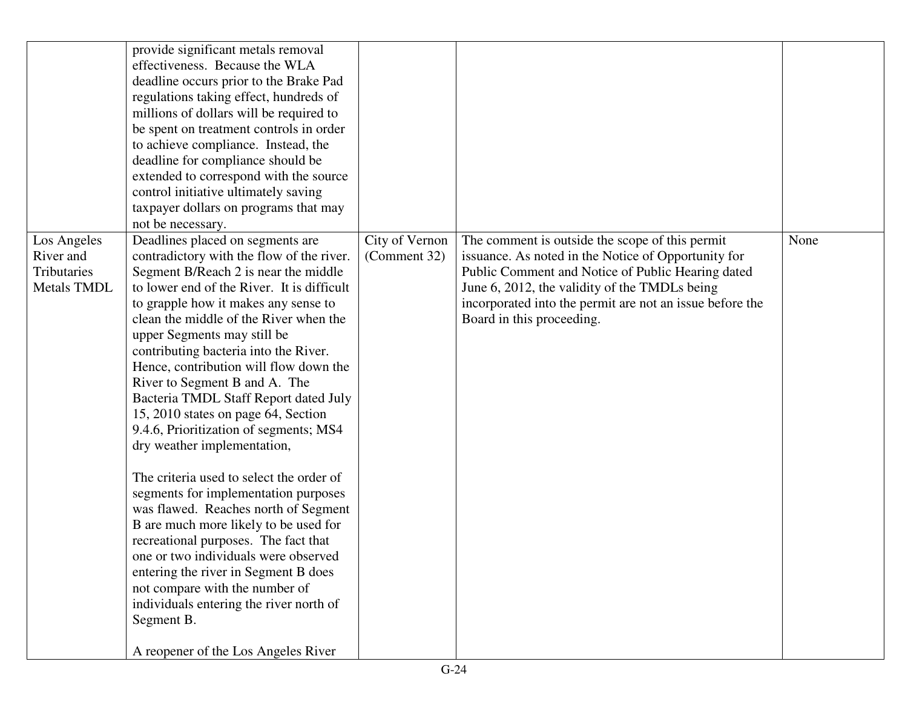|                                                               | provide significant metals removal<br>effectiveness. Because the WLA<br>deadline occurs prior to the Brake Pad<br>regulations taking effect, hundreds of<br>millions of dollars will be required to<br>be spent on treatment controls in order<br>to achieve compliance. Instead, the<br>deadline for compliance should be<br>extended to correspond with the source<br>control initiative ultimately saving<br>taxpayer dollars on programs that may<br>not be necessary.                                                                                                                                                                                                                                                                                                                                                                                                                                                                                                                       |                                |                                                                                                                                                                                                                                                                                                       |      |
|---------------------------------------------------------------|--------------------------------------------------------------------------------------------------------------------------------------------------------------------------------------------------------------------------------------------------------------------------------------------------------------------------------------------------------------------------------------------------------------------------------------------------------------------------------------------------------------------------------------------------------------------------------------------------------------------------------------------------------------------------------------------------------------------------------------------------------------------------------------------------------------------------------------------------------------------------------------------------------------------------------------------------------------------------------------------------|--------------------------------|-------------------------------------------------------------------------------------------------------------------------------------------------------------------------------------------------------------------------------------------------------------------------------------------------------|------|
| Los Angeles<br>River and<br>Tributaries<br><b>Metals TMDL</b> | Deadlines placed on segments are<br>contradictory with the flow of the river.<br>Segment B/Reach 2 is near the middle<br>to lower end of the River. It is difficult<br>to grapple how it makes any sense to<br>clean the middle of the River when the<br>upper Segments may still be<br>contributing bacteria into the River.<br>Hence, contribution will flow down the<br>River to Segment B and A. The<br>Bacteria TMDL Staff Report dated July<br>15, 2010 states on page 64, Section<br>9.4.6, Prioritization of segments; MS4<br>dry weather implementation,<br>The criteria used to select the order of<br>segments for implementation purposes<br>was flawed. Reaches north of Segment<br>B are much more likely to be used for<br>recreational purposes. The fact that<br>one or two individuals were observed<br>entering the river in Segment B does<br>not compare with the number of<br>individuals entering the river north of<br>Segment B.<br>A reopener of the Los Angeles River | City of Vernon<br>(Comment 32) | The comment is outside the scope of this permit<br>issuance. As noted in the Notice of Opportunity for<br>Public Comment and Notice of Public Hearing dated<br>June 6, 2012, the validity of the TMDLs being<br>incorporated into the permit are not an issue before the<br>Board in this proceeding. | None |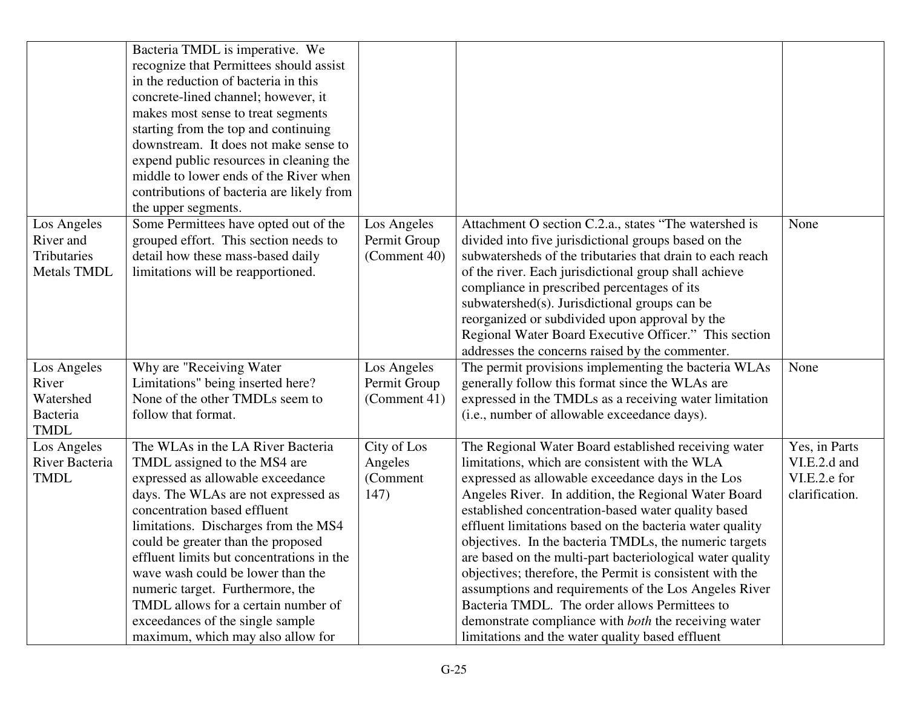|                                                               | Bacteria TMDL is imperative. We<br>recognize that Permittees should assist<br>in the reduction of bacteria in this<br>concrete-lined channel; however, it<br>makes most sense to treat segments<br>starting from the top and continuing<br>downstream. It does not make sense to<br>expend public resources in cleaning the<br>middle to lower ends of the River when<br>contributions of bacteria are likely from<br>the upper segments.                                                         |                                             |                                                                                                                                                                                                                                                                                                                                                                                                                                                                                                                                                                                                                                                                                                                                                        |                                                                 |
|---------------------------------------------------------------|---------------------------------------------------------------------------------------------------------------------------------------------------------------------------------------------------------------------------------------------------------------------------------------------------------------------------------------------------------------------------------------------------------------------------------------------------------------------------------------------------|---------------------------------------------|--------------------------------------------------------------------------------------------------------------------------------------------------------------------------------------------------------------------------------------------------------------------------------------------------------------------------------------------------------------------------------------------------------------------------------------------------------------------------------------------------------------------------------------------------------------------------------------------------------------------------------------------------------------------------------------------------------------------------------------------------------|-----------------------------------------------------------------|
| Los Angeles<br>River and<br>Tributaries<br><b>Metals TMDL</b> | Some Permittees have opted out of the<br>grouped effort. This section needs to<br>detail how these mass-based daily<br>limitations will be reapportioned.                                                                                                                                                                                                                                                                                                                                         | Los Angeles<br>Permit Group<br>(Comment 40) | Attachment O section C.2.a., states "The watershed is<br>divided into five jurisdictional groups based on the<br>subwatersheds of the tributaries that drain to each reach<br>of the river. Each jurisdictional group shall achieve<br>compliance in prescribed percentages of its<br>subwatershed(s). Jurisdictional groups can be<br>reorganized or subdivided upon approval by the<br>Regional Water Board Executive Officer." This section<br>addresses the concerns raised by the commenter.                                                                                                                                                                                                                                                      | None                                                            |
| Los Angeles<br>River<br>Watershed<br>Bacteria<br><b>TMDL</b>  | Why are "Receiving Water<br>Limitations" being inserted here?<br>None of the other TMDLs seem to<br>follow that format.                                                                                                                                                                                                                                                                                                                                                                           | Los Angeles<br>Permit Group<br>(Comment 41) | The permit provisions implementing the bacteria WLAs<br>generally follow this format since the WLAs are<br>expressed in the TMDLs as a receiving water limitation<br>(i.e., number of allowable exceedance days).                                                                                                                                                                                                                                                                                                                                                                                                                                                                                                                                      | None                                                            |
| Los Angeles<br>River Bacteria<br><b>TMDL</b>                  | The WLAs in the LA River Bacteria<br>TMDL assigned to the MS4 are<br>expressed as allowable exceedance<br>days. The WLAs are not expressed as<br>concentration based effluent<br>limitations. Discharges from the MS4<br>could be greater than the proposed<br>effluent limits but concentrations in the<br>wave wash could be lower than the<br>numeric target. Furthermore, the<br>TMDL allows for a certain number of<br>exceedances of the single sample<br>maximum, which may also allow for | City of Los<br>Angeles<br>(Comment<br>147)  | The Regional Water Board established receiving water<br>limitations, which are consistent with the WLA<br>expressed as allowable exceedance days in the Los<br>Angeles River. In addition, the Regional Water Board<br>established concentration-based water quality based<br>effluent limitations based on the bacteria water quality<br>objectives. In the bacteria TMDLs, the numeric targets<br>are based on the multi-part bacteriological water quality<br>objectives; therefore, the Permit is consistent with the<br>assumptions and requirements of the Los Angeles River<br>Bacteria TMDL. The order allows Permittees to<br>demonstrate compliance with <i>both</i> the receiving water<br>limitations and the water quality based effluent | Yes, in Parts<br>VI.E.2.d and<br>VI.E.2.e for<br>clarification. |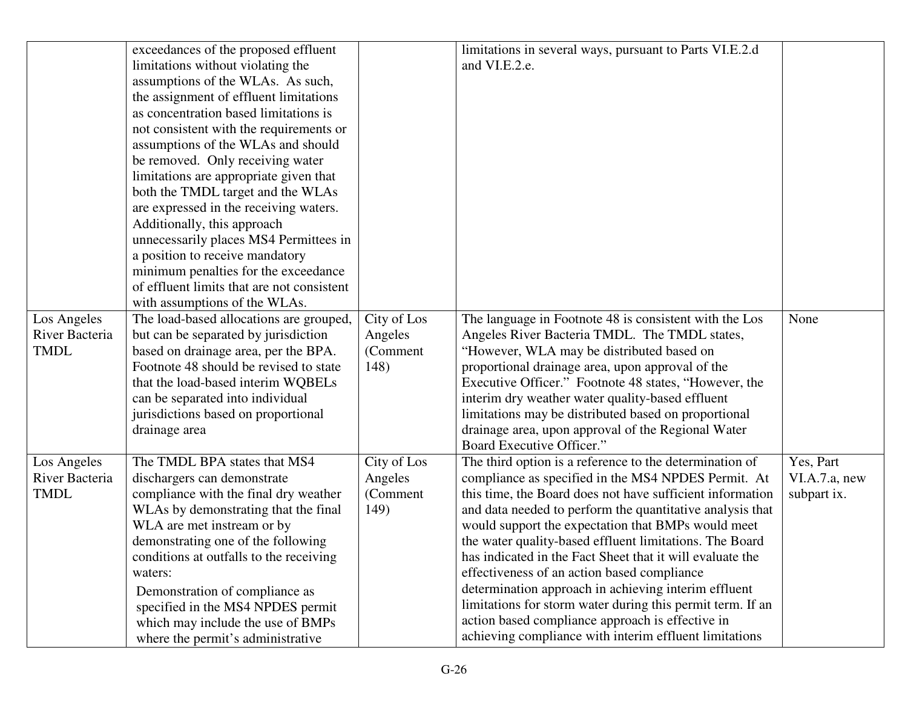|                |                                            |             | limitations in several ways, pursuant to Parts VI.E.2.d    |               |
|----------------|--------------------------------------------|-------------|------------------------------------------------------------|---------------|
|                | exceedances of the proposed effluent       |             |                                                            |               |
|                | limitations without violating the          |             | and VI.E.2.e.                                              |               |
|                | assumptions of the WLAs. As such,          |             |                                                            |               |
|                | the assignment of effluent limitations     |             |                                                            |               |
|                | as concentration based limitations is      |             |                                                            |               |
|                | not consistent with the requirements or    |             |                                                            |               |
|                | assumptions of the WLAs and should         |             |                                                            |               |
|                | be removed. Only receiving water           |             |                                                            |               |
|                | limitations are appropriate given that     |             |                                                            |               |
|                | both the TMDL target and the WLAs          |             |                                                            |               |
|                | are expressed in the receiving waters.     |             |                                                            |               |
|                | Additionally, this approach                |             |                                                            |               |
|                | unnecessarily places MS4 Permittees in     |             |                                                            |               |
|                | a position to receive mandatory            |             |                                                            |               |
|                | minimum penalties for the exceedance       |             |                                                            |               |
|                | of effluent limits that are not consistent |             |                                                            |               |
|                | with assumptions of the WLAs.              |             |                                                            |               |
| Los Angeles    | The load-based allocations are grouped,    | City of Los | The language in Footnote 48 is consistent with the Los     | None          |
| River Bacteria | but can be separated by jurisdiction       | Angeles     | Angeles River Bacteria TMDL. The TMDL states,              |               |
| <b>TMDL</b>    | based on drainage area, per the BPA.       | (Comment    | "However, WLA may be distributed based on                  |               |
|                | Footnote 48 should be revised to state     | 148)        | proportional drainage area, upon approval of the           |               |
|                | that the load-based interim WQBELs         |             | Executive Officer." Footnote 48 states, "However, the      |               |
|                | can be separated into individual           |             | interim dry weather water quality-based effluent           |               |
|                | jurisdictions based on proportional        |             | limitations may be distributed based on proportional       |               |
|                | drainage area                              |             | drainage area, upon approval of the Regional Water         |               |
|                |                                            |             | Board Executive Officer."                                  |               |
| Los Angeles    | The TMDL BPA states that MS4               | City of Los | The third option is a reference to the determination of    | Yes, Part     |
| River Bacteria | dischargers can demonstrate                | Angeles     | compliance as specified in the MS4 NPDES Permit. At        | VI.A.7.a, new |
| <b>TMDL</b>    | compliance with the final dry weather      | (Comment    | this time, the Board does not have sufficient information  | subpart ix.   |
|                | WLAs by demonstrating that the final       | 149)        | and data needed to perform the quantitative analysis that  |               |
|                | WLA are met instream or by                 |             | would support the expectation that BMPs would meet         |               |
|                | demonstrating one of the following         |             | the water quality-based effluent limitations. The Board    |               |
|                | conditions at outfalls to the receiving    |             | has indicated in the Fact Sheet that it will evaluate the  |               |
|                | waters:                                    |             | effectiveness of an action based compliance                |               |
|                | Demonstration of compliance as             |             | determination approach in achieving interim effluent       |               |
|                | specified in the MS4 NPDES permit          |             | limitations for storm water during this permit term. If an |               |
|                | which may include the use of BMPs          |             | action based compliance approach is effective in           |               |
|                |                                            |             | achieving compliance with interim effluent limitations     |               |
|                | where the permit's administrative          |             |                                                            |               |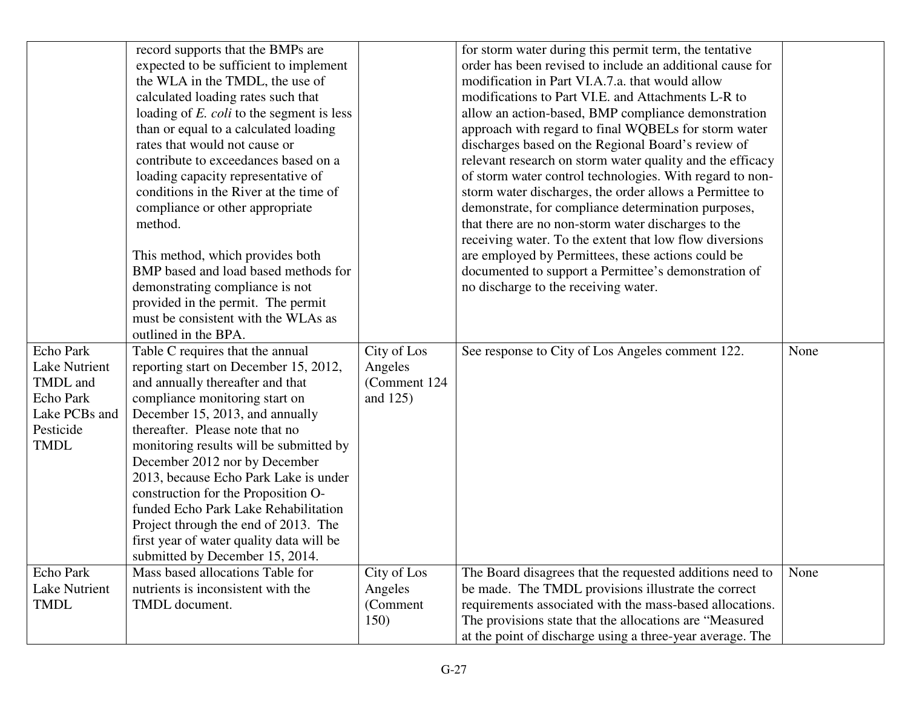|                      | record supports that the BMPs are                |               | for storm water during this permit term, the tentative                                                               |      |
|----------------------|--------------------------------------------------|---------------|----------------------------------------------------------------------------------------------------------------------|------|
|                      | expected to be sufficient to implement           |               | order has been revised to include an additional cause for                                                            |      |
|                      | the WLA in the TMDL, the use of                  |               | modification in Part VI.A.7.a. that would allow                                                                      |      |
|                      | calculated loading rates such that               |               | modifications to Part VI.E. and Attachments L-R to                                                                   |      |
|                      | loading of <i>E. coli</i> to the segment is less |               | allow an action-based, BMP compliance demonstration                                                                  |      |
|                      | than or equal to a calculated loading            |               | approach with regard to final WQBELs for storm water                                                                 |      |
|                      | rates that would not cause or                    |               | discharges based on the Regional Board's review of                                                                   |      |
|                      | contribute to exceedances based on a             |               | relevant research on storm water quality and the efficacy                                                            |      |
|                      | loading capacity representative of               |               | of storm water control technologies. With regard to non-                                                             |      |
|                      | conditions in the River at the time of           |               | storm water discharges, the order allows a Permittee to                                                              |      |
|                      | compliance or other appropriate                  |               | demonstrate, for compliance determination purposes,                                                                  |      |
|                      | method.                                          |               | that there are no non-storm water discharges to the                                                                  |      |
|                      |                                                  |               | receiving water. To the extent that low flow diversions                                                              |      |
|                      | This method, which provides both                 |               | are employed by Permittees, these actions could be                                                                   |      |
|                      | BMP based and load based methods for             |               | documented to support a Permittee's demonstration of                                                                 |      |
|                      | demonstrating compliance is not                  |               | no discharge to the receiving water.                                                                                 |      |
|                      | provided in the permit. The permit               |               |                                                                                                                      |      |
|                      | must be consistent with the WLAs as              |               |                                                                                                                      |      |
|                      | outlined in the BPA.                             |               |                                                                                                                      |      |
|                      |                                                  |               |                                                                                                                      |      |
| Echo Park            | Table C requires that the annual                 | City of Los   | See response to City of Los Angeles comment 122.                                                                     | None |
| Lake Nutrient        | reporting start on December 15, 2012,            | Angeles       |                                                                                                                      |      |
| TMDL and             | and annually thereafter and that                 | (Comment 124) |                                                                                                                      |      |
| Echo Park            | compliance monitoring start on                   | and $125$ )   |                                                                                                                      |      |
| Lake PCBs and        | December 15, 2013, and annually                  |               |                                                                                                                      |      |
| Pesticide            | thereafter. Please note that no                  |               |                                                                                                                      |      |
| <b>TMDL</b>          | monitoring results will be submitted by          |               |                                                                                                                      |      |
|                      | December 2012 nor by December                    |               |                                                                                                                      |      |
|                      | 2013, because Echo Park Lake is under            |               |                                                                                                                      |      |
|                      | construction for the Proposition O-              |               |                                                                                                                      |      |
|                      | funded Echo Park Lake Rehabilitation             |               |                                                                                                                      |      |
|                      | Project through the end of 2013. The             |               |                                                                                                                      |      |
|                      | first year of water quality data will be         |               |                                                                                                                      |      |
|                      | submitted by December 15, 2014.                  |               |                                                                                                                      |      |
| Echo Park            | Mass based allocations Table for                 | City of Los   | The Board disagrees that the requested additions need to                                                             | None |
| <b>Lake Nutrient</b> | nutrients is inconsistent with the               | Angeles       | be made. The TMDL provisions illustrate the correct                                                                  |      |
| <b>TMDL</b>          | TMDL document.                                   | (Comment      | requirements associated with the mass-based allocations.                                                             |      |
|                      |                                                  | 150)          | The provisions state that the allocations are "Measured<br>at the point of discharge using a three-year average. The |      |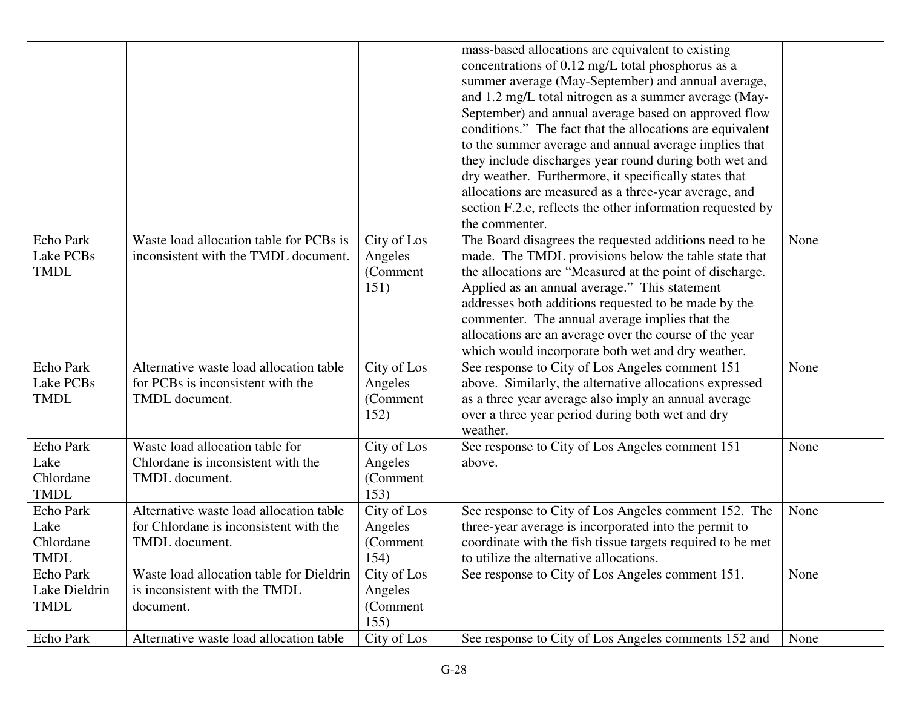|                                                      |                                                                                                     |                                            | mass-based allocations are equivalent to existing<br>concentrations of 0.12 mg/L total phosphorus as a<br>summer average (May-September) and annual average,<br>and 1.2 mg/L total nitrogen as a summer average (May-<br>September) and annual average based on approved flow<br>conditions." The fact that the allocations are equivalent<br>to the summer average and annual average implies that<br>they include discharges year round during both wet and<br>dry weather. Furthermore, it specifically states that<br>allocations are measured as a three-year average, and<br>section F.2.e, reflects the other information requested by<br>the commenter. |      |
|------------------------------------------------------|-----------------------------------------------------------------------------------------------------|--------------------------------------------|-----------------------------------------------------------------------------------------------------------------------------------------------------------------------------------------------------------------------------------------------------------------------------------------------------------------------------------------------------------------------------------------------------------------------------------------------------------------------------------------------------------------------------------------------------------------------------------------------------------------------------------------------------------------|------|
| Echo Park<br>Lake PCBs<br><b>TMDL</b>                | Waste load allocation table for PCBs is<br>inconsistent with the TMDL document.                     | City of Los<br>Angeles<br>(Comment<br>151) | The Board disagrees the requested additions need to be<br>made. The TMDL provisions below the table state that<br>the allocations are "Measured at the point of discharge.<br>Applied as an annual average." This statement<br>addresses both additions requested to be made by the<br>commenter. The annual average implies that the<br>allocations are an average over the course of the year<br>which would incorporate both wet and dry weather.                                                                                                                                                                                                            | None |
| <b>Echo Park</b><br>Lake PCBs<br><b>TMDL</b>         | Alternative waste load allocation table<br>for PCBs is inconsistent with the<br>TMDL document.      | City of Los<br>Angeles<br>(Comment<br>152) | See response to City of Los Angeles comment 151<br>above. Similarly, the alternative allocations expressed<br>as a three year average also imply an annual average<br>over a three year period during both wet and dry<br>weather.                                                                                                                                                                                                                                                                                                                                                                                                                              | None |
| <b>Echo Park</b><br>Lake<br>Chlordane<br><b>TMDL</b> | Waste load allocation table for<br>Chlordane is inconsistent with the<br>TMDL document.             | City of Los<br>Angeles<br>(Comment<br>153) | See response to City of Los Angeles comment 151<br>above.                                                                                                                                                                                                                                                                                                                                                                                                                                                                                                                                                                                                       | None |
| Echo Park<br>Lake<br>Chlordane<br>TMDL               | Alternative waste load allocation table<br>for Chlordane is inconsistent with the<br>TMDL document. | City of Los<br>Angeles<br>(Comment<br>154) | See response to City of Los Angeles comment 152. The<br>three-year average is incorporated into the permit to<br>coordinate with the fish tissue targets required to be met<br>to utilize the alternative allocations.                                                                                                                                                                                                                                                                                                                                                                                                                                          | None |
| Echo Park<br>Lake Dieldrin<br><b>TMDL</b>            | Waste load allocation table for Dieldrin<br>is inconsistent with the TMDL<br>document.              | City of Los<br>Angeles<br>(Comment<br>155) | See response to City of Los Angeles comment 151.                                                                                                                                                                                                                                                                                                                                                                                                                                                                                                                                                                                                                | None |
| Echo Park                                            | Alternative waste load allocation table                                                             | City of Los                                | See response to City of Los Angeles comments 152 and                                                                                                                                                                                                                                                                                                                                                                                                                                                                                                                                                                                                            | None |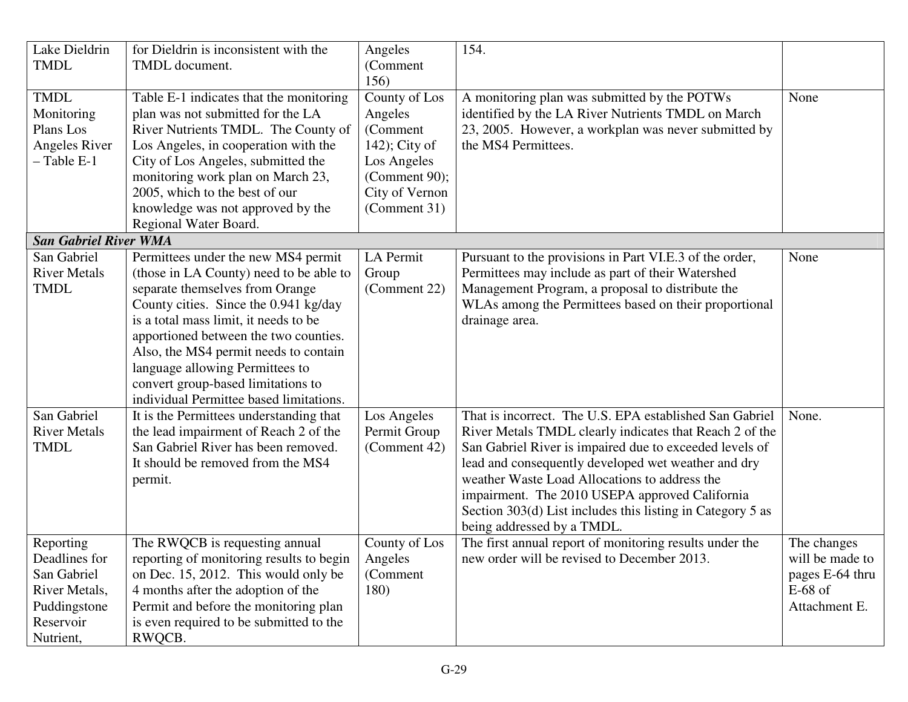| Lake Dieldrin<br><b>TMDL</b> | for Dieldrin is inconsistent with the<br>TMDL document. | Angeles<br>(Comment) | 154.                                                       |                 |
|------------------------------|---------------------------------------------------------|----------------------|------------------------------------------------------------|-----------------|
|                              |                                                         | 156)                 |                                                            |                 |
| <b>TMDL</b>                  | Table E-1 indicates that the monitoring                 | County of Los        | A monitoring plan was submitted by the POTWs               | None            |
| Monitoring                   | plan was not submitted for the LA                       | Angeles              | identified by the LA River Nutrients TMDL on March         |                 |
| Plans Los                    | River Nutrients TMDL. The County of                     | (Comment             | 23, 2005. However, a workplan was never submitted by       |                 |
| Angeles River                | Los Angeles, in cooperation with the                    | $142$ ; City of      | the MS4 Permittees.                                        |                 |
| $-$ Table E-1                | City of Los Angeles, submitted the                      | Los Angeles          |                                                            |                 |
|                              | monitoring work plan on March 23,                       | (Comment 90);        |                                                            |                 |
|                              | 2005, which to the best of our                          | City of Vernon       |                                                            |                 |
|                              | knowledge was not approved by the                       | (Comment 31)         |                                                            |                 |
|                              | Regional Water Board.                                   |                      |                                                            |                 |
| <b>San Gabriel River WMA</b> |                                                         |                      |                                                            |                 |
| San Gabriel                  | Permittees under the new MS4 permit                     | LA Permit            | Pursuant to the provisions in Part VI.E.3 of the order,    | None            |
| <b>River Metals</b>          | (those in LA County) need to be able to                 | Group                | Permittees may include as part of their Watershed          |                 |
| <b>TMDL</b>                  | separate themselves from Orange                         | (Comment 22)         | Management Program, a proposal to distribute the           |                 |
|                              | County cities. Since the 0.941 kg/day                   |                      | WLAs among the Permittees based on their proportional      |                 |
|                              | is a total mass limit, it needs to be                   |                      | drainage area.                                             |                 |
|                              | apportioned between the two counties.                   |                      |                                                            |                 |
|                              | Also, the MS4 permit needs to contain                   |                      |                                                            |                 |
|                              | language allowing Permittees to                         |                      |                                                            |                 |
|                              | convert group-based limitations to                      |                      |                                                            |                 |
|                              | individual Permittee based limitations.                 |                      |                                                            |                 |
| San Gabriel                  | It is the Permittees understanding that                 | Los Angeles          | That is incorrect. The U.S. EPA established San Gabriel    | None.           |
| <b>River Metals</b>          | the lead impairment of Reach 2 of the                   | Permit Group         | River Metals TMDL clearly indicates that Reach 2 of the    |                 |
| <b>TMDL</b>                  | San Gabriel River has been removed.                     | (Comment 42)         | San Gabriel River is impaired due to exceeded levels of    |                 |
|                              | It should be removed from the MS4                       |                      | lead and consequently developed wet weather and dry        |                 |
|                              | permit.                                                 |                      | weather Waste Load Allocations to address the              |                 |
|                              |                                                         |                      | impairment. The 2010 USEPA approved California             |                 |
|                              |                                                         |                      | Section 303(d) List includes this listing in Category 5 as |                 |
|                              |                                                         |                      | being addressed by a TMDL.                                 |                 |
| Reporting                    | The RWQCB is requesting annual                          | County of Los        | The first annual report of monitoring results under the    | The changes     |
| Deadlines for                | reporting of monitoring results to begin                | Angeles              | new order will be revised to December 2013.                | will be made to |
| San Gabriel                  | on Dec. 15, 2012. This would only be                    | (Comment)            |                                                            | pages E-64 thru |
| River Metals,                | 4 months after the adoption of the                      | 180)                 |                                                            | $E-68$ of       |
| Puddingstone                 | Permit and before the monitoring plan                   |                      |                                                            | Attachment E.   |
| Reservoir                    | is even required to be submitted to the                 |                      |                                                            |                 |
| Nutrient,                    | RWQCB.                                                  |                      |                                                            |                 |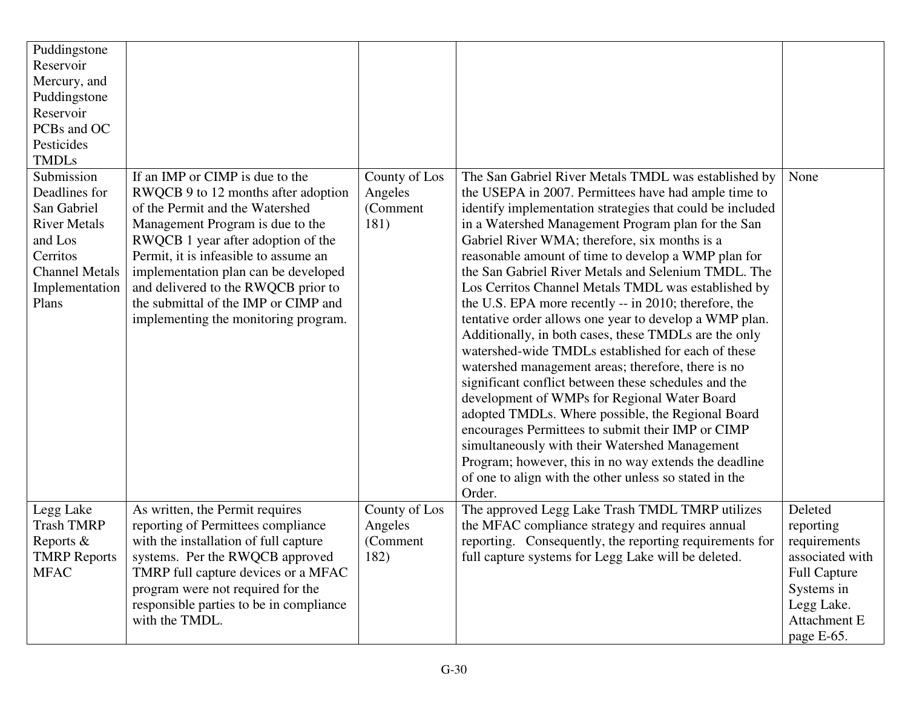| Puddingstone<br>Reservoir<br>Mercury, and<br>Puddingstone<br>Reservoir<br>PCBs and OC<br>Pesticides<br><b>TMDLs</b>                          |                                                                                                                                                                                                                                                                                                                                                                                             |                                               |                                                                                                                                                                                                                                                                                                                                                                                                                                                                                                                                                                                                                                                                                                                                                                                                                                                                                                                                                                                                                                                                                                                                                |                                                                                                                                          |
|----------------------------------------------------------------------------------------------------------------------------------------------|---------------------------------------------------------------------------------------------------------------------------------------------------------------------------------------------------------------------------------------------------------------------------------------------------------------------------------------------------------------------------------------------|-----------------------------------------------|------------------------------------------------------------------------------------------------------------------------------------------------------------------------------------------------------------------------------------------------------------------------------------------------------------------------------------------------------------------------------------------------------------------------------------------------------------------------------------------------------------------------------------------------------------------------------------------------------------------------------------------------------------------------------------------------------------------------------------------------------------------------------------------------------------------------------------------------------------------------------------------------------------------------------------------------------------------------------------------------------------------------------------------------------------------------------------------------------------------------------------------------|------------------------------------------------------------------------------------------------------------------------------------------|
| Submission<br>Deadlines for<br>San Gabriel<br><b>River Metals</b><br>and Los<br>Cerritos<br><b>Channel Metals</b><br>Implementation<br>Plans | If an IMP or CIMP is due to the<br>RWQCB 9 to 12 months after adoption<br>of the Permit and the Watershed<br>Management Program is due to the<br>RWQCB 1 year after adoption of the<br>Permit, it is infeasible to assume an<br>implementation plan can be developed<br>and delivered to the RWQCB prior to<br>the submittal of the IMP or CIMP and<br>implementing the monitoring program. | County of Los<br>Angeles<br>(Comment<br>181)  | The San Gabriel River Metals TMDL was established by<br>the USEPA in 2007. Permittees have had ample time to<br>identify implementation strategies that could be included<br>in a Watershed Management Program plan for the San<br>Gabriel River WMA; therefore, six months is a<br>reasonable amount of time to develop a WMP plan for<br>the San Gabriel River Metals and Selenium TMDL. The<br>Los Cerritos Channel Metals TMDL was established by<br>the U.S. EPA more recently -- in 2010; therefore, the<br>tentative order allows one year to develop a WMP plan.<br>Additionally, in both cases, these TMDLs are the only<br>watershed-wide TMDLs established for each of these<br>watershed management areas; therefore, there is no<br>significant conflict between these schedules and the<br>development of WMPs for Regional Water Board<br>adopted TMDLs. Where possible, the Regional Board<br>encourages Permittees to submit their IMP or CIMP<br>simultaneously with their Watershed Management<br>Program; however, this in no way extends the deadline<br>of one to align with the other unless so stated in the<br>Order. | None                                                                                                                                     |
| Legg Lake<br><b>Trash TMRP</b><br>Reports &<br><b>TMRP</b> Reports<br><b>MFAC</b>                                                            | As written, the Permit requires<br>reporting of Permittees compliance<br>with the installation of full capture<br>systems. Per the RWQCB approved<br>TMRP full capture devices or a MFAC<br>program were not required for the<br>responsible parties to be in compliance<br>with the TMDL.                                                                                                  | County of Los<br>Angeles<br>(Comment)<br>182) | The approved Legg Lake Trash TMDL TMRP utilizes<br>the MFAC compliance strategy and requires annual<br>reporting. Consequently, the reporting requirements for<br>full capture systems for Legg Lake will be deleted.                                                                                                                                                                                                                                                                                                                                                                                                                                                                                                                                                                                                                                                                                                                                                                                                                                                                                                                          | Deleted<br>reporting<br>requirements<br>associated with<br><b>Full Capture</b><br>Systems in<br>Legg Lake.<br>Attachment E<br>page E-65. |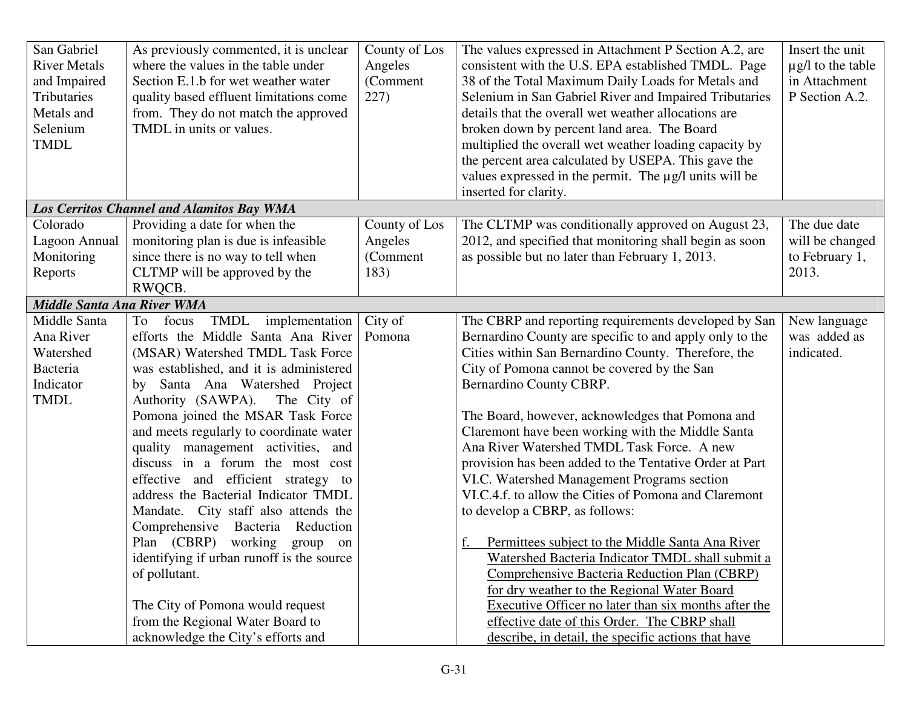| San Gabriel<br><b>River Metals</b><br>and Impaired<br>Tributaries<br>Metals and<br>Selenium<br><b>TMDL</b> | As previously commented, it is unclear<br>where the values in the table under<br>Section E.1.b for wet weather water<br>quality based effluent limitations come<br>from. They do not match the approved<br>TMDL in units or values. | County of Los<br>Angeles<br>(Comment<br>227) | The values expressed in Attachment P Section A.2, are<br>consistent with the U.S. EPA established TMDL. Page<br>38 of the Total Maximum Daily Loads for Metals and<br>Selenium in San Gabriel River and Impaired Tributaries<br>details that the overall wet weather allocations are<br>broken down by percent land area. The Board<br>multiplied the overall wet weather loading capacity by<br>the percent area calculated by USEPA. This gave the<br>values expressed in the permit. The µg/l units will be | Insert the unit<br>$\mu$ g/l to the table<br>in Attachment<br>P Section A.2. |
|------------------------------------------------------------------------------------------------------------|-------------------------------------------------------------------------------------------------------------------------------------------------------------------------------------------------------------------------------------|----------------------------------------------|----------------------------------------------------------------------------------------------------------------------------------------------------------------------------------------------------------------------------------------------------------------------------------------------------------------------------------------------------------------------------------------------------------------------------------------------------------------------------------------------------------------|------------------------------------------------------------------------------|
|                                                                                                            |                                                                                                                                                                                                                                     |                                              | inserted for clarity.                                                                                                                                                                                                                                                                                                                                                                                                                                                                                          |                                                                              |
|                                                                                                            | <b>Los Cerritos Channel and Alamitos Bay WMA</b>                                                                                                                                                                                    |                                              |                                                                                                                                                                                                                                                                                                                                                                                                                                                                                                                |                                                                              |
| Colorado                                                                                                   | Providing a date for when the                                                                                                                                                                                                       | County of Los                                | The CLTMP was conditionally approved on August 23,                                                                                                                                                                                                                                                                                                                                                                                                                                                             | The due date                                                                 |
| Lagoon Annual                                                                                              | monitoring plan is due is infeasible                                                                                                                                                                                                | Angeles                                      | 2012, and specified that monitoring shall begin as soon                                                                                                                                                                                                                                                                                                                                                                                                                                                        | will be changed                                                              |
| Monitoring                                                                                                 | since there is no way to tell when                                                                                                                                                                                                  | (Comment                                     | as possible but no later than February 1, 2013.                                                                                                                                                                                                                                                                                                                                                                                                                                                                | to February 1,                                                               |
| Reports                                                                                                    | CLTMP will be approved by the                                                                                                                                                                                                       | 183)                                         |                                                                                                                                                                                                                                                                                                                                                                                                                                                                                                                | 2013.                                                                        |
|                                                                                                            | RWQCB.                                                                                                                                                                                                                              |                                              |                                                                                                                                                                                                                                                                                                                                                                                                                                                                                                                |                                                                              |
| <b>Middle Santa Ana River WMA</b>                                                                          |                                                                                                                                                                                                                                     |                                              |                                                                                                                                                                                                                                                                                                                                                                                                                                                                                                                |                                                                              |
| Middle Santa                                                                                               | TMDL implementation<br>To focus                                                                                                                                                                                                     | City of                                      | The CBRP and reporting requirements developed by San                                                                                                                                                                                                                                                                                                                                                                                                                                                           | New language                                                                 |
| Ana River                                                                                                  | efforts the Middle Santa Ana River                                                                                                                                                                                                  | Pomona                                       | Bernardino County are specific to and apply only to the                                                                                                                                                                                                                                                                                                                                                                                                                                                        | was added as                                                                 |
| Watershed<br>Bacteria                                                                                      | (MSAR) Watershed TMDL Task Force                                                                                                                                                                                                    |                                              | Cities within San Bernardino County. Therefore, the                                                                                                                                                                                                                                                                                                                                                                                                                                                            | indicated.                                                                   |
| Indicator                                                                                                  | was established, and it is administered<br>by Santa Ana Watershed Project                                                                                                                                                           |                                              | City of Pomona cannot be covered by the San<br>Bernardino County CBRP.                                                                                                                                                                                                                                                                                                                                                                                                                                         |                                                                              |
| <b>TMDL</b>                                                                                                | Authority (SAWPA).<br>The City of                                                                                                                                                                                                   |                                              |                                                                                                                                                                                                                                                                                                                                                                                                                                                                                                                |                                                                              |
|                                                                                                            | Pomona joined the MSAR Task Force                                                                                                                                                                                                   |                                              | The Board, however, acknowledges that Pomona and                                                                                                                                                                                                                                                                                                                                                                                                                                                               |                                                                              |
|                                                                                                            | and meets regularly to coordinate water                                                                                                                                                                                             |                                              | Claremont have been working with the Middle Santa                                                                                                                                                                                                                                                                                                                                                                                                                                                              |                                                                              |
|                                                                                                            | quality management activities, and                                                                                                                                                                                                  |                                              | Ana River Watershed TMDL Task Force. A new                                                                                                                                                                                                                                                                                                                                                                                                                                                                     |                                                                              |
|                                                                                                            | discuss in a forum the most cost                                                                                                                                                                                                    |                                              | provision has been added to the Tentative Order at Part                                                                                                                                                                                                                                                                                                                                                                                                                                                        |                                                                              |
|                                                                                                            | effective and efficient strategy to                                                                                                                                                                                                 |                                              | VI.C. Watershed Management Programs section                                                                                                                                                                                                                                                                                                                                                                                                                                                                    |                                                                              |
|                                                                                                            | address the Bacterial Indicator TMDL                                                                                                                                                                                                |                                              | VI.C.4.f. to allow the Cities of Pomona and Claremont                                                                                                                                                                                                                                                                                                                                                                                                                                                          |                                                                              |
|                                                                                                            | Mandate. City staff also attends the                                                                                                                                                                                                |                                              | to develop a CBRP, as follows:                                                                                                                                                                                                                                                                                                                                                                                                                                                                                 |                                                                              |
|                                                                                                            | Comprehensive Bacteria Reduction                                                                                                                                                                                                    |                                              |                                                                                                                                                                                                                                                                                                                                                                                                                                                                                                                |                                                                              |
|                                                                                                            | Plan (CBRP) working group on                                                                                                                                                                                                        |                                              | Permittees subject to the Middle Santa Ana River                                                                                                                                                                                                                                                                                                                                                                                                                                                               |                                                                              |
|                                                                                                            | identifying if urban runoff is the source                                                                                                                                                                                           |                                              | Watershed Bacteria Indicator TMDL shall submit a                                                                                                                                                                                                                                                                                                                                                                                                                                                               |                                                                              |
|                                                                                                            | of pollutant.                                                                                                                                                                                                                       |                                              | Comprehensive Bacteria Reduction Plan (CBRP)                                                                                                                                                                                                                                                                                                                                                                                                                                                                   |                                                                              |
|                                                                                                            |                                                                                                                                                                                                                                     |                                              | for dry weather to the Regional Water Board                                                                                                                                                                                                                                                                                                                                                                                                                                                                    |                                                                              |
|                                                                                                            | The City of Pomona would request                                                                                                                                                                                                    |                                              | Executive Officer no later than six months after the                                                                                                                                                                                                                                                                                                                                                                                                                                                           |                                                                              |
|                                                                                                            | from the Regional Water Board to                                                                                                                                                                                                    |                                              | effective date of this Order. The CBRP shall                                                                                                                                                                                                                                                                                                                                                                                                                                                                   |                                                                              |
|                                                                                                            | acknowledge the City's efforts and                                                                                                                                                                                                  |                                              | describe, in detail, the specific actions that have                                                                                                                                                                                                                                                                                                                                                                                                                                                            |                                                                              |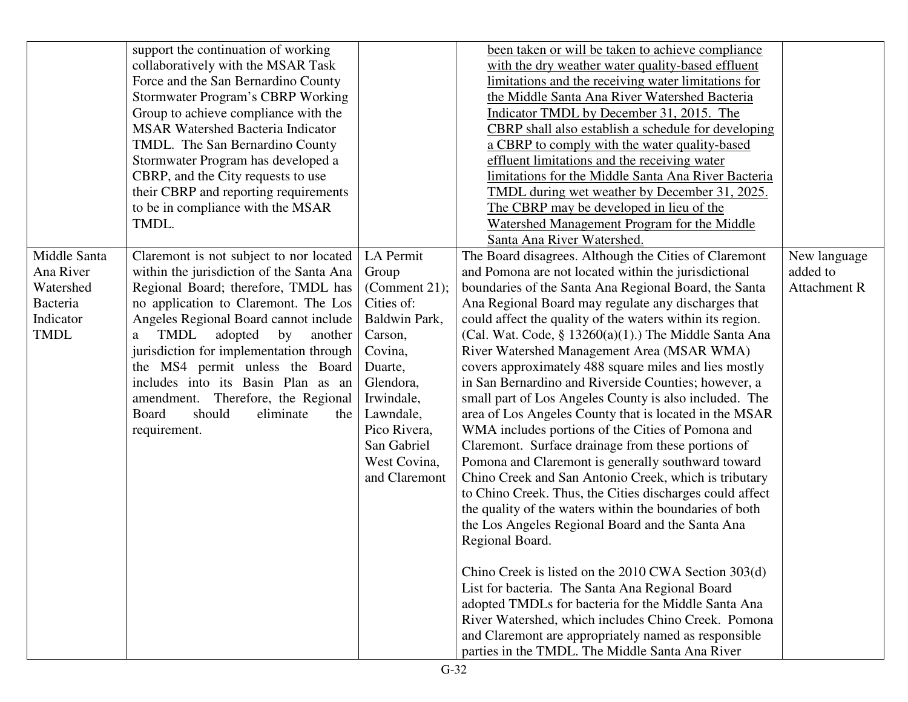|                                                                                | support the continuation of working<br>collaboratively with the MSAR Task<br>Force and the San Bernardino County<br>Stormwater Program's CBRP Working<br>Group to achieve compliance with the<br><b>MSAR Watershed Bacteria Indicator</b><br>TMDL. The San Bernardino County<br>Stormwater Program has developed a<br>CBRP, and the City requests to use<br>their CBRP and reporting requirements<br>to be in compliance with the MSAR<br>TMDL.                    |                                                                                                                                                                                                             | been taken or will be taken to achieve compliance<br>with the dry weather water quality-based effluent<br>limitations and the receiving water limitations for<br>the Middle Santa Ana River Watershed Bacteria<br>Indicator TMDL by December 31, 2015. The<br><b>CBRP</b> shall also establish a schedule for developing<br>a CBRP to comply with the water quality-based<br>effluent limitations and the receiving water<br>limitations for the Middle Santa Ana River Bacteria<br>TMDL during wet weather by December 31, 2025.<br>The CBRP may be developed in lieu of the<br>Watershed Management Program for the Middle<br>Santa Ana River Watershed.                                                                                                                                                                                                                                                                                                                                                                                                                                                                                                                                                                                                                                                                                                                                            |                                                 |
|--------------------------------------------------------------------------------|--------------------------------------------------------------------------------------------------------------------------------------------------------------------------------------------------------------------------------------------------------------------------------------------------------------------------------------------------------------------------------------------------------------------------------------------------------------------|-------------------------------------------------------------------------------------------------------------------------------------------------------------------------------------------------------------|-------------------------------------------------------------------------------------------------------------------------------------------------------------------------------------------------------------------------------------------------------------------------------------------------------------------------------------------------------------------------------------------------------------------------------------------------------------------------------------------------------------------------------------------------------------------------------------------------------------------------------------------------------------------------------------------------------------------------------------------------------------------------------------------------------------------------------------------------------------------------------------------------------------------------------------------------------------------------------------------------------------------------------------------------------------------------------------------------------------------------------------------------------------------------------------------------------------------------------------------------------------------------------------------------------------------------------------------------------------------------------------------------------|-------------------------------------------------|
| Middle Santa<br>Ana River<br>Watershed<br>Bacteria<br>Indicator<br><b>TMDL</b> | Claremont is not subject to nor located<br>within the jurisdiction of the Santa Ana<br>Regional Board; therefore, TMDL has<br>no application to Claremont. The Los<br>Angeles Regional Board cannot include<br>TMDL<br>adopted by<br>another<br>a<br>jurisdiction for implementation through<br>the MS4 permit unless the Board<br>includes into its Basin Plan as an<br>amendment. Therefore, the Regional<br>Board<br>should<br>eliminate<br>the<br>requirement. | LA Permit<br>Group<br>(Comment 21);<br>Cities of:<br>Baldwin Park,<br>Carson,<br>Covina,<br>Duarte,<br>Glendora,<br>Irwindale,<br>Lawndale,<br>Pico Rivera,<br>San Gabriel<br>West Covina,<br>and Claremont | The Board disagrees. Although the Cities of Claremont<br>and Pomona are not located within the jurisdictional<br>boundaries of the Santa Ana Regional Board, the Santa<br>Ana Regional Board may regulate any discharges that<br>could affect the quality of the waters within its region.<br>(Cal. Wat. Code, $\S$ 13260(a)(1).) The Middle Santa Ana<br>River Watershed Management Area (MSAR WMA)<br>covers approximately 488 square miles and lies mostly<br>in San Bernardino and Riverside Counties; however, a<br>small part of Los Angeles County is also included. The<br>area of Los Angeles County that is located in the MSAR<br>WMA includes portions of the Cities of Pomona and<br>Claremont. Surface drainage from these portions of<br>Pomona and Claremont is generally southward toward<br>Chino Creek and San Antonio Creek, which is tributary<br>to Chino Creek. Thus, the Cities discharges could affect<br>the quality of the waters within the boundaries of both<br>the Los Angeles Regional Board and the Santa Ana<br>Regional Board.<br>Chino Creek is listed on the 2010 CWA Section 303(d)<br>List for bacteria. The Santa Ana Regional Board<br>adopted TMDLs for bacteria for the Middle Santa Ana<br>River Watershed, which includes Chino Creek. Pomona<br>and Claremont are appropriately named as responsible<br>parties in the TMDL. The Middle Santa Ana River | New language<br>added to<br><b>Attachment R</b> |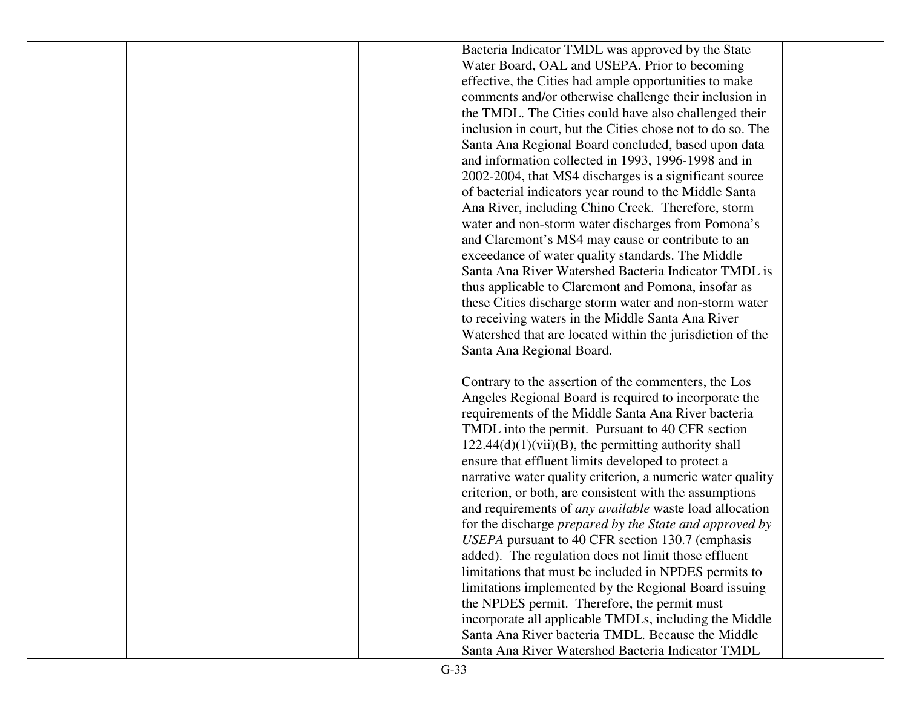|  | Bacteria Indicator TMDL was approved by the State              |  |
|--|----------------------------------------------------------------|--|
|  | Water Board, OAL and USEPA. Prior to becoming                  |  |
|  | effective, the Cities had ample opportunities to make          |  |
|  | comments and/or otherwise challenge their inclusion in         |  |
|  | the TMDL. The Cities could have also challenged their          |  |
|  | inclusion in court, but the Cities chose not to do so. The     |  |
|  | Santa Ana Regional Board concluded, based upon data            |  |
|  | and information collected in 1993, 1996-1998 and in            |  |
|  | 2002-2004, that MS4 discharges is a significant source         |  |
|  | of bacterial indicators year round to the Middle Santa         |  |
|  | Ana River, including Chino Creek. Therefore, storm             |  |
|  | water and non-storm water discharges from Pomona's             |  |
|  | and Claremont's MS4 may cause or contribute to an              |  |
|  | exceedance of water quality standards. The Middle              |  |
|  | Santa Ana River Watershed Bacteria Indicator TMDL is           |  |
|  | thus applicable to Claremont and Pomona, insofar as            |  |
|  | these Cities discharge storm water and non-storm water         |  |
|  | to receiving waters in the Middle Santa Ana River              |  |
|  | Watershed that are located within the jurisdiction of the      |  |
|  | Santa Ana Regional Board.                                      |  |
|  |                                                                |  |
|  | Contrary to the assertion of the commenters, the Los           |  |
|  | Angeles Regional Board is required to incorporate the          |  |
|  | requirements of the Middle Santa Ana River bacteria            |  |
|  | TMDL into the permit. Pursuant to 40 CFR section               |  |
|  | $122.44(d)(1)(vii)(B)$ , the permitting authority shall        |  |
|  | ensure that effluent limits developed to protect a             |  |
|  | narrative water quality criterion, a numeric water quality     |  |
|  | criterion, or both, are consistent with the assumptions        |  |
|  | and requirements of <i>any available</i> waste load allocation |  |
|  | for the discharge prepared by the State and approved by        |  |
|  | USEPA pursuant to 40 CFR section 130.7 (emphasis               |  |
|  | added). The regulation does not limit those effluent           |  |
|  | limitations that must be included in NPDES permits to          |  |
|  | limitations implemented by the Regional Board issuing          |  |
|  | the NPDES permit. Therefore, the permit must                   |  |
|  | incorporate all applicable TMDLs, including the Middle         |  |
|  | Santa Ana River bacteria TMDL. Because the Middle              |  |
|  | Santa Ana River Watershed Bacteria Indicator TMDL              |  |
|  |                                                                |  |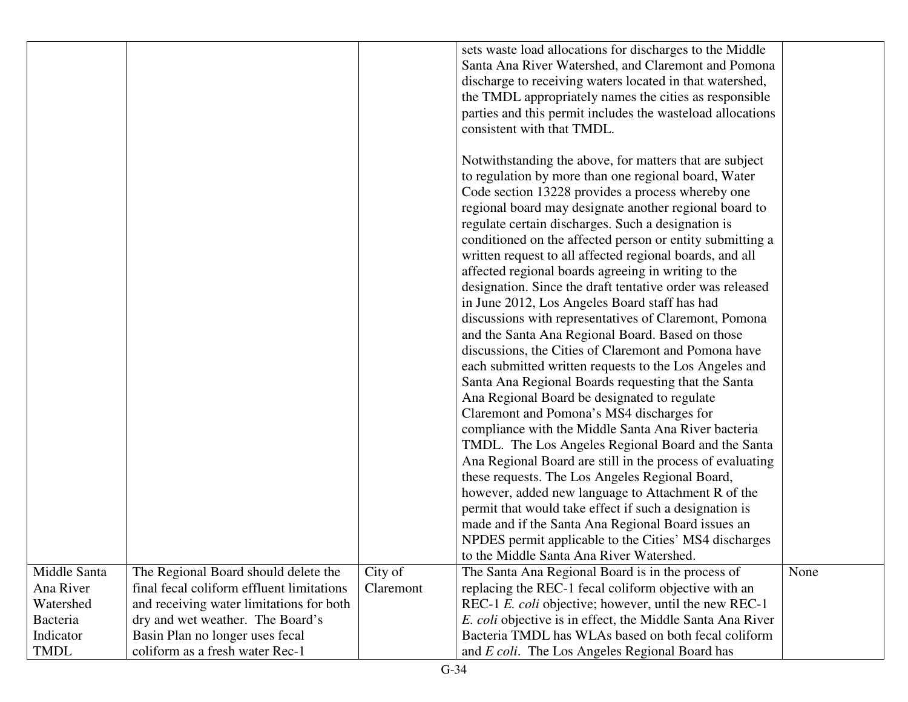|              |                                           |           | sets waste load allocations for discharges to the Middle                                         |      |
|--------------|-------------------------------------------|-----------|--------------------------------------------------------------------------------------------------|------|
|              |                                           |           | Santa Ana River Watershed, and Claremont and Pomona                                              |      |
|              |                                           |           | discharge to receiving waters located in that watershed,                                         |      |
|              |                                           |           | the TMDL appropriately names the cities as responsible                                           |      |
|              |                                           |           | parties and this permit includes the wasteload allocations                                       |      |
|              |                                           |           | consistent with that TMDL.                                                                       |      |
|              |                                           |           |                                                                                                  |      |
|              |                                           |           | Notwithstanding the above, for matters that are subject                                          |      |
|              |                                           |           | to regulation by more than one regional board, Water                                             |      |
|              |                                           |           | Code section 13228 provides a process whereby one                                                |      |
|              |                                           |           | regional board may designate another regional board to                                           |      |
|              |                                           |           | regulate certain discharges. Such a designation is                                               |      |
|              |                                           |           | conditioned on the affected person or entity submitting a                                        |      |
|              |                                           |           | written request to all affected regional boards, and all                                         |      |
|              |                                           |           | affected regional boards agreeing in writing to the                                              |      |
|              |                                           |           | designation. Since the draft tentative order was released                                        |      |
|              |                                           |           | in June 2012, Los Angeles Board staff has had                                                    |      |
|              |                                           |           | discussions with representatives of Claremont, Pomona                                            |      |
|              |                                           |           | and the Santa Ana Regional Board. Based on those                                                 |      |
|              |                                           |           | discussions, the Cities of Claremont and Pomona have                                             |      |
|              |                                           |           | each submitted written requests to the Los Angeles and                                           |      |
|              |                                           |           | Santa Ana Regional Boards requesting that the Santa                                              |      |
|              |                                           |           | Ana Regional Board be designated to regulate                                                     |      |
|              |                                           |           |                                                                                                  |      |
|              |                                           |           | Claremont and Pomona's MS4 discharges for<br>compliance with the Middle Santa Ana River bacteria |      |
|              |                                           |           |                                                                                                  |      |
|              |                                           |           | TMDL. The Los Angeles Regional Board and the Santa                                               |      |
|              |                                           |           | Ana Regional Board are still in the process of evaluating                                        |      |
|              |                                           |           | these requests. The Los Angeles Regional Board,                                                  |      |
|              |                                           |           | however, added new language to Attachment R of the                                               |      |
|              |                                           |           | permit that would take effect if such a designation is                                           |      |
|              |                                           |           | made and if the Santa Ana Regional Board issues an                                               |      |
|              |                                           |           | NPDES permit applicable to the Cities' MS4 discharges                                            |      |
|              |                                           |           | to the Middle Santa Ana River Watershed.                                                         |      |
| Middle Santa | The Regional Board should delete the      | City of   | The Santa Ana Regional Board is in the process of                                                | None |
| Ana River    | final fecal coliform effluent limitations | Claremont | replacing the REC-1 fecal coliform objective with an                                             |      |
| Watershed    | and receiving water limitations for both  |           | REC-1 E. coli objective; however, until the new REC-1                                            |      |
| Bacteria     | dry and wet weather. The Board's          |           | E. coli objective is in effect, the Middle Santa Ana River                                       |      |
| Indicator    | Basin Plan no longer uses fecal           |           | Bacteria TMDL has WLAs based on both fecal coliform                                              |      |
| <b>TMDL</b>  | coliform as a fresh water Rec-1           |           | and E coli. The Los Angeles Regional Board has                                                   |      |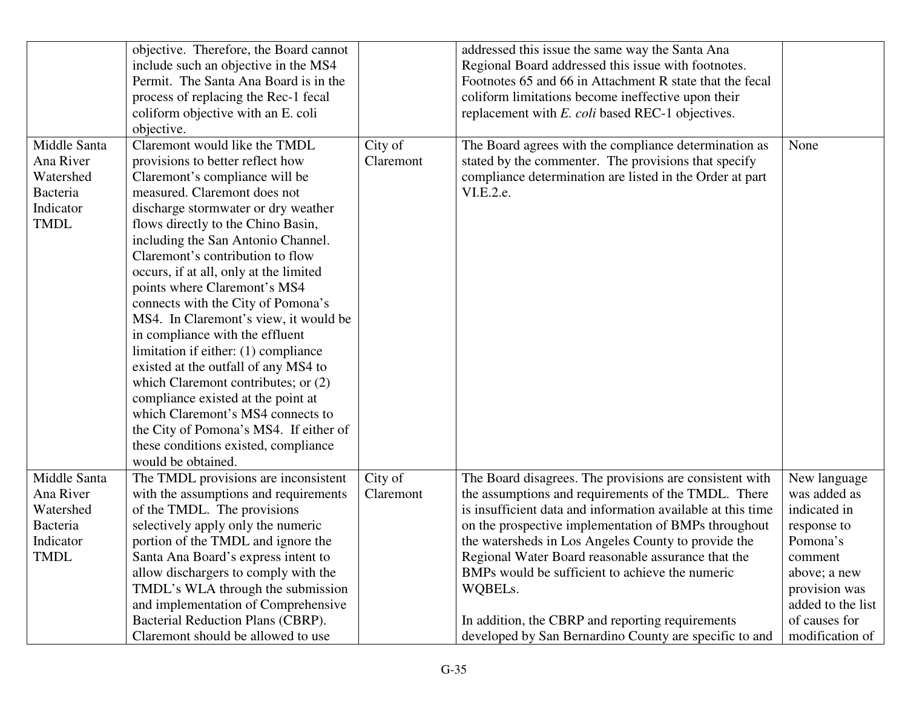|                 | objective. Therefore, the Board cannot |           | addressed this issue the same way the Santa Ana             |                   |
|-----------------|----------------------------------------|-----------|-------------------------------------------------------------|-------------------|
|                 | include such an objective in the MS4   |           | Regional Board addressed this issue with footnotes.         |                   |
|                 | Permit. The Santa Ana Board is in the  |           | Footnotes 65 and 66 in Attachment R state that the fecal    |                   |
|                 | process of replacing the Rec-1 fecal   |           | coliform limitations become ineffective upon their          |                   |
|                 | coliform objective with an E. coli     |           | replacement with E. coli based REC-1 objectives.            |                   |
|                 | objective.                             |           |                                                             |                   |
| Middle Santa    | Claremont would like the TMDL          | City of   | The Board agrees with the compliance determination as       | None              |
| Ana River       | provisions to better reflect how       | Claremont | stated by the commenter. The provisions that specify        |                   |
| Watershed       | Claremont's compliance will be         |           | compliance determination are listed in the Order at part    |                   |
| <b>Bacteria</b> | measured. Claremont does not           |           | VI.E.2.e.                                                   |                   |
| Indicator       | discharge stormwater or dry weather    |           |                                                             |                   |
| <b>TMDL</b>     | flows directly to the Chino Basin,     |           |                                                             |                   |
|                 | including the San Antonio Channel.     |           |                                                             |                   |
|                 | Claremont's contribution to flow       |           |                                                             |                   |
|                 | occurs, if at all, only at the limited |           |                                                             |                   |
|                 | points where Claremont's MS4           |           |                                                             |                   |
|                 | connects with the City of Pomona's     |           |                                                             |                   |
|                 | MS4. In Claremont's view, it would be  |           |                                                             |                   |
|                 | in compliance with the effluent        |           |                                                             |                   |
|                 | limitation if either: (1) compliance   |           |                                                             |                   |
|                 | existed at the outfall of any MS4 to   |           |                                                             |                   |
|                 | which Claremont contributes; or (2)    |           |                                                             |                   |
|                 | compliance existed at the point at     |           |                                                             |                   |
|                 | which Claremont's MS4 connects to      |           |                                                             |                   |
|                 | the City of Pomona's MS4. If either of |           |                                                             |                   |
|                 | these conditions existed, compliance   |           |                                                             |                   |
|                 | would be obtained.                     |           |                                                             |                   |
| Middle Santa    | The TMDL provisions are inconsistent   | City of   | The Board disagrees. The provisions are consistent with     | New language      |
| Ana River       | with the assumptions and requirements  | Claremont | the assumptions and requirements of the TMDL. There         | was added as      |
| Watershed       | of the TMDL. The provisions            |           | is insufficient data and information available at this time | indicated in      |
| <b>Bacteria</b> | selectively apply only the numeric     |           | on the prospective implementation of BMPs throughout        | response to       |
| Indicator       | portion of the TMDL and ignore the     |           | the watersheds in Los Angeles County to provide the         | Pomona's          |
| TMDL            | Santa Ana Board's express intent to    |           | Regional Water Board reasonable assurance that the          | comment           |
|                 | allow dischargers to comply with the   |           | BMPs would be sufficient to achieve the numeric             | above; a new      |
|                 | TMDL's WLA through the submission      |           | WQBELs.                                                     | provision was     |
|                 | and implementation of Comprehensive    |           |                                                             | added to the list |
|                 | Bacterial Reduction Plans (CBRP).      |           | In addition, the CBRP and reporting requirements            | of causes for     |
|                 | Claremont should be allowed to use     |           | developed by San Bernardino County are specific to and      | modification of   |